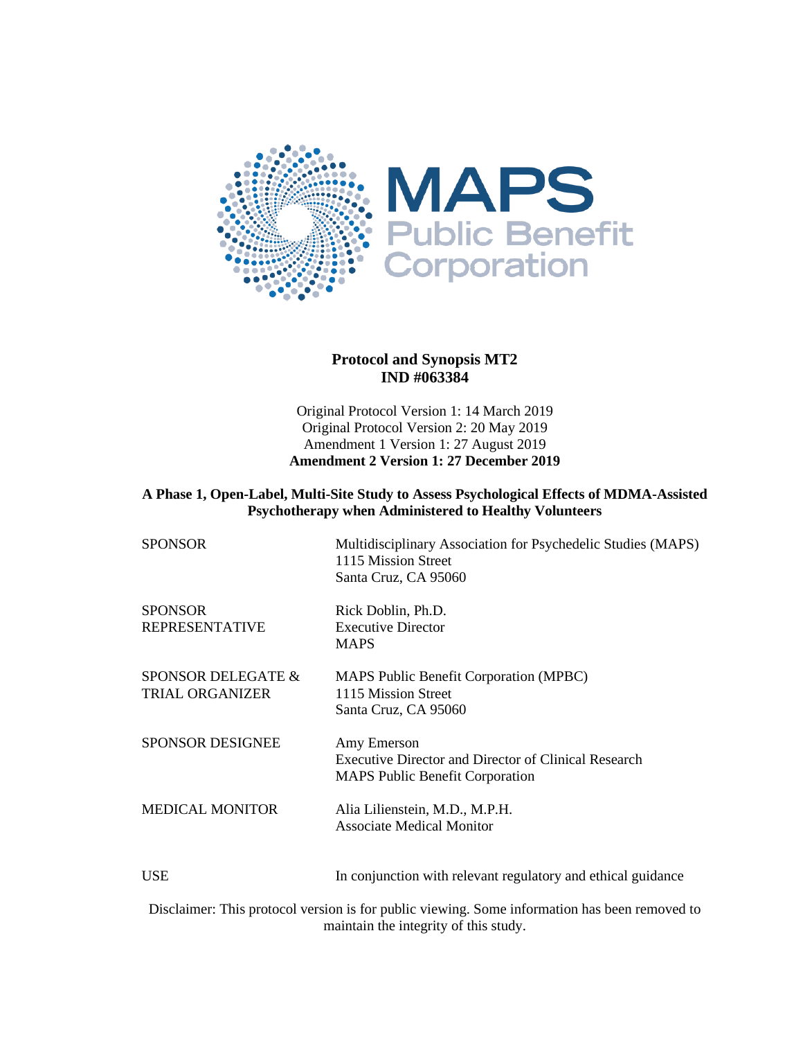

#### **Protocol and Synopsis MT2 IND #063384**

Original Protocol Version 1: 14 March 2019 Original Protocol Version 2: 20 May 2019 Amendment 1 Version 1: 27 August 2019 **Amendment 2 Version 1: 27 December 2019**

#### **A Phase 1, Open-Label, Multi-Site Study to Assess Psychological Effects of MDMA-Assisted Psychotherapy when Administered to Healthy Volunteers**

| <b>SPONSOR</b>                               | Multidisciplinary Association for Psychedelic Studies (MAPS)<br>1115 Mission Street<br>Santa Cruz, CA 95060          |
|----------------------------------------------|----------------------------------------------------------------------------------------------------------------------|
| <b>SPONSOR</b><br>REPRESENTATIVE             | Rick Doblin, Ph.D.<br><b>Executive Director</b><br><b>MAPS</b>                                                       |
| SPONSOR DELEGATE &<br><b>TRIAL ORGANIZER</b> | MAPS Public Benefit Corporation (MPBC)<br>1115 Mission Street<br>Santa Cruz, CA 95060                                |
| <b>SPONSOR DESIGNEE</b>                      | Amy Emerson<br><b>Executive Director and Director of Clinical Research</b><br><b>MAPS Public Benefit Corporation</b> |
| <b>MEDICAL MONITOR</b>                       | Alia Lilienstein, M.D., M.P.H.<br><b>Associate Medical Monitor</b>                                                   |
| USE                                          | In conjunction with relevant regulatory and ethical guidance                                                         |
|                                              |                                                                                                                      |

Disclaimer: This protocol version is for public viewing. Some information has been removed to maintain the integrity of this study.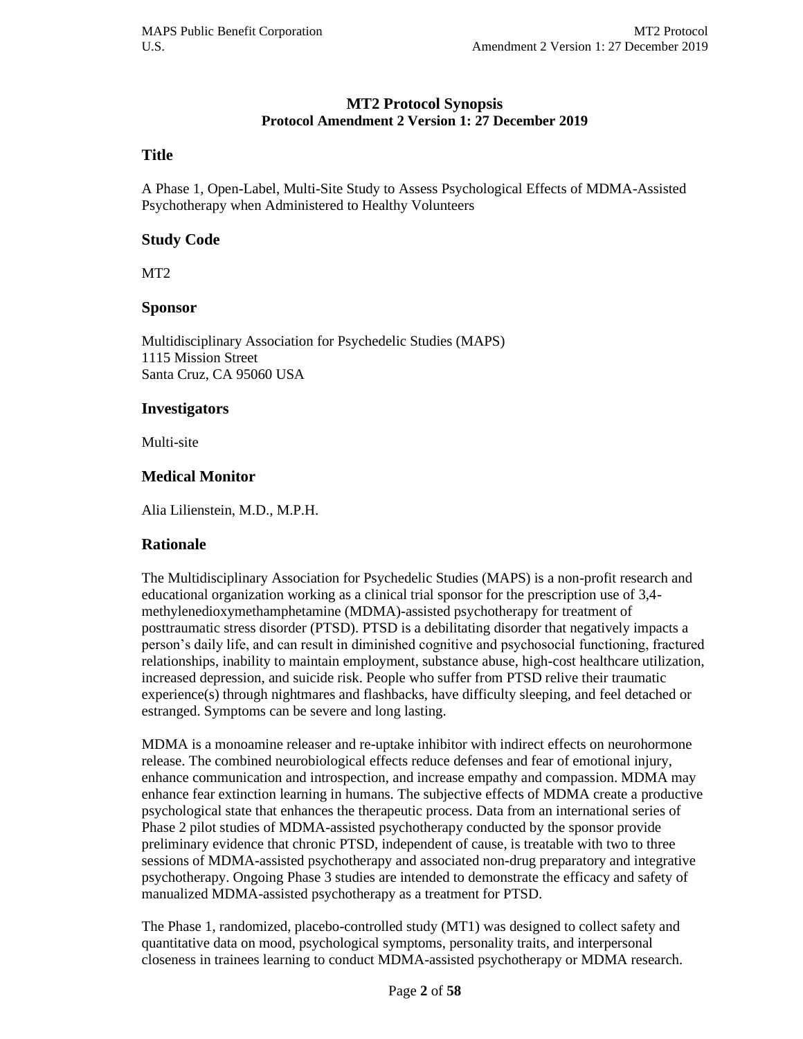#### **MT2 Protocol Synopsis Protocol Amendment 2 Version 1: 27 December 2019**

#### **Title**

A Phase 1, Open-Label, Multi-Site Study to Assess Psychological Effects of MDMA-Assisted Psychotherapy when Administered to Healthy Volunteers

#### **Study Code**

MT2

#### **Sponsor**

Multidisciplinary Association for Psychedelic Studies (MAPS) 1115 Mission Street Santa Cruz, CA 95060 USA

#### **Investigators**

Multi-site

#### **Medical Monitor**

Alia Lilienstein, M.D., M.P.H.

#### **Rationale**

The Multidisciplinary Association for Psychedelic Studies (MAPS) is a non-profit research and educational organization working as a clinical trial sponsor for the prescription use of 3,4 methylenedioxymethamphetamine (MDMA)-assisted psychotherapy for treatment of posttraumatic stress disorder (PTSD). PTSD is a debilitating disorder that negatively impacts a person's daily life, and can result in diminished cognitive and psychosocial functioning, fractured relationships, inability to maintain employment, substance abuse, high-cost healthcare utilization, increased depression, and suicide risk. People who suffer from PTSD relive their traumatic experience(s) through nightmares and flashbacks, have difficulty sleeping, and feel detached or estranged. Symptoms can be severe and long lasting.

MDMA is a monoamine releaser and re-uptake inhibitor with indirect effects on neurohormone release. The combined neurobiological effects reduce defenses and fear of emotional injury, enhance communication and introspection, and increase empathy and compassion. MDMA may enhance fear extinction learning in humans. The subjective effects of MDMA create a productive psychological state that enhances the therapeutic process. Data from an international series of Phase 2 pilot studies of MDMA-assisted psychotherapy conducted by the sponsor provide preliminary evidence that chronic PTSD, independent of cause, is treatable with two to three sessions of MDMA-assisted psychotherapy and associated non-drug preparatory and integrative psychotherapy. Ongoing Phase 3 studies are intended to demonstrate the efficacy and safety of manualized MDMA-assisted psychotherapy as a treatment for PTSD.

The Phase 1, randomized, placebo-controlled study (MT1) was designed to collect safety and quantitative data on mood, psychological symptoms, personality traits, and interpersonal closeness in trainees learning to conduct MDMA-assisted psychotherapy or MDMA research.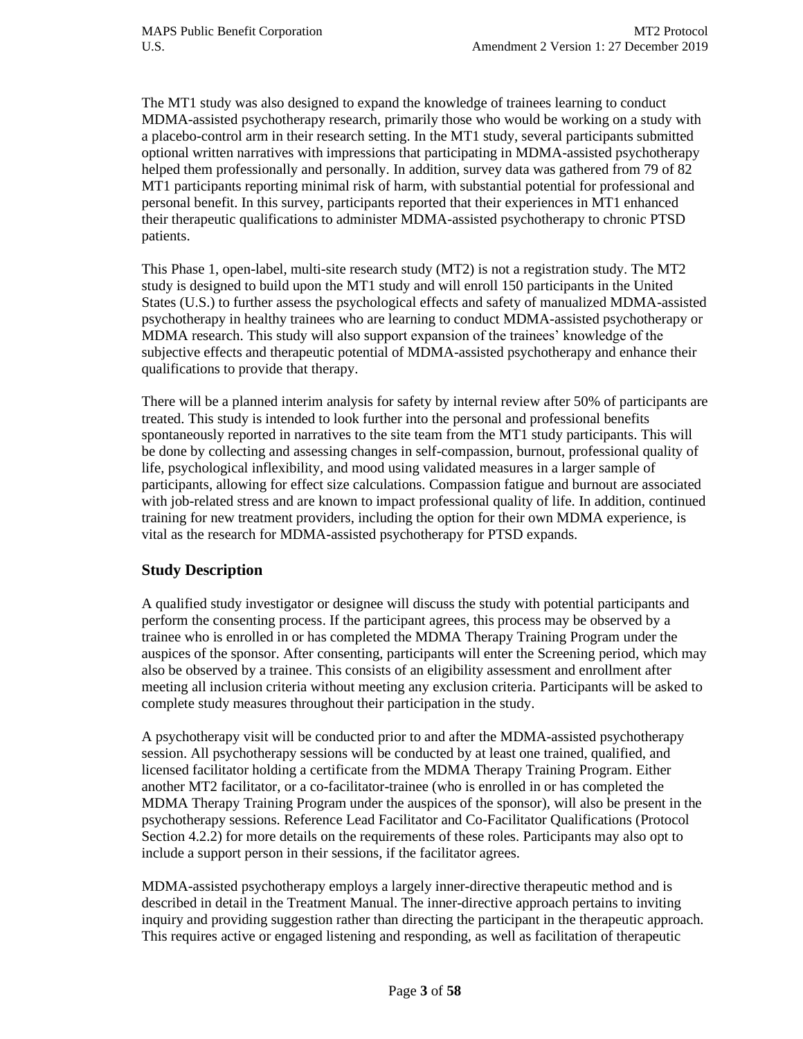The MT1 study was also designed to expand the knowledge of trainees learning to conduct MDMA-assisted psychotherapy research, primarily those who would be working on a study with a placebo-control arm in their research setting. In the MT1 study, several participants submitted optional written narratives with impressions that participating in MDMA-assisted psychotherapy helped them professionally and personally. In addition, survey data was gathered from 79 of 82 MT1 participants reporting minimal risk of harm, with substantial potential for professional and personal benefit. In this survey, participants reported that their experiences in MT1 enhanced their therapeutic qualifications to administer MDMA-assisted psychotherapy to chronic PTSD patients.

This Phase 1, open-label, multi-site research study (MT2) is not a registration study. The MT2 study is designed to build upon the MT1 study and will enroll 150 participants in the United States (U.S.) to further assess the psychological effects and safety of manualized MDMA-assisted psychotherapy in healthy trainees who are learning to conduct MDMA-assisted psychotherapy or MDMA research. This study will also support expansion of the trainees' knowledge of the subjective effects and therapeutic potential of MDMA-assisted psychotherapy and enhance their qualifications to provide that therapy.

There will be a planned interim analysis for safety by internal review after 50% of participants are treated. This study is intended to look further into the personal and professional benefits spontaneously reported in narratives to the site team from the MT1 study participants. This will be done by collecting and assessing changes in self-compassion, burnout, professional quality of life, psychological inflexibility, and mood using validated measures in a larger sample of participants, allowing for effect size calculations. Compassion fatigue and burnout are associated with job-related stress and are known to impact professional quality of life. In addition, continued training for new treatment providers, including the option for their own MDMA experience, is vital as the research for MDMA-assisted psychotherapy for PTSD expands.

## **Study Description**

A qualified study investigator or designee will discuss the study with potential participants and perform the consenting process. If the participant agrees, this process may be observed by a trainee who is enrolled in or has completed the MDMA Therapy Training Program under the auspices of the sponsor. After consenting, participants will enter the Screening period, which may also be observed by a trainee. This consists of an eligibility assessment and enrollment after meeting all inclusion criteria without meeting any exclusion criteria. Participants will be asked to complete study measures throughout their participation in the study.

A psychotherapy visit will be conducted prior to and after the MDMA-assisted psychotherapy session. All psychotherapy sessions will be conducted by at least one trained, qualified, and licensed facilitator holding a certificate from the MDMA Therapy Training Program. Either another MT2 facilitator, or a co-facilitator-trainee (who is enrolled in or has completed the MDMA Therapy Training Program under the auspices of the sponsor), will also be present in the psychotherapy sessions. Reference Lead Facilitator and Co-Facilitator Qualifications (Protocol Section 4.2.2) for more details on the requirements of these roles. Participants may also opt to include a support person in their sessions, if the facilitator agrees.

MDMA-assisted psychotherapy employs a largely inner-directive therapeutic method and is described in detail in the Treatment Manual. The inner-directive approach pertains to inviting inquiry and providing suggestion rather than directing the participant in the therapeutic approach. This requires active or engaged listening and responding, as well as facilitation of therapeutic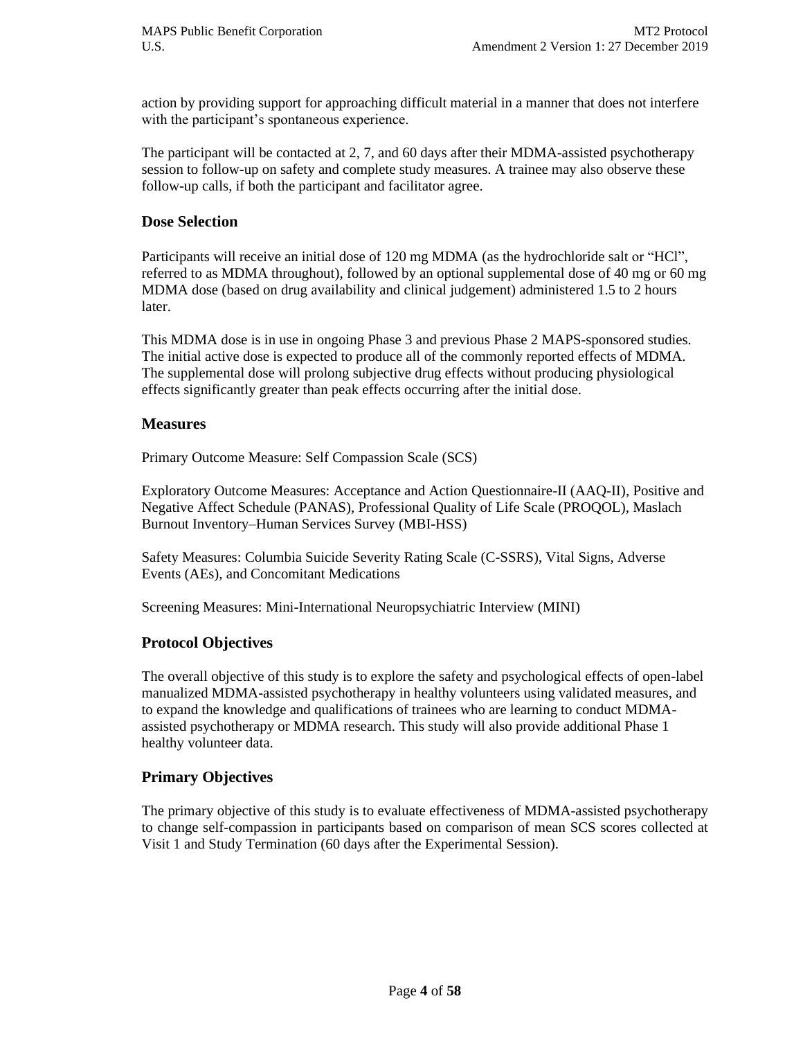action by providing support for approaching difficult material in a manner that does not interfere with the participant's spontaneous experience.

The participant will be contacted at 2, 7, and 60 days after their MDMA-assisted psychotherapy session to follow-up on safety and complete study measures. A trainee may also observe these follow-up calls, if both the participant and facilitator agree.

#### **Dose Selection**

Participants will receive an initial dose of 120 mg MDMA (as the hydrochloride salt or "HCl", referred to as MDMA throughout), followed by an optional supplemental dose of 40 mg or 60 mg MDMA dose (based on drug availability and clinical judgement) administered 1.5 to 2 hours later.

This MDMA dose is in use in ongoing Phase 3 and previous Phase 2 MAPS-sponsored studies. The initial active dose is expected to produce all of the commonly reported effects of MDMA. The supplemental dose will prolong subjective drug effects without producing physiological effects significantly greater than peak effects occurring after the initial dose.

#### **Measures**

Primary Outcome Measure: Self Compassion Scale (SCS)

Exploratory Outcome Measures: Acceptance and Action Questionnaire-II (AAQ-II), Positive and Negative Affect Schedule (PANAS), Professional Quality of Life Scale (PROQOL), Maslach Burnout Inventory–Human Services Survey (MBI-HSS)

Safety Measures: Columbia Suicide Severity Rating Scale (C-SSRS), Vital Signs, Adverse Events (AEs), and Concomitant Medications

Screening Measures: Mini-International Neuropsychiatric Interview (MINI)

#### **Protocol Objectives**

The overall objective of this study is to explore the safety and psychological effects of open-label manualized MDMA-assisted psychotherapy in healthy volunteers using validated measures, and to expand the knowledge and qualifications of trainees who are learning to conduct MDMAassisted psychotherapy or MDMA research. This study will also provide additional Phase 1 healthy volunteer data.

#### **Primary Objectives**

The primary objective of this study is to evaluate effectiveness of MDMA-assisted psychotherapy to change self-compassion in participants based on comparison of mean SCS scores collected at Visit 1 and Study Termination (60 days after the Experimental Session).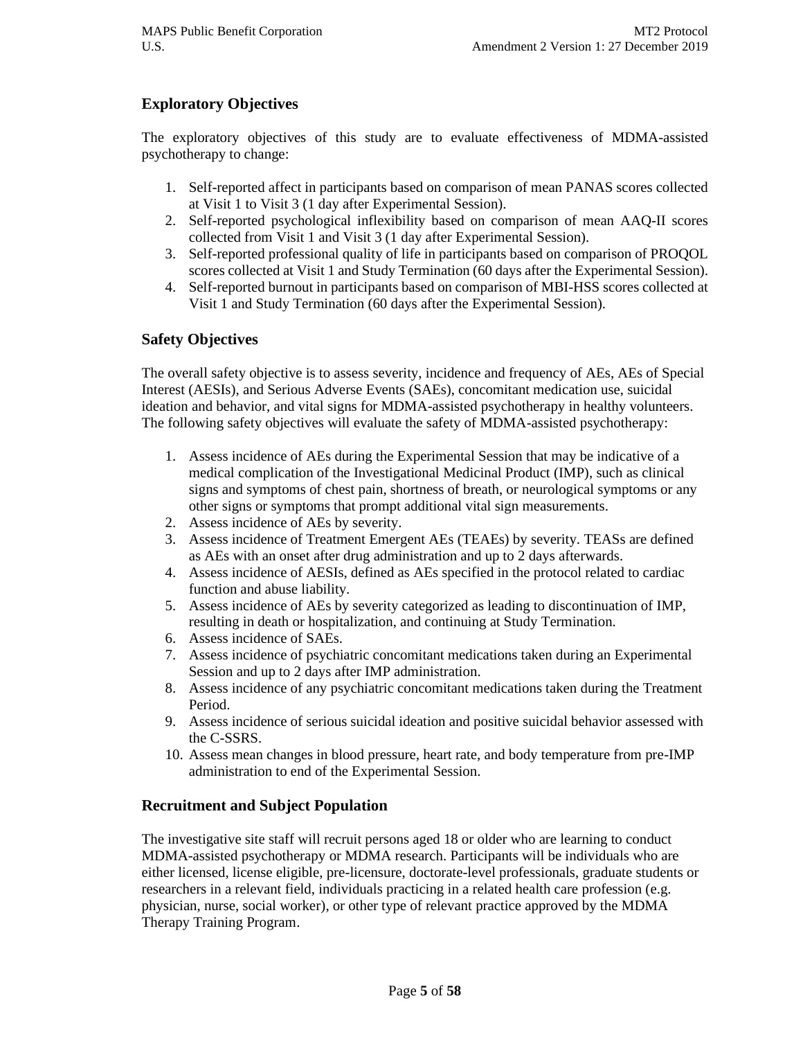## **Exploratory Objectives**

The exploratory objectives of this study are to evaluate effectiveness of MDMA-assisted psychotherapy to change:

- 1. Self-reported affect in participants based on comparison of mean PANAS scores collected at Visit 1 to Visit 3 (1 day after Experimental Session).
- 2. Self-reported psychological inflexibility based on comparison of mean AAQ-II scores collected from Visit 1 and Visit 3 (1 day after Experimental Session).
- 3. Self-reported professional quality of life in participants based on comparison of PROQOL scores collected at Visit 1 and Study Termination (60 days after the Experimental Session).
- 4. Self-reported burnout in participants based on comparison of MBI-HSS scores collected at Visit 1 and Study Termination (60 days after the Experimental Session).

#### **Safety Objectives**

The overall safety objective is to assess severity, incidence and frequency of AEs, AEs of Special Interest (AESIs), and Serious Adverse Events (SAEs), concomitant medication use, suicidal ideation and behavior, and vital signs for MDMA-assisted psychotherapy in healthy volunteers. The following safety objectives will evaluate the safety of MDMA-assisted psychotherapy:

- 1. Assess incidence of AEs during the Experimental Session that may be indicative of a medical complication of the Investigational Medicinal Product (IMP), such as clinical signs and symptoms of chest pain, shortness of breath, or neurological symptoms or any other signs or symptoms that prompt additional vital sign measurements.
- 2. Assess incidence of AEs by severity.
- 3. Assess incidence of Treatment Emergent AEs (TEAEs) by severity. TEASs are defined as AEs with an onset after drug administration and up to 2 days afterwards.
- 4. Assess incidence of AESIs, defined as AEs specified in the protocol related to cardiac function and abuse liability.
- 5. Assess incidence of AEs by severity categorized as leading to discontinuation of IMP, resulting in death or hospitalization, and continuing at Study Termination.
- 6. Assess incidence of SAEs.
- 7. Assess incidence of psychiatric concomitant medications taken during an Experimental Session and up to 2 days after IMP administration.
- 8. Assess incidence of any psychiatric concomitant medications taken during the Treatment Period.
- 9. Assess incidence of serious suicidal ideation and positive suicidal behavior assessed with the C-SSRS.
- 10. Assess mean changes in blood pressure, heart rate, and body temperature from pre-IMP administration to end of the Experimental Session.

#### **Recruitment and Subject Population**

The investigative site staff will recruit persons aged 18 or older who are learning to conduct MDMA-assisted psychotherapy or MDMA research. Participants will be individuals who are either licensed, license eligible, pre-licensure, doctorate-level professionals, graduate students or researchers in a relevant field, individuals practicing in a related health care profession (e.g. physician, nurse, social worker), or other type of relevant practice approved by the MDMA Therapy Training Program.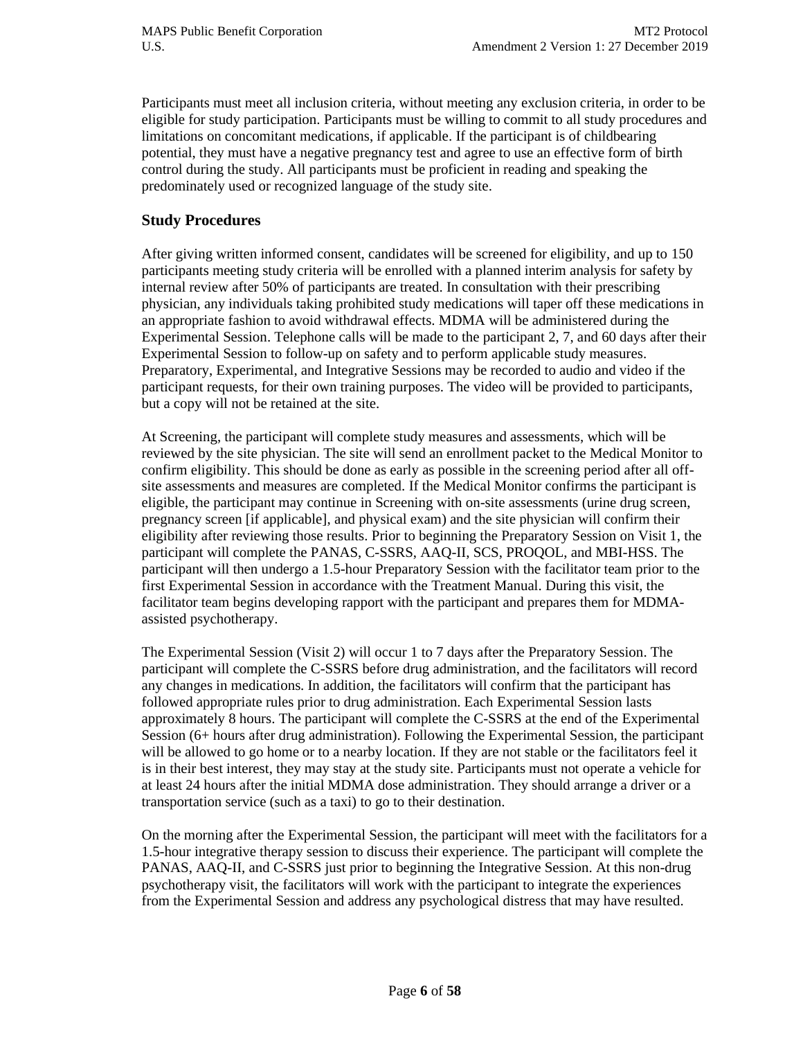Participants must meet all inclusion criteria, without meeting any exclusion criteria, in order to be eligible for study participation. Participants must be willing to commit to all study procedures and limitations on concomitant medications, if applicable. If the participant is of childbearing potential, they must have a negative pregnancy test and agree to use an effective form of birth control during the study. All participants must be proficient in reading and speaking the predominately used or recognized language of the study site.

#### **Study Procedures**

After giving written informed consent, candidates will be screened for eligibility, and up to 150 participants meeting study criteria will be enrolled with a planned interim analysis for safety by internal review after 50% of participants are treated. In consultation with their prescribing physician, any individuals taking prohibited study medications will taper off these medications in an appropriate fashion to avoid withdrawal effects. MDMA will be administered during the Experimental Session. Telephone calls will be made to the participant 2, 7, and 60 days after their Experimental Session to follow-up on safety and to perform applicable study measures. Preparatory, Experimental, and Integrative Sessions may be recorded to audio and video if the participant requests, for their own training purposes. The video will be provided to participants, but a copy will not be retained at the site.

At Screening, the participant will complete study measures and assessments, which will be reviewed by the site physician. The site will send an enrollment packet to the Medical Monitor to confirm eligibility. This should be done as early as possible in the screening period after all offsite assessments and measures are completed. If the Medical Monitor confirms the participant is eligible, the participant may continue in Screening with on-site assessments (urine drug screen, pregnancy screen [if applicable], and physical exam) and the site physician will confirm their eligibility after reviewing those results. Prior to beginning the Preparatory Session on Visit 1, the participant will complete the PANAS, C-SSRS, AAQ-II, SCS, PROQOL, and MBI-HSS. The participant will then undergo a 1.5-hour Preparatory Session with the facilitator team prior to the first Experimental Session in accordance with the Treatment Manual. During this visit, the facilitator team begins developing rapport with the participant and prepares them for MDMAassisted psychotherapy.

The Experimental Session (Visit 2) will occur 1 to 7 days after the Preparatory Session. The participant will complete the C-SSRS before drug administration, and the facilitators will record any changes in medications. In addition, the facilitators will confirm that the participant has followed appropriate rules prior to drug administration. Each Experimental Session lasts approximately 8 hours. The participant will complete the C-SSRS at the end of the Experimental Session (6+ hours after drug administration). Following the Experimental Session, the participant will be allowed to go home or to a nearby location. If they are not stable or the facilitators feel it is in their best interest, they may stay at the study site. Participants must not operate a vehicle for at least 24 hours after the initial MDMA dose administration. They should arrange a driver or a transportation service (such as a taxi) to go to their destination.

On the morning after the Experimental Session, the participant will meet with the facilitators for a 1.5-hour integrative therapy session to discuss their experience. The participant will complete the PANAS, AAQ-II, and C-SSRS just prior to beginning the Integrative Session. At this non-drug psychotherapy visit, the facilitators will work with the participant to integrate the experiences from the Experimental Session and address any psychological distress that may have resulted.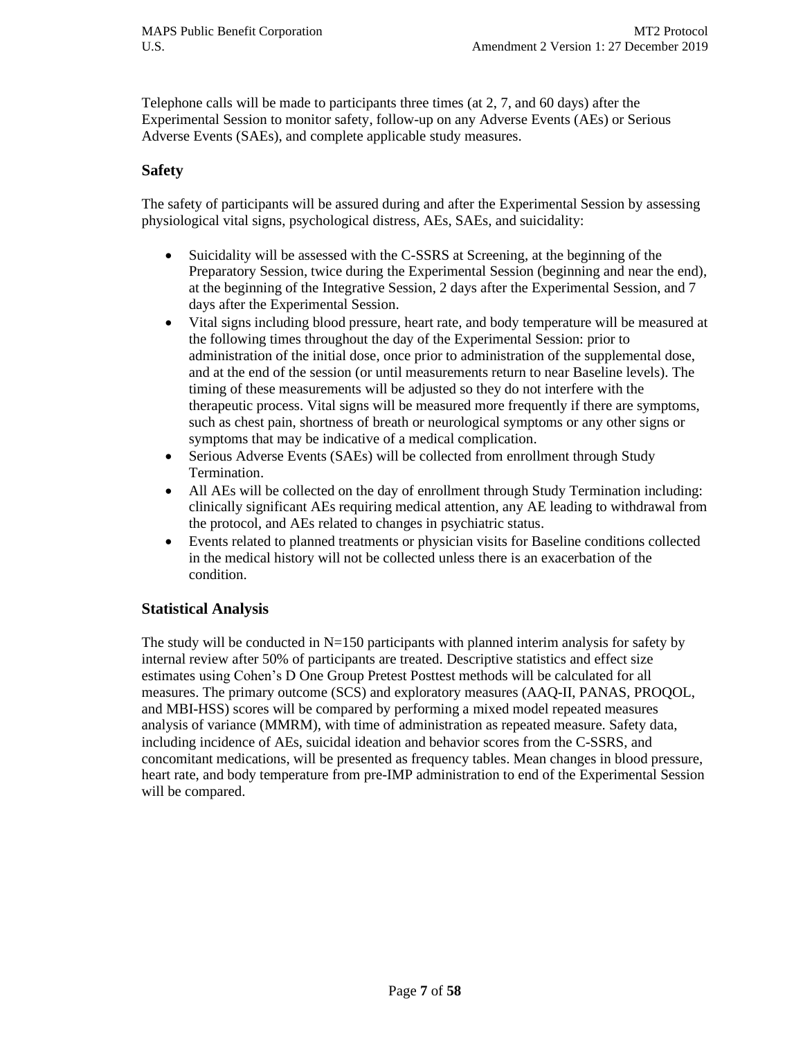Telephone calls will be made to participants three times (at 2, 7, and 60 days) after the Experimental Session to monitor safety, follow-up on any Adverse Events (AEs) or Serious Adverse Events (SAEs), and complete applicable study measures.

#### **Safety**

The safety of participants will be assured during and after the Experimental Session by assessing physiological vital signs, psychological distress, AEs, SAEs, and suicidality:

- Suicidality will be assessed with the C-SSRS at Screening, at the beginning of the Preparatory Session, twice during the Experimental Session (beginning and near the end), at the beginning of the Integrative Session, 2 days after the Experimental Session, and 7 days after the Experimental Session.
- Vital signs including blood pressure, heart rate, and body temperature will be measured at the following times throughout the day of the Experimental Session: prior to administration of the initial dose, once prior to administration of the supplemental dose, and at the end of the session (or until measurements return to near Baseline levels). The timing of these measurements will be adjusted so they do not interfere with the therapeutic process. Vital signs will be measured more frequently if there are symptoms, such as chest pain, shortness of breath or neurological symptoms or any other signs or symptoms that may be indicative of a medical complication.
- Serious Adverse Events (SAEs) will be collected from enrollment through Study Termination.
- All AEs will be collected on the day of enrollment through Study Termination including: clinically significant AEs requiring medical attention, any AE leading to withdrawal from the protocol, and AEs related to changes in psychiatric status.
- Events related to planned treatments or physician visits for Baseline conditions collected in the medical history will not be collected unless there is an exacerbation of the condition.

#### **Statistical Analysis**

The study will be conducted in  $N=150$  participants with planned interim analysis for safety by internal review after 50% of participants are treated. Descriptive statistics and effect size estimates using Cohen's D One Group Pretest Posttest methods will be calculated for all measures. The primary outcome (SCS) and exploratory measures (AAQ-II, PANAS, PROQOL, and MBI-HSS) scores will be compared by performing a mixed model repeated measures analysis of variance (MMRM), with time of administration as repeated measure. Safety data, including incidence of AEs, suicidal ideation and behavior scores from the C-SSRS, and concomitant medications, will be presented as frequency tables. Mean changes in blood pressure, heart rate, and body temperature from pre-IMP administration to end of the Experimental Session will be compared.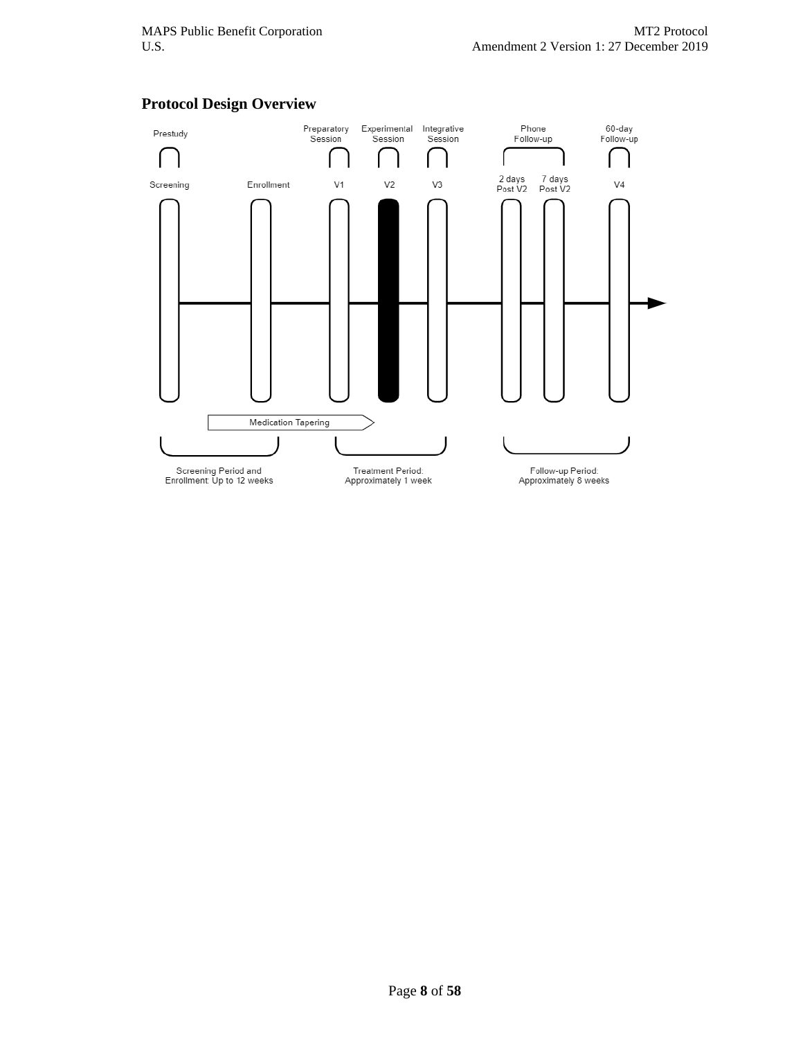

#### **Protocol Design Overview**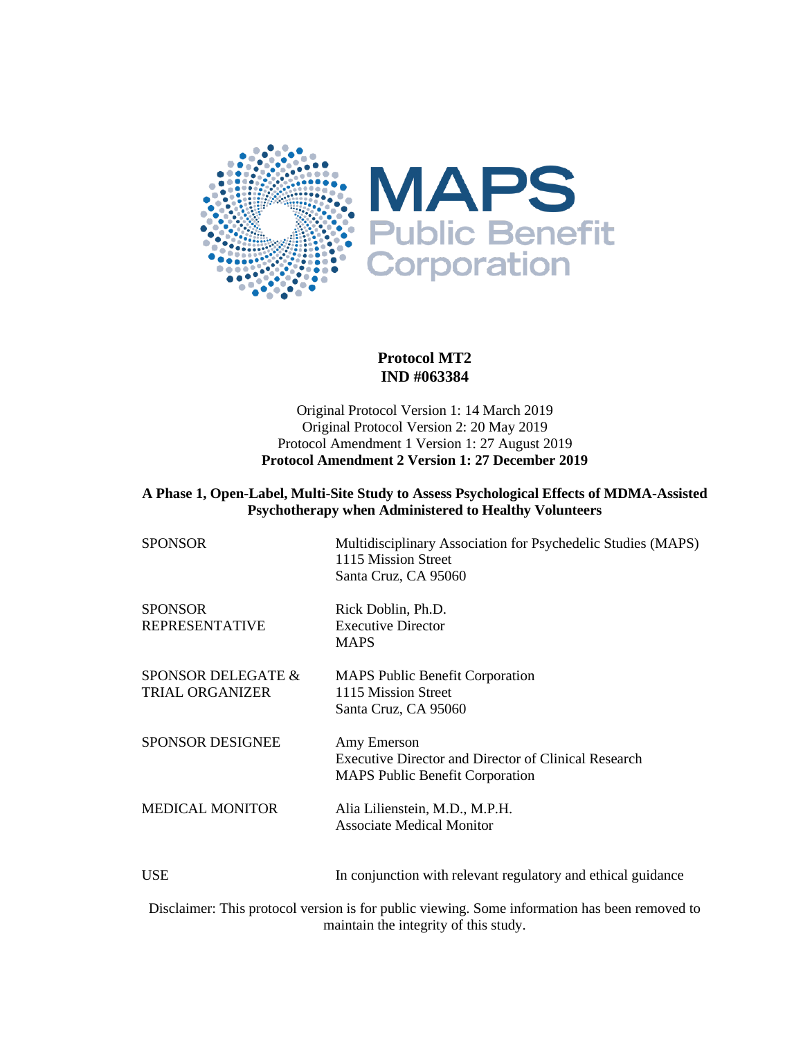

#### **Protocol MT2 IND #063384**

#### Original Protocol Version 1: 14 March 2019 Original Protocol Version 2: 20 May 2019 Protocol Amendment 1 Version 1: 27 August 2019 **Protocol Amendment 2 Version 1: 27 December 2019**

#### **A Phase 1, Open-Label, Multi-Site Study to Assess Psychological Effects of MDMA-Assisted Psychotherapy when Administered to Healthy Volunteers**

| <b>SPONSOR</b>                               | Multidisciplinary Association for Psychedelic Studies (MAPS)<br>1115 Mission Street<br>Santa Cruz, CA 95060          |
|----------------------------------------------|----------------------------------------------------------------------------------------------------------------------|
| SPONSOR<br>REPRESENTATIVE                    | Rick Doblin, Ph.D.<br><b>Executive Director</b><br><b>MAPS</b>                                                       |
| SPONSOR DELEGATE &<br><b>TRIAL ORGANIZER</b> | <b>MAPS Public Benefit Corporation</b><br>1115 Mission Street<br>Santa Cruz, CA 95060                                |
| <b>SPONSOR DESIGNEE</b>                      | Amy Emerson<br><b>Executive Director and Director of Clinical Research</b><br><b>MAPS Public Benefit Corporation</b> |
| <b>MEDICAL MONITOR</b>                       | Alia Lilienstein, M.D., M.P.H.<br><b>Associate Medical Monitor</b>                                                   |
| USE                                          | In conjunction with relevant regulatory and ethical guidance                                                         |
| $\mathbf{r}$<br>$\sim$                       | $\sim$ 1 $\sim$ 10 $\sim$ 11 $\sim$ 1 $\sim$ 0 $\sim$ 0 $\sim$ 1 $\sim$ 1                                            |

Disclaimer: This protocol version is for public viewing. Some information has been removed to maintain the integrity of this study.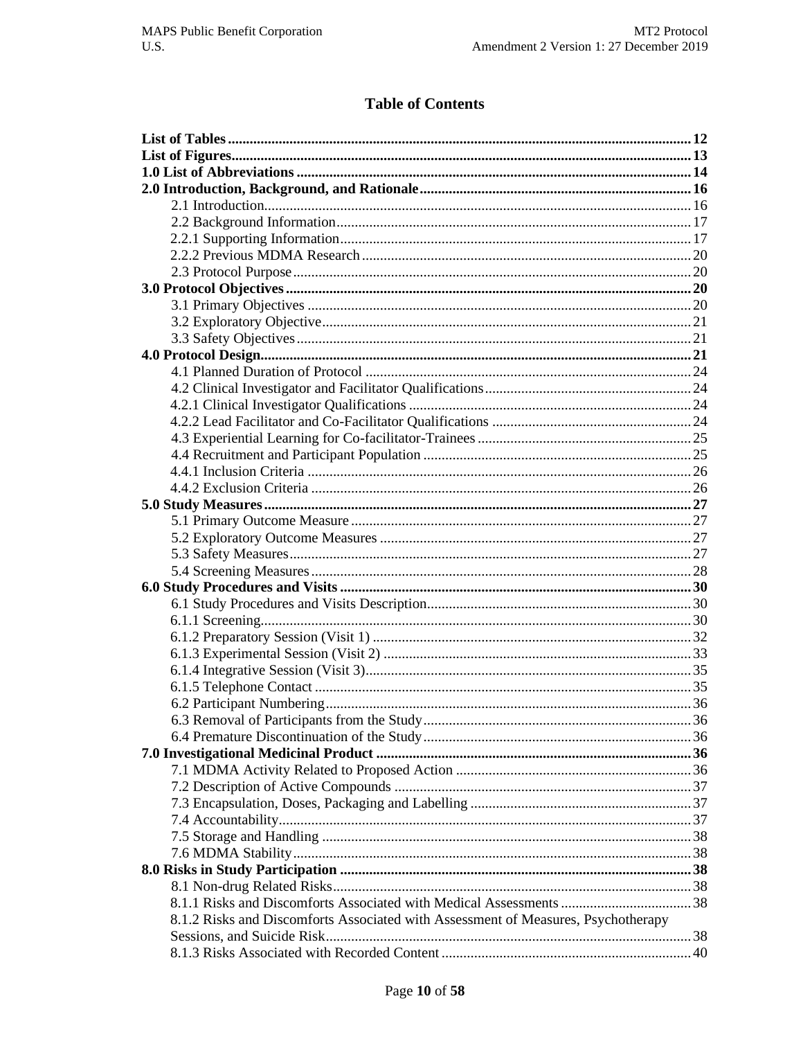# **Table of Contents**

| 8.1.2 Risks and Discomforts Associated with Assessment of Measures, Psychotherapy |  |
|-----------------------------------------------------------------------------------|--|
|                                                                                   |  |
|                                                                                   |  |
|                                                                                   |  |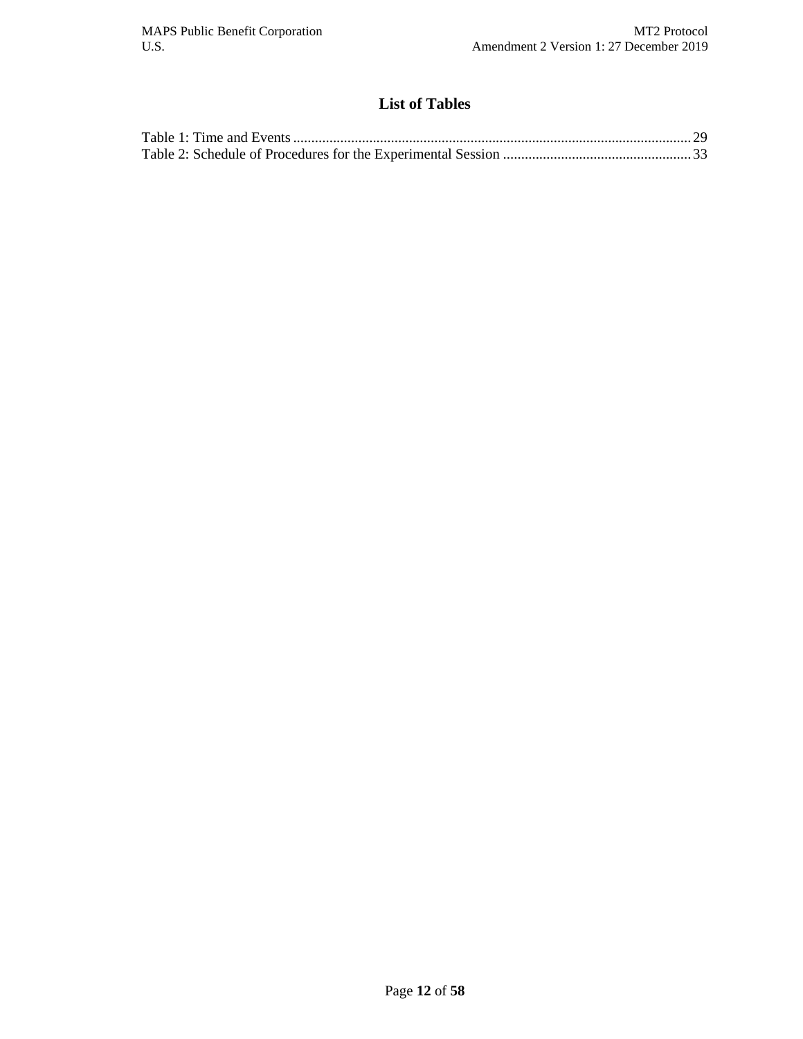# **List of Tables**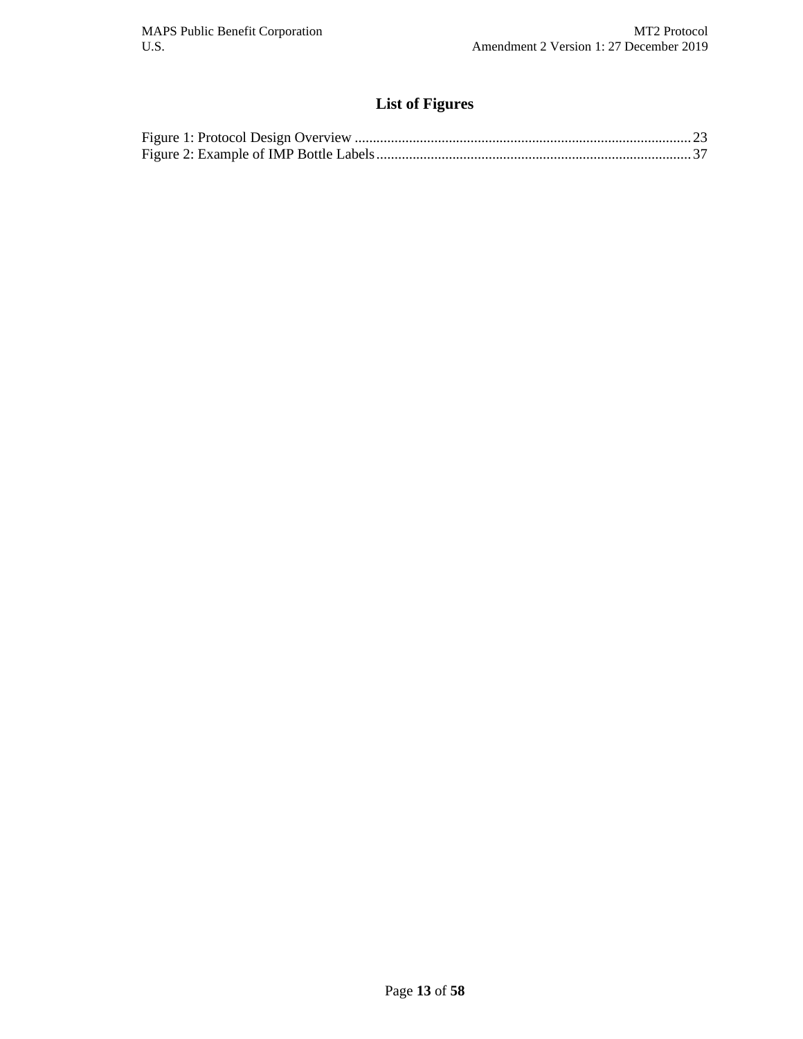# **List of Figures**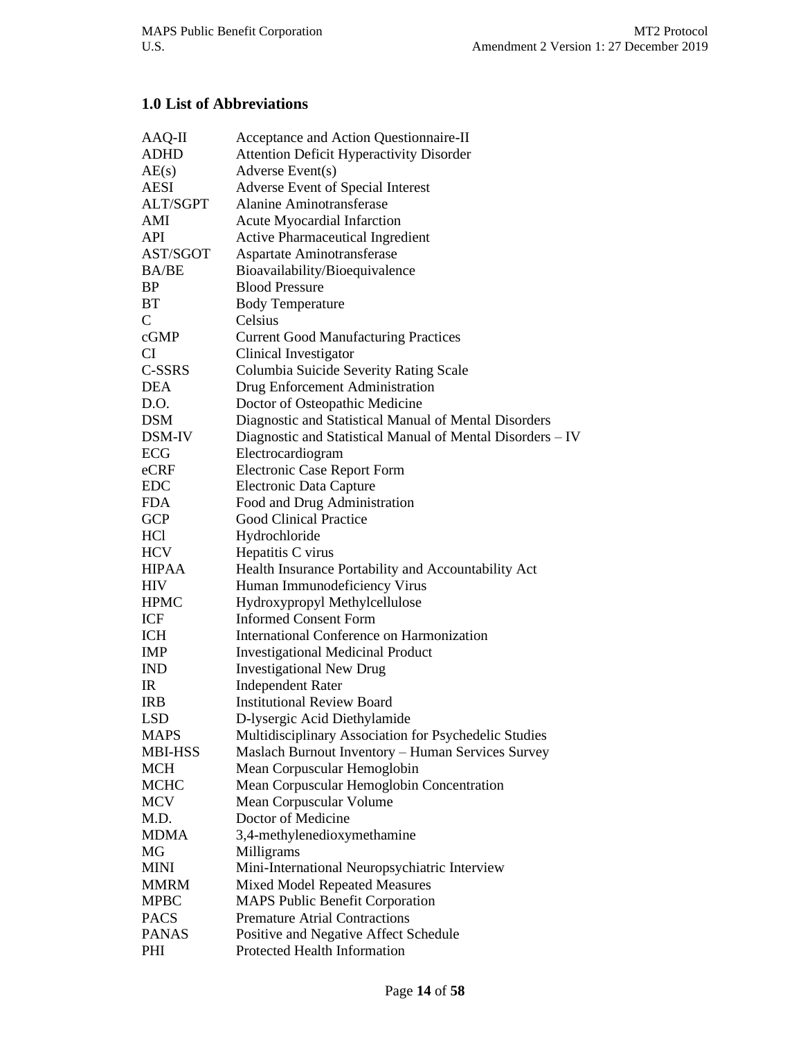# **1.0 List of Abbreviations**

| AAQ-II          | Acceptance and Action Questionnaire-II                     |
|-----------------|------------------------------------------------------------|
| <b>ADHD</b>     | <b>Attention Deficit Hyperactivity Disorder</b>            |
| AE(s)           | Adverse Event(s)                                           |
| AESI            | Adverse Event of Special Interest                          |
| <b>ALT/SGPT</b> | <b>Alanine Aminotransferase</b>                            |
| AMI             | <b>Acute Myocardial Infarction</b>                         |
| API             | <b>Active Pharmaceutical Ingredient</b>                    |
| AST/SGOT        | Aspartate Aminotransferase                                 |
| <b>BA/BE</b>    | Bioavailability/Bioequivalence                             |
| <b>BP</b>       | <b>Blood Pressure</b>                                      |
| BT              | <b>Body Temperature</b>                                    |
| $\mathsf{C}$    | Celsius                                                    |
| cGMP            | <b>Current Good Manufacturing Practices</b>                |
| CI              | Clinical Investigator                                      |
| C-SSRS          | Columbia Suicide Severity Rating Scale                     |
| <b>DEA</b>      | Drug Enforcement Administration                            |
| D.O.            | Doctor of Osteopathic Medicine                             |
| <b>DSM</b>      | Diagnostic and Statistical Manual of Mental Disorders      |
| DSM-IV          | Diagnostic and Statistical Manual of Mental Disorders - IV |
| ECG             | Electrocardiogram                                          |
| eCRF            | <b>Electronic Case Report Form</b>                         |
| <b>EDC</b>      | Electronic Data Capture                                    |
| <b>FDA</b>      | Food and Drug Administration                               |
| <b>GCP</b>      | <b>Good Clinical Practice</b>                              |
| HC <sub>1</sub> | Hydrochloride                                              |
| HCV             | Hepatitis C virus                                          |
| <b>HIPAA</b>    | Health Insurance Portability and Accountability Act        |
| <b>HIV</b>      | Human Immunodeficiency Virus                               |
| <b>HPMC</b>     | Hydroxypropyl Methylcellulose                              |
| ICF             | <b>Informed Consent Form</b>                               |
| <b>ICH</b>      | International Conference on Harmonization                  |
| <b>IMP</b>      | <b>Investigational Medicinal Product</b>                   |
| <b>IND</b>      | <b>Investigational New Drug</b>                            |
| $_{\rm IR}$     | <b>Independent Rater</b>                                   |
| <b>IRB</b>      | <b>Institutional Review Board</b>                          |
| <b>LSD</b>      | D-lysergic Acid Diethylamide                               |
| <b>MAPS</b>     | Multidisciplinary Association for Psychedelic Studies      |
| <b>MBI-HSS</b>  | Maslach Burnout Inventory - Human Services Survey          |
| <b>MCH</b>      | Mean Corpuscular Hemoglobin                                |
| <b>MCHC</b>     | Mean Corpuscular Hemoglobin Concentration                  |
| <b>MCV</b>      | Mean Corpuscular Volume                                    |
| M.D.            | Doctor of Medicine                                         |
| <b>MDMA</b>     | 3,4-methylenedioxymethamine                                |
| MG              | Milligrams                                                 |
| <b>MINI</b>     | Mini-International Neuropsychiatric Interview              |
| <b>MMRM</b>     | Mixed Model Repeated Measures                              |
| <b>MPBC</b>     | <b>MAPS Public Benefit Corporation</b>                     |
| <b>PACS</b>     | <b>Premature Atrial Contractions</b>                       |
| <b>PANAS</b>    | Positive and Negative Affect Schedule                      |
| PHI             | Protected Health Information                               |
|                 |                                                            |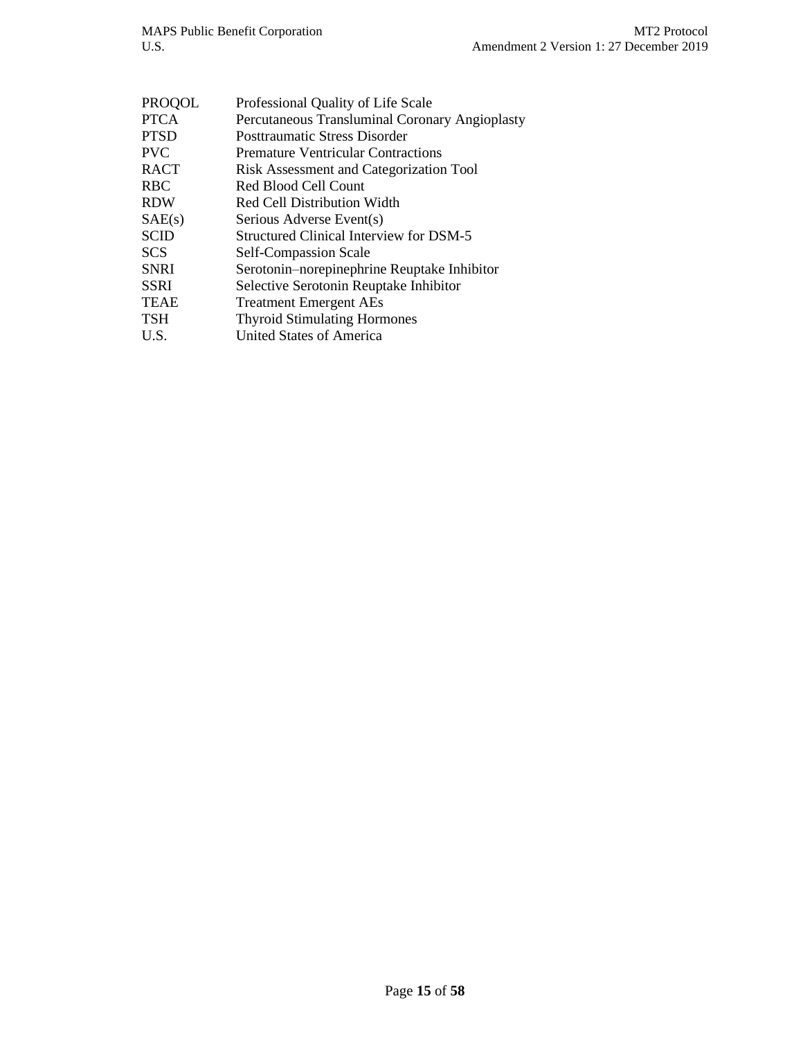| <b>PROQOL</b> | Professional Quality of Life Scale             |
|---------------|------------------------------------------------|
| <b>PTCA</b>   | Percutaneous Transluminal Coronary Angioplasty |
| <b>PTSD</b>   | <b>Posttraumatic Stress Disorder</b>           |
| <b>PVC</b>    | <b>Premature Ventricular Contractions</b>      |
| <b>RACT</b>   | Risk Assessment and Categorization Tool        |
| <b>RBC</b>    | Red Blood Cell Count                           |
| <b>RDW</b>    | <b>Red Cell Distribution Width</b>             |
| SAE(s)        | Serious Adverse Event(s)                       |
| <b>SCID</b>   | <b>Structured Clinical Interview for DSM-5</b> |
| <b>SCS</b>    | Self-Compassion Scale                          |
| <b>SNRI</b>   | Serotonin-norepinephrine Reuptake Inhibitor    |
| <b>SSRI</b>   | Selective Serotonin Reuptake Inhibitor         |
| <b>TEAE</b>   | <b>Treatment Emergent AEs</b>                  |
| <b>TSH</b>    | <b>Thyroid Stimulating Hormones</b>            |
| U.S.          | <b>United States of America</b>                |
|               |                                                |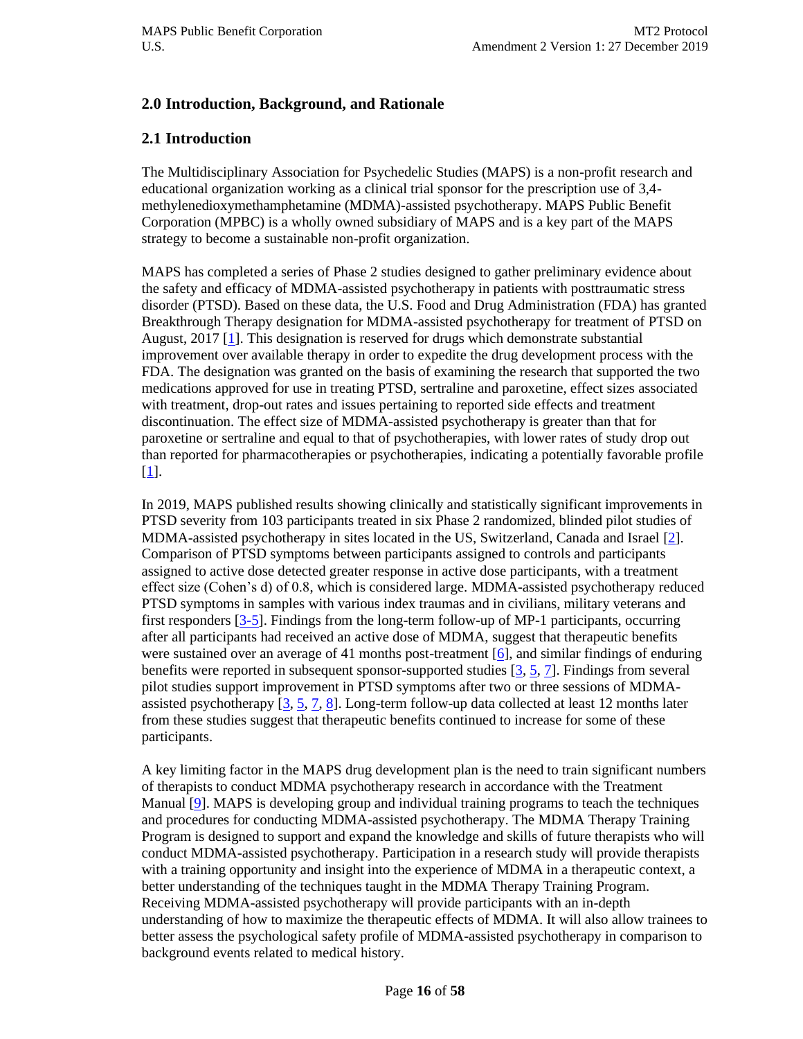## **2.0 Introduction, Background, and Rationale**

## **2.1 Introduction**

The Multidisciplinary Association for Psychedelic Studies (MAPS) is a non-profit research and educational organization working as a clinical trial sponsor for the prescription use of 3,4 methylenedioxymethamphetamine (MDMA)-assisted psychotherapy. MAPS Public Benefit Corporation (MPBC) is a wholly owned subsidiary of MAPS and is a key part of the MAPS strategy to become a sustainable non-profit organization.

MAPS has completed a series of Phase 2 studies designed to gather preliminary evidence about the safety and efficacy of MDMA-assisted psychotherapy in patients with posttraumatic stress disorder (PTSD). Based on these data, the U.S. Food and Drug Administration (FDA) has granted Breakthrough Therapy designation for MDMA-assisted psychotherapy for treatment of PTSD on August, 2017 [\[1\]](#page-54-0). This designation is reserved for drugs which demonstrate substantial improvement over available therapy in order to expedite the drug development process with the FDA. The designation was granted on the basis of examining the research that supported the two medications approved for use in treating PTSD, sertraline and paroxetine, effect sizes associated with treatment, drop-out rates and issues pertaining to reported side effects and treatment discontinuation. The effect size of MDMA-assisted psychotherapy is greater than that for paroxetine or sertraline and equal to that of psychotherapies, with lower rates of study drop out than reported for pharmacotherapies or psychotherapies, indicating a potentially favorable profile [\[1\]](#page-54-0).

In 2019, MAPS published results showing clinically and statistically significant improvements in PTSD severity from 103 participants treated in six Phase 2 randomized, blinded pilot studies of MDMA-assisted psychotherapy in sites located in the US, Switzerland, Canada and Israel [\[2\]](#page-54-1). Comparison of PTSD symptoms between participants assigned to controls and participants assigned to active dose detected greater response in active dose participants, with a treatment effect size (Cohen's d) of 0.8, which is considered large. MDMA-assisted psychotherapy reduced PTSD symptoms in samples with various index traumas and in civilians, military veterans and first responders [\[3-5\]](#page-54-2). Findings from the long-term follow-up of MP-1 participants, occurring after all participants had received an active dose of MDMA, suggest that therapeutic benefits were sustained over an average of 41 months post-treatment  $[6]$ , and similar findings of enduring benefits were reported in subsequent sponsor-supported studies [\[3,](#page-54-2) [5,](#page-54-4) [7\]](#page-54-5). Findings from several pilot studies support improvement in PTSD symptoms after two or three sessions of MDMAassisted psychotherapy  $[3, 5, 7, 8]$  $[3, 5, 7, 8]$  $[3, 5, 7, 8]$  $[3, 5, 7, 8]$ . Long-term follow-up data collected at least 12 months later from these studies suggest that therapeutic benefits continued to increase for some of these participants.

A key limiting factor in the MAPS drug development plan is the need to train significant numbers of therapists to conduct MDMA psychotherapy research in accordance with the Treatment Manual [\[9\]](#page-54-7). MAPS is developing group and individual training programs to teach the techniques and procedures for conducting MDMA-assisted psychotherapy. The MDMA Therapy Training Program is designed to support and expand the knowledge and skills of future therapists who will conduct MDMA-assisted psychotherapy. Participation in a research study will provide therapists with a training opportunity and insight into the experience of MDMA in a therapeutic context, a better understanding of the techniques taught in the MDMA Therapy Training Program. Receiving MDMA-assisted psychotherapy will provide participants with an in-depth understanding of how to maximize the therapeutic effects of MDMA. It will also allow trainees to better assess the psychological safety profile of MDMA-assisted psychotherapy in comparison to background events related to medical history.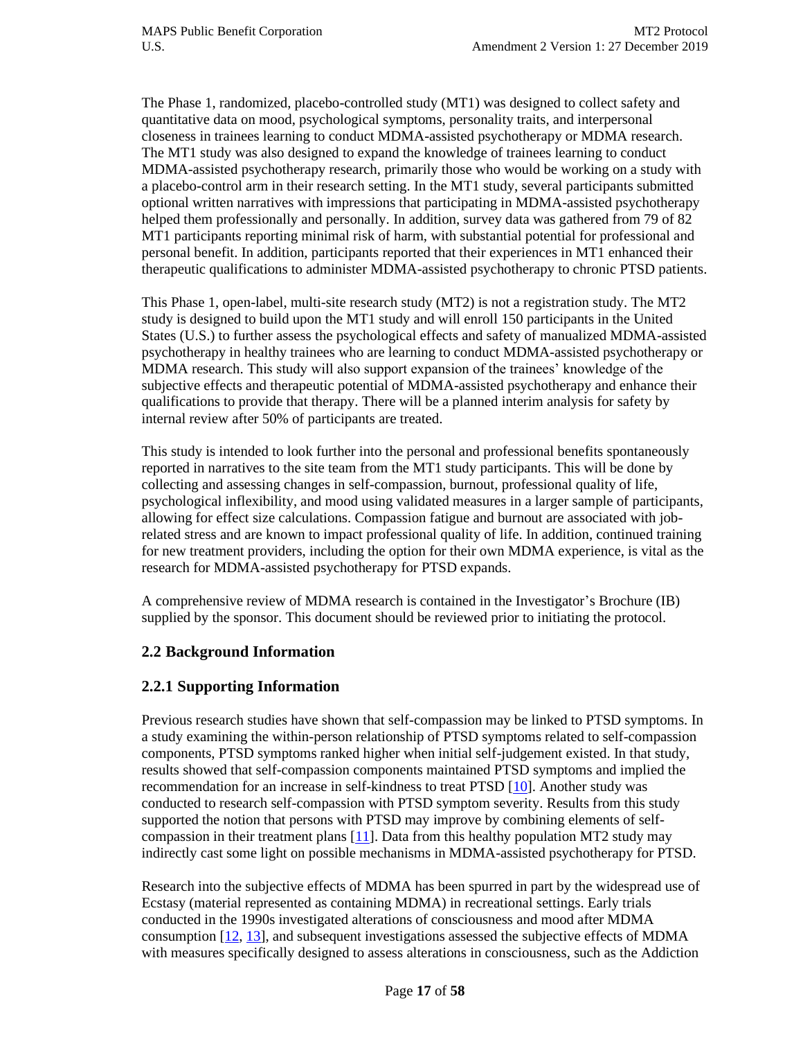The Phase 1, randomized, placebo-controlled study (MT1) was designed to collect safety and quantitative data on mood, psychological symptoms, personality traits, and interpersonal closeness in trainees learning to conduct MDMA-assisted psychotherapy or MDMA research. The MT1 study was also designed to expand the knowledge of trainees learning to conduct MDMA-assisted psychotherapy research, primarily those who would be working on a study with a placebo-control arm in their research setting. In the MT1 study, several participants submitted optional written narratives with impressions that participating in MDMA-assisted psychotherapy helped them professionally and personally. In addition, survey data was gathered from 79 of 82 MT1 participants reporting minimal risk of harm, with substantial potential for professional and personal benefit. In addition, participants reported that their experiences in MT1 enhanced their therapeutic qualifications to administer MDMA-assisted psychotherapy to chronic PTSD patients.

This Phase 1, open-label, multi-site research study (MT2) is not a registration study. The MT2 study is designed to build upon the MT1 study and will enroll 150 participants in the United States (U.S.) to further assess the psychological effects and safety of manualized MDMA-assisted psychotherapy in healthy trainees who are learning to conduct MDMA-assisted psychotherapy or MDMA research. This study will also support expansion of the trainees' knowledge of the subjective effects and therapeutic potential of MDMA-assisted psychotherapy and enhance their qualifications to provide that therapy. There will be a planned interim analysis for safety by internal review after 50% of participants are treated.

This study is intended to look further into the personal and professional benefits spontaneously reported in narratives to the site team from the MT1 study participants. This will be done by collecting and assessing changes in self-compassion, burnout, professional quality of life, psychological inflexibility, and mood using validated measures in a larger sample of participants, allowing for effect size calculations. Compassion fatigue and burnout are associated with jobrelated stress and are known to impact professional quality of life. In addition, continued training for new treatment providers, including the option for their own MDMA experience, is vital as the research for MDMA-assisted psychotherapy for PTSD expands.

A comprehensive review of MDMA research is contained in the Investigator's Brochure (IB) supplied by the sponsor. This document should be reviewed prior to initiating the protocol.

## **2.2 Background Information**

## **2.2.1 Supporting Information**

Previous research studies have shown that self-compassion may be linked to PTSD symptoms. In a study examining the within-person relationship of PTSD symptoms related to self-compassion components, PTSD symptoms ranked higher when initial self-judgement existed. In that study, results showed that self-compassion components maintained PTSD symptoms and implied the recommendation for an increase in self-kindness to treat PTSD [\[10\]](#page-54-8). Another study was conducted to research self-compassion with PTSD symptom severity. Results from this study supported the notion that persons with PTSD may improve by combining elements of selfcompassion in their treatment plans  $[11]$ . Data from this healthy population MT2 study may indirectly cast some light on possible mechanisms in MDMA-assisted psychotherapy for PTSD.

Research into the subjective effects of MDMA has been spurred in part by the widespread use of Ecstasy (material represented as containing MDMA) in recreational settings. Early trials conducted in the 1990s investigated alterations of consciousness and mood after MDMA consumption  $[12, 13]$  $[12, 13]$ , and subsequent investigations assessed the subjective effects of MDMA with measures specifically designed to assess alterations in consciousness, such as the Addiction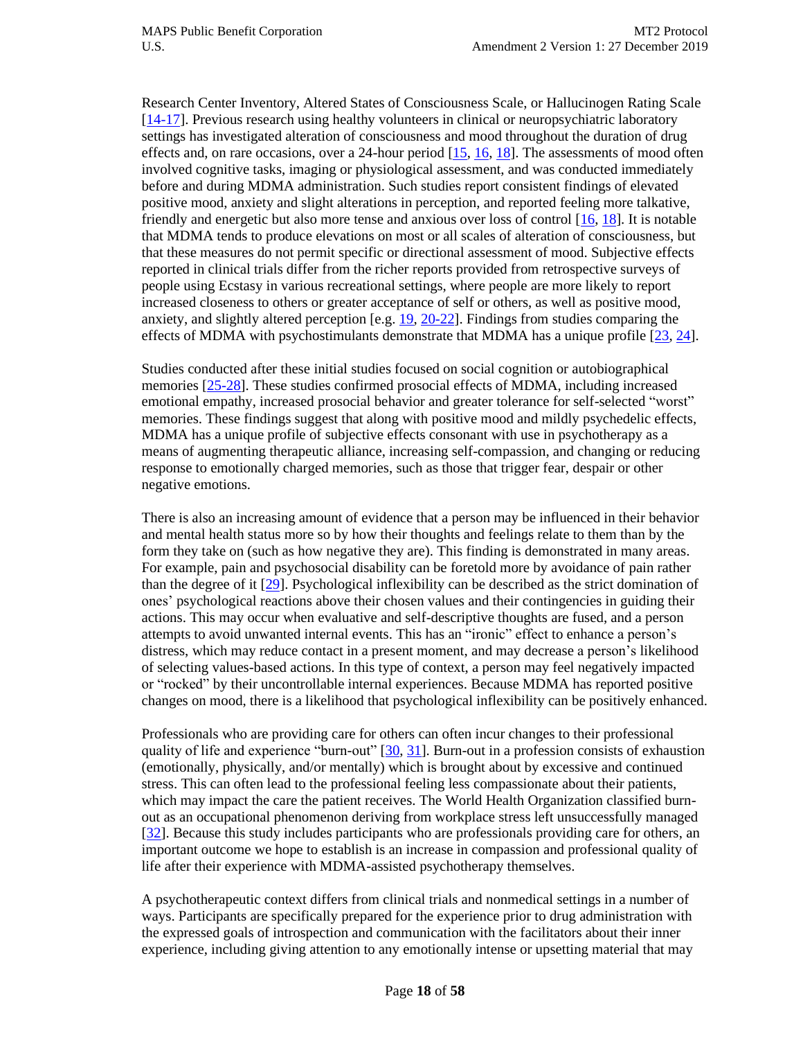Research Center Inventory, Altered States of Consciousness Scale, or Hallucinogen Rating Scale [\[14-17\]](#page-54-12). Previous research using healthy volunteers in clinical or neuropsychiatric laboratory settings has investigated alteration of consciousness and mood throughout the duration of drug effects and, on rare occasions, over a 24-hour period  $[15, 16, 18]$  $[15, 16, 18]$  $[15, 16, 18]$ . The assessments of mood often involved cognitive tasks, imaging or physiological assessment, and was conducted immediately before and during MDMA administration. Such studies report consistent findings of elevated positive mood, anxiety and slight alterations in perception, and reported feeling more talkative, friendly and energetic but also more tense and anxious over loss of control [\[16,](#page-55-0) [18\]](#page-55-1). It is notable that MDMA tends to produce elevations on most or all scales of alteration of consciousness, but that these measures do not permit specific or directional assessment of mood. Subjective effects reported in clinical trials differ from the richer reports provided from retrospective surveys of people using Ecstasy in various recreational settings, where people are more likely to report increased closeness to others or greater acceptance of self or others, as well as positive mood, anxiety, and slightly altered perception [e.g. [19,](#page-55-2) [20-22\]](#page-55-3). Findings from studies comparing the effects of MDMA with psychostimulants demonstrate that MDMA has a unique profile [\[23,](#page-55-4) [24\]](#page-55-5).

Studies conducted after these initial studies focused on social cognition or autobiographical memories [\[25-28\]](#page-55-6). These studies confirmed prosocial effects of MDMA, including increased emotional empathy, increased prosocial behavior and greater tolerance for self-selected "worst" memories. These findings suggest that along with positive mood and mildly psychedelic effects, MDMA has a unique profile of subjective effects consonant with use in psychotherapy as a means of augmenting therapeutic alliance, increasing self-compassion, and changing or reducing response to emotionally charged memories, such as those that trigger fear, despair or other negative emotions.

There is also an increasing amount of evidence that a person may be influenced in their behavior and mental health status more so by how their thoughts and feelings relate to them than by the form they take on (such as how negative they are). This finding is demonstrated in many areas. For example, pain and psychosocial disability can be foretold more by avoidance of pain rather than the degree of it [\[29\]](#page-55-7). Psychological inflexibility can be described as the strict domination of ones' psychological reactions above their chosen values and their contingencies in guiding their actions. This may occur when evaluative and self-descriptive thoughts are fused, and a person attempts to avoid unwanted internal events. This has an "ironic" effect to enhance a person's distress, which may reduce contact in a present moment, and may decrease a person's likelihood of selecting values-based actions. In this type of context, a person may feel negatively impacted or "rocked" by their uncontrollable internal experiences. Because MDMA has reported positive changes on mood, there is a likelihood that psychological inflexibility can be positively enhanced.

Professionals who are providing care for others can often incur changes to their professional quality of life and experience "burn-out" [\[30,](#page-55-8) [31\]](#page-55-9). Burn-out in a profession consists of exhaustion (emotionally, physically, and/or mentally) which is brought about by excessive and continued stress. This can often lead to the professional feeling less compassionate about their patients, which may impact the care the patient receives. The World Health Organization classified burnout as an occupational phenomenon deriving from workplace stress left unsuccessfully managed [\[32\]](#page-55-10). Because this study includes participants who are professionals providing care for others, an important outcome we hope to establish is an increase in compassion and professional quality of life after their experience with MDMA-assisted psychotherapy themselves.

A psychotherapeutic context differs from clinical trials and nonmedical settings in a number of ways. Participants are specifically prepared for the experience prior to drug administration with the expressed goals of introspection and communication with the facilitators about their inner experience, including giving attention to any emotionally intense or upsetting material that may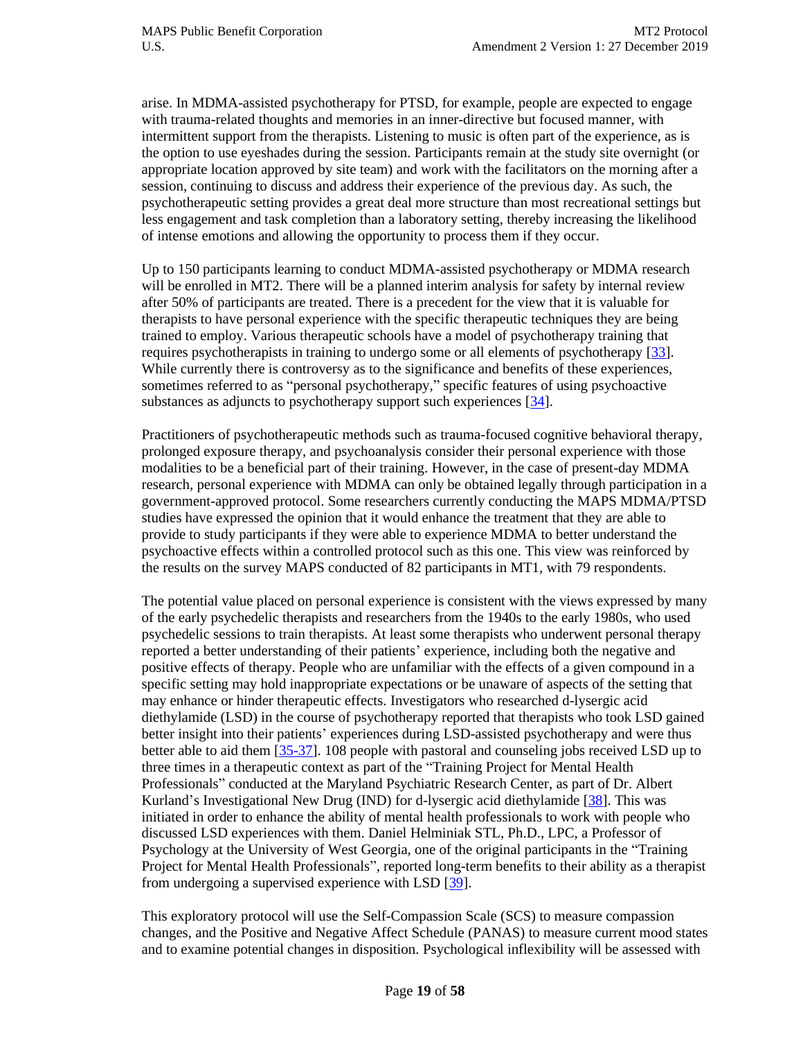arise. In MDMA-assisted psychotherapy for PTSD, for example, people are expected to engage with trauma-related thoughts and memories in an inner-directive but focused manner, with intermittent support from the therapists. Listening to music is often part of the experience, as is the option to use eyeshades during the session. Participants remain at the study site overnight (or appropriate location approved by site team) and work with the facilitators on the morning after a session, continuing to discuss and address their experience of the previous day. As such, the psychotherapeutic setting provides a great deal more structure than most recreational settings but less engagement and task completion than a laboratory setting, thereby increasing the likelihood of intense emotions and allowing the opportunity to process them if they occur.

Up to 150 participants learning to conduct MDMA-assisted psychotherapy or MDMA research will be enrolled in MT2. There will be a planned interim analysis for safety by internal review after 50% of participants are treated. There is a precedent for the view that it is valuable for therapists to have personal experience with the specific therapeutic techniques they are being trained to employ. Various therapeutic schools have a model of psychotherapy training that requires psychotherapists in training to undergo some or all elements of psychotherapy [\[33\]](#page-55-11). While currently there is controversy as to the significance and benefits of these experiences, sometimes referred to as "personal psychotherapy," specific features of using psychoactive substances as adjuncts to psychotherapy support such experiences [\[34\]](#page-55-12).

Practitioners of psychotherapeutic methods such as trauma-focused cognitive behavioral therapy, prolonged exposure therapy, and psychoanalysis consider their personal experience with those modalities to be a beneficial part of their training. However, in the case of present-day MDMA research, personal experience with MDMA can only be obtained legally through participation in a government-approved protocol. Some researchers currently conducting the MAPS MDMA/PTSD studies have expressed the opinion that it would enhance the treatment that they are able to provide to study participants if they were able to experience MDMA to better understand the psychoactive effects within a controlled protocol such as this one. This view was reinforced by the results on the survey MAPS conducted of 82 participants in MT1, with 79 respondents.

The potential value placed on personal experience is consistent with the views expressed by many of the early psychedelic therapists and researchers from the 1940s to the early 1980s, who used psychedelic sessions to train therapists. At least some therapists who underwent personal therapy reported a better understanding of their patients' experience, including both the negative and positive effects of therapy. People who are unfamiliar with the effects of a given compound in a specific setting may hold inappropriate expectations or be unaware of aspects of the setting that may enhance or hinder therapeutic effects. Investigators who researched d-lysergic acid diethylamide (LSD) in the course of psychotherapy reported that therapists who took LSD gained better insight into their patients' experiences during LSD-assisted psychotherapy and were thus better able to aid them [\[35-37\]](#page-55-13). 108 people with pastoral and counseling jobs received LSD up to three times in a therapeutic context as part of the "Training Project for Mental Health Professionals" conducted at the Maryland Psychiatric Research Center, as part of Dr. Albert Kurland's Investigational New Drug (IND) for d-lysergic acid diethylamide [\[38\]](#page-56-0). This was initiated in order to enhance the ability of mental health professionals to work with people who discussed LSD experiences with them. Daniel Helminiak STL, Ph.D., LPC, a Professor of Psychology at the University of West Georgia, one of the original participants in the "Training Project for Mental Health Professionals", reported long-term benefits to their ability as a therapist from undergoing a supervised experience with LSD [\[39\]](#page-56-1).

This exploratory protocol will use the Self-Compassion Scale (SCS) to measure compassion changes, and the Positive and Negative Affect Schedule (PANAS) to measure current mood states and to examine potential changes in disposition. Psychological inflexibility will be assessed with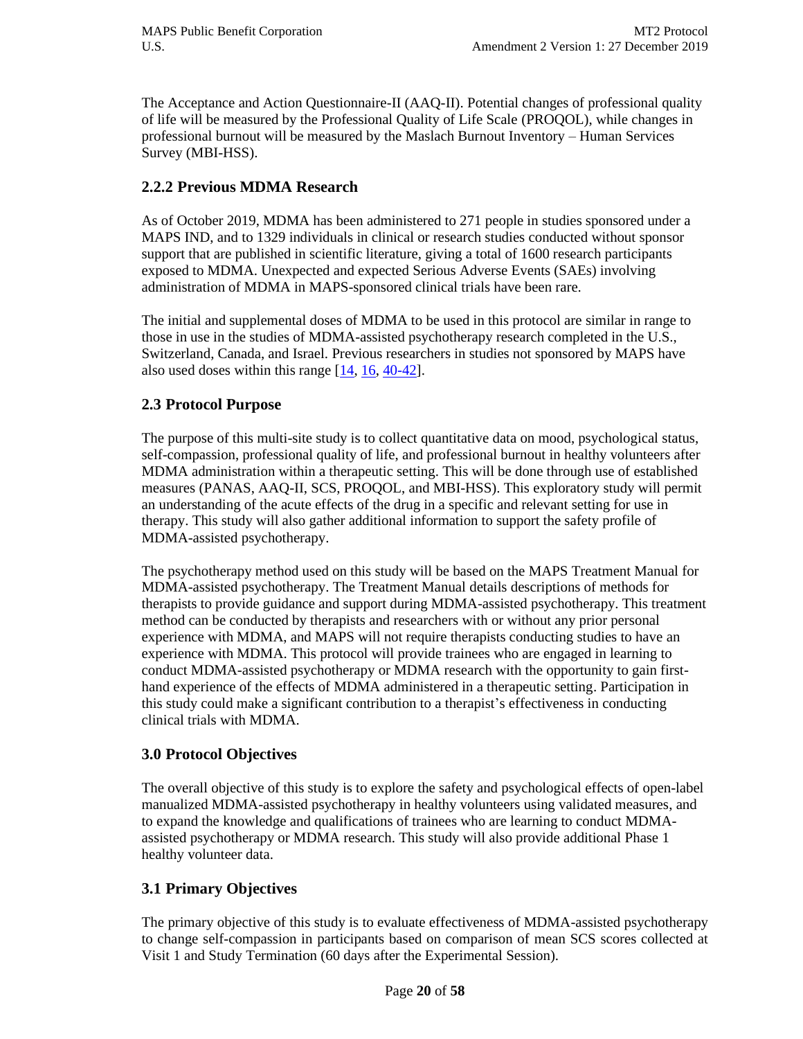The Acceptance and Action Questionnaire-II (AAQ-II). Potential changes of professional quality of life will be measured by the Professional Quality of Life Scale (PROQOL), while changes in professional burnout will be measured by the Maslach Burnout Inventory – Human Services Survey (MBI-HSS).

## **2.2.2 Previous MDMA Research**

As of October 2019, MDMA has been administered to 271 people in studies sponsored under a MAPS IND, and to 1329 individuals in clinical or research studies conducted without sponsor support that are published in scientific literature, giving a total of 1600 research participants exposed to MDMA. Unexpected and expected Serious Adverse Events (SAEs) involving administration of MDMA in MAPS-sponsored clinical trials have been rare.

The initial and supplemental doses of MDMA to be used in this protocol are similar in range to those in use in the studies of MDMA-assisted psychotherapy research completed in the U.S., Switzerland, Canada, and Israel. Previous researchers in studies not sponsored by MAPS have also used doses within this range [\[14,](#page-54-12) [16,](#page-55-0) [40-42\]](#page-56-2).

#### **2.3 Protocol Purpose**

The purpose of this multi-site study is to collect quantitative data on mood, psychological status, self-compassion, professional quality of life, and professional burnout in healthy volunteers after MDMA administration within a therapeutic setting. This will be done through use of established measures (PANAS, AAQ-II, SCS, PROQOL, and MBI-HSS). This exploratory study will permit an understanding of the acute effects of the drug in a specific and relevant setting for use in therapy. This study will also gather additional information to support the safety profile of MDMA-assisted psychotherapy.

The psychotherapy method used on this study will be based on the MAPS Treatment Manual for MDMA-assisted psychotherapy. The Treatment Manual details descriptions of methods for therapists to provide guidance and support during MDMA-assisted psychotherapy. This treatment method can be conducted by therapists and researchers with or without any prior personal experience with MDMA, and MAPS will not require therapists conducting studies to have an experience with MDMA. This protocol will provide trainees who are engaged in learning to conduct MDMA-assisted psychotherapy or MDMA research with the opportunity to gain firsthand experience of the effects of MDMA administered in a therapeutic setting. Participation in this study could make a significant contribution to a therapist's effectiveness in conducting clinical trials with MDMA.

#### **3.0 Protocol Objectives**

The overall objective of this study is to explore the safety and psychological effects of open-label manualized MDMA-assisted psychotherapy in healthy volunteers using validated measures, and to expand the knowledge and qualifications of trainees who are learning to conduct MDMAassisted psychotherapy or MDMA research. This study will also provide additional Phase 1 healthy volunteer data.

## **3.1 Primary Objectives**

The primary objective of this study is to evaluate effectiveness of MDMA-assisted psychotherapy to change self-compassion in participants based on comparison of mean SCS scores collected at Visit 1 and Study Termination (60 days after the Experimental Session).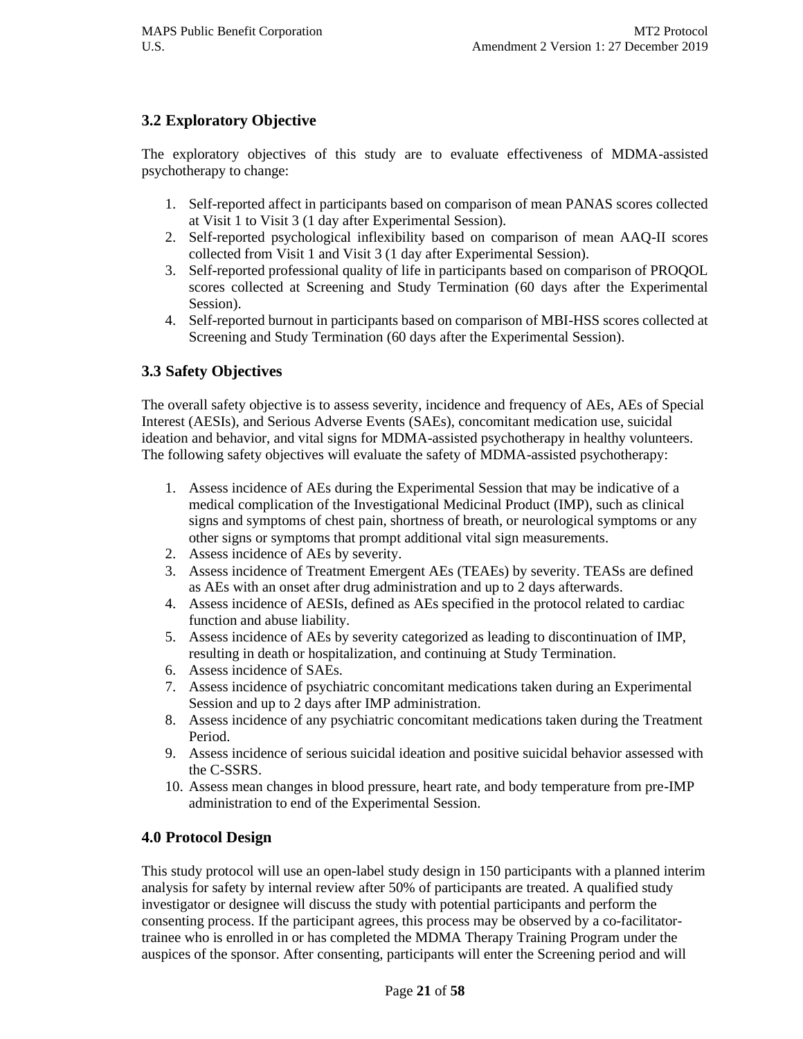## **3.2 Exploratory Objective**

The exploratory objectives of this study are to evaluate effectiveness of MDMA-assisted psychotherapy to change:

- 1. Self-reported affect in participants based on comparison of mean PANAS scores collected at Visit 1 to Visit 3 (1 day after Experimental Session).
- 2. Self-reported psychological inflexibility based on comparison of mean AAQ-II scores collected from Visit 1 and Visit 3 (1 day after Experimental Session).
- 3. Self-reported professional quality of life in participants based on comparison of PROQOL scores collected at Screening and Study Termination (60 days after the Experimental Session).
- 4. Self-reported burnout in participants based on comparison of MBI-HSS scores collected at Screening and Study Termination (60 days after the Experimental Session).

## **3.3 Safety Objectives**

The overall safety objective is to assess severity, incidence and frequency of AEs, AEs of Special Interest (AESIs), and Serious Adverse Events (SAEs), concomitant medication use, suicidal ideation and behavior, and vital signs for MDMA-assisted psychotherapy in healthy volunteers. The following safety objectives will evaluate the safety of MDMA-assisted psychotherapy:

- 1. Assess incidence of AEs during the Experimental Session that may be indicative of a medical complication of the Investigational Medicinal Product (IMP), such as clinical signs and symptoms of chest pain, shortness of breath, or neurological symptoms or any other signs or symptoms that prompt additional vital sign measurements.
- 2. Assess incidence of AEs by severity.
- 3. Assess incidence of Treatment Emergent AEs (TEAEs) by severity. TEASs are defined as AEs with an onset after drug administration and up to 2 days afterwards.
- 4. Assess incidence of AESIs, defined as AEs specified in the protocol related to cardiac function and abuse liability.
- 5. Assess incidence of AEs by severity categorized as leading to discontinuation of IMP, resulting in death or hospitalization, and continuing at Study Termination.
- 6. Assess incidence of SAEs.
- 7. Assess incidence of psychiatric concomitant medications taken during an Experimental Session and up to 2 days after IMP administration.
- 8. Assess incidence of any psychiatric concomitant medications taken during the Treatment Period.
- 9. Assess incidence of serious suicidal ideation and positive suicidal behavior assessed with the C-SSRS.
- 10. Assess mean changes in blood pressure, heart rate, and body temperature from pre-IMP administration to end of the Experimental Session.

## **4.0 Protocol Design**

This study protocol will use an open-label study design in 150 participants with a planned interim analysis for safety by internal review after 50% of participants are treated. A qualified study investigator or designee will discuss the study with potential participants and perform the consenting process. If the participant agrees, this process may be observed by a co-facilitatortrainee who is enrolled in or has completed the MDMA Therapy Training Program under the auspices of the sponsor. After consenting, participants will enter the Screening period and will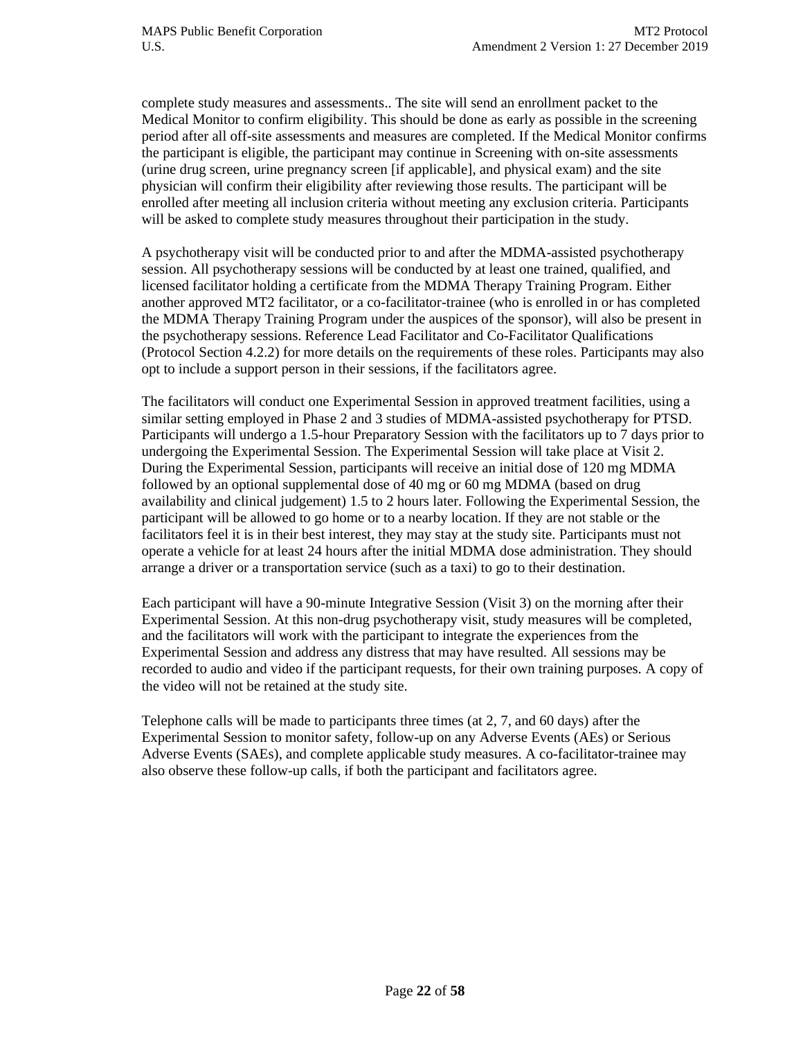complete study measures and assessments.. The site will send an enrollment packet to the Medical Monitor to confirm eligibility. This should be done as early as possible in the screening period after all off-site assessments and measures are completed. If the Medical Monitor confirms the participant is eligible, the participant may continue in Screening with on-site assessments (urine drug screen, urine pregnancy screen [if applicable], and physical exam) and the site physician will confirm their eligibility after reviewing those results. The participant will be enrolled after meeting all inclusion criteria without meeting any exclusion criteria. Participants will be asked to complete study measures throughout their participation in the study.

A psychotherapy visit will be conducted prior to and after the MDMA-assisted psychotherapy session. All psychotherapy sessions will be conducted by at least one trained, qualified, and licensed facilitator holding a certificate from the MDMA Therapy Training Program. Either another approved MT2 facilitator, or a co-facilitator-trainee (who is enrolled in or has completed the MDMA Therapy Training Program under the auspices of the sponsor), will also be present in the psychotherapy sessions. Reference Lead Facilitator and Co-Facilitator Qualifications (Protocol Section 4.2.2) for more details on the requirements of these roles. Participants may also opt to include a support person in their sessions, if the facilitators agree.

The facilitators will conduct one Experimental Session in approved treatment facilities, using a similar setting employed in Phase 2 and 3 studies of MDMA-assisted psychotherapy for PTSD. Participants will undergo a 1.5-hour Preparatory Session with the facilitators up to 7 days prior to undergoing the Experimental Session. The Experimental Session will take place at Visit 2. During the Experimental Session, participants will receive an initial dose of 120 mg MDMA followed by an optional supplemental dose of 40 mg or 60 mg MDMA (based on drug availability and clinical judgement) 1.5 to 2 hours later. Following the Experimental Session, the participant will be allowed to go home or to a nearby location. If they are not stable or the facilitators feel it is in their best interest, they may stay at the study site. Participants must not operate a vehicle for at least 24 hours after the initial MDMA dose administration. They should arrange a driver or a transportation service (such as a taxi) to go to their destination.

Each participant will have a 90-minute Integrative Session (Visit 3) on the morning after their Experimental Session. At this non-drug psychotherapy visit, study measures will be completed, and the facilitators will work with the participant to integrate the experiences from the Experimental Session and address any distress that may have resulted. All sessions may be recorded to audio and video if the participant requests, for their own training purposes. A copy of the video will not be retained at the study site.

Telephone calls will be made to participants three times (at 2, 7, and 60 days) after the Experimental Session to monitor safety, follow-up on any Adverse Events (AEs) or Serious Adverse Events (SAEs), and complete applicable study measures. A co-facilitator-trainee may also observe these follow-up calls, if both the participant and facilitators agree.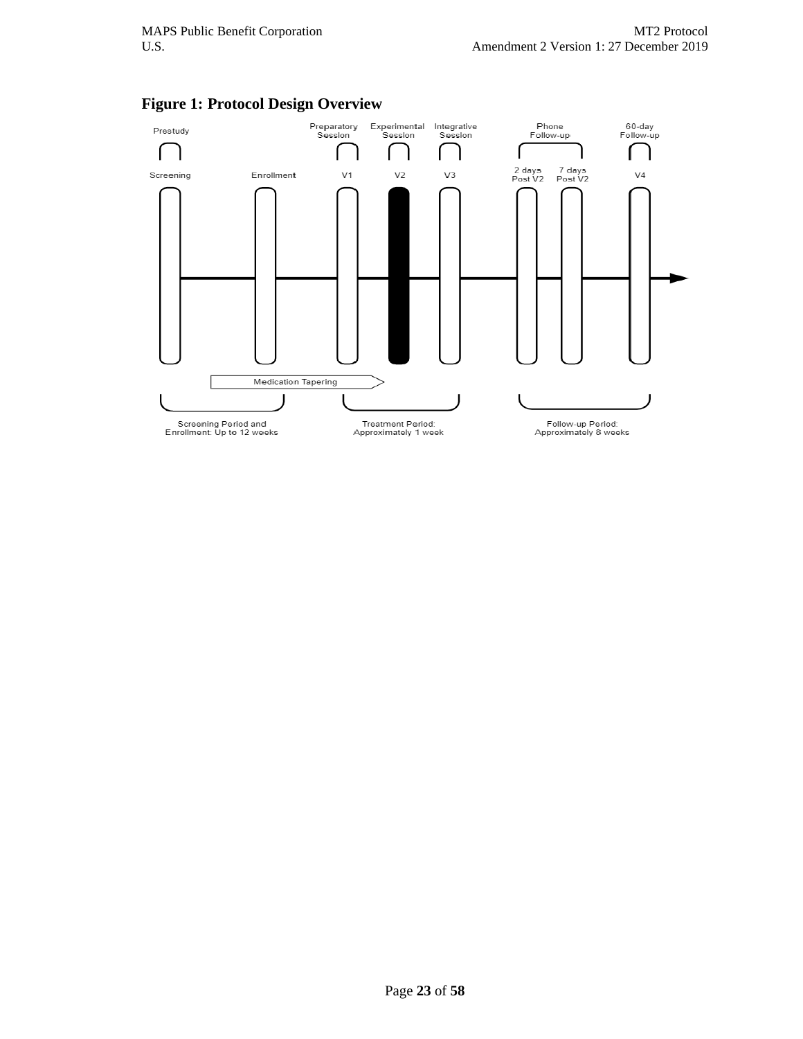

#### **Figure 1: Protocol Design Overview**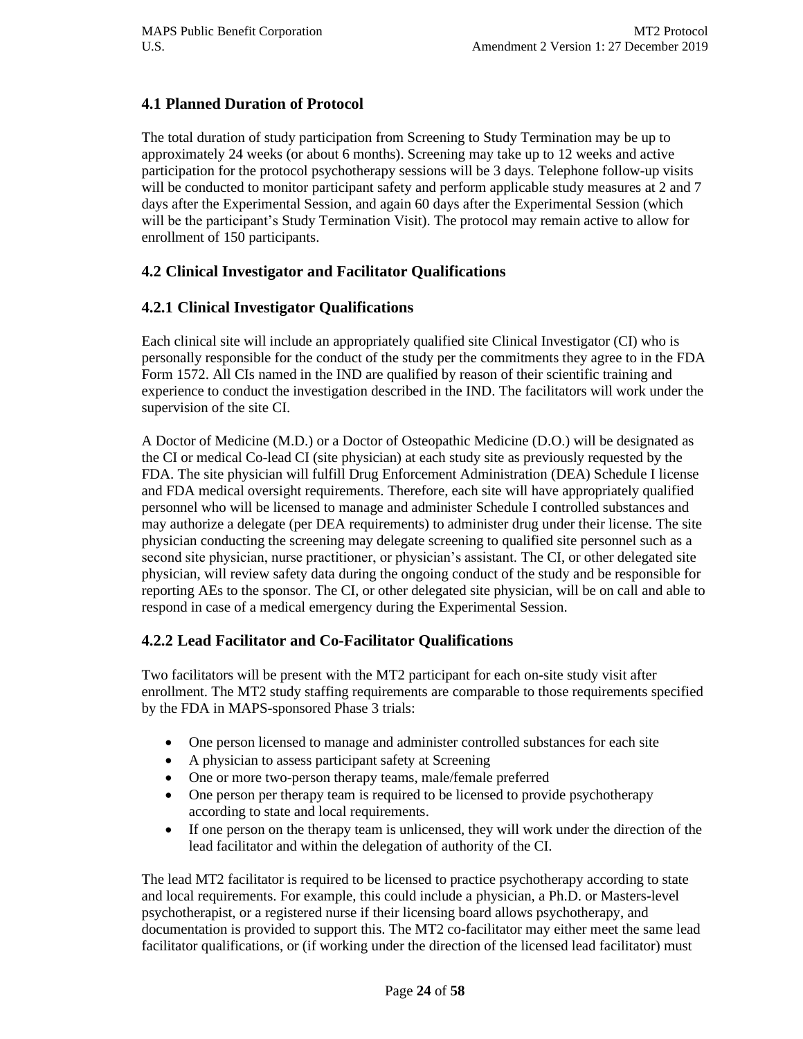## **4.1 Planned Duration of Protocol**

The total duration of study participation from Screening to Study Termination may be up to approximately 24 weeks (or about 6 months). Screening may take up to 12 weeks and active participation for the protocol psychotherapy sessions will be 3 days. Telephone follow-up visits will be conducted to monitor participant safety and perform applicable study measures at 2 and 7 days after the Experimental Session, and again 60 days after the Experimental Session (which will be the participant's Study Termination Visit). The protocol may remain active to allow for enrollment of 150 participants.

## **4.2 Clinical Investigator and Facilitator Qualifications**

## **4.2.1 Clinical Investigator Qualifications**

Each clinical site will include an appropriately qualified site Clinical Investigator (CI) who is personally responsible for the conduct of the study per the commitments they agree to in the FDA Form 1572. All CIs named in the IND are qualified by reason of their scientific training and experience to conduct the investigation described in the IND. The facilitators will work under the supervision of the site CI.

A Doctor of Medicine (M.D.) or a Doctor of Osteopathic Medicine (D.O.) will be designated as the CI or medical Co-lead CI (site physician) at each study site as previously requested by the FDA. The site physician will fulfill Drug Enforcement Administration (DEA) Schedule I license and FDA medical oversight requirements. Therefore, each site will have appropriately qualified personnel who will be licensed to manage and administer Schedule I controlled substances and may authorize a delegate (per DEA requirements) to administer drug under their license. The site physician conducting the screening may delegate screening to qualified site personnel such as a second site physician, nurse practitioner, or physician's assistant. The CI, or other delegated site physician, will review safety data during the ongoing conduct of the study and be responsible for reporting AEs to the sponsor. The CI, or other delegated site physician, will be on call and able to respond in case of a medical emergency during the Experimental Session.

## **4.2.2 Lead Facilitator and Co-Facilitator Qualifications**

Two facilitators will be present with the MT2 participant for each on-site study visit after enrollment. The MT2 study staffing requirements are comparable to those requirements specified by the FDA in MAPS-sponsored Phase 3 trials:

- One person licensed to manage and administer controlled substances for each site
- A physician to assess participant safety at Screening
- One or more two-person therapy teams, male/female preferred
- One person per therapy team is required to be licensed to provide psychotherapy according to state and local requirements.
- If one person on the therapy team is unlicensed, they will work under the direction of the lead facilitator and within the delegation of authority of the CI.

The lead MT2 facilitator is required to be licensed to practice psychotherapy according to state and local requirements. For example, this could include a physician, a Ph.D. or Masters-level psychotherapist, or a registered nurse if their licensing board allows psychotherapy, and documentation is provided to support this. The MT2 co-facilitator may either meet the same lead facilitator qualifications, or (if working under the direction of the licensed lead facilitator) must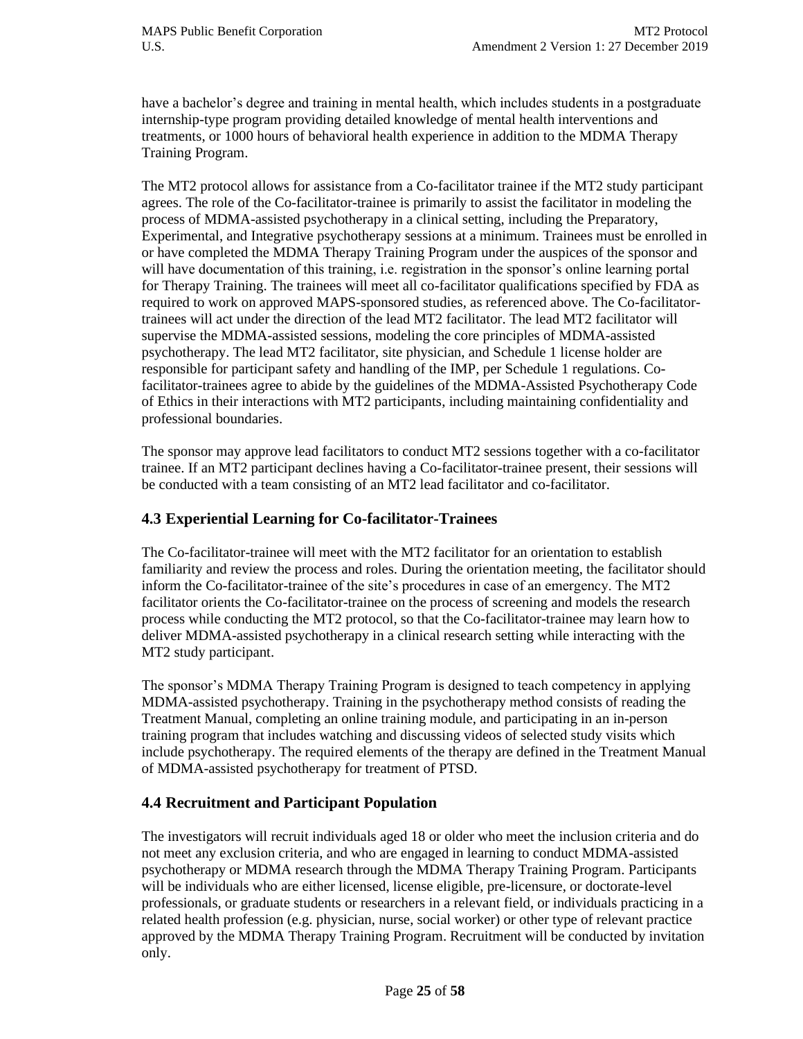have a bachelor's degree and training in mental health, which includes students in a postgraduate internship-type program providing detailed knowledge of mental health interventions and treatments, or 1000 hours of behavioral health experience in addition to the MDMA Therapy Training Program.

The MT2 protocol allows for assistance from a Co-facilitator trainee if the MT2 study participant agrees. The role of the Co-facilitator-trainee is primarily to assist the facilitator in modeling the process of MDMA-assisted psychotherapy in a clinical setting, including the Preparatory, Experimental, and Integrative psychotherapy sessions at a minimum. Trainees must be enrolled in or have completed the MDMA Therapy Training Program under the auspices of the sponsor and will have documentation of this training, i.e. registration in the sponsor's online learning portal for Therapy Training. The trainees will meet all co-facilitator qualifications specified by FDA as required to work on approved MAPS-sponsored studies, as referenced above. The Co-facilitatortrainees will act under the direction of the lead MT2 facilitator. The lead MT2 facilitator will supervise the MDMA-assisted sessions, modeling the core principles of MDMA-assisted psychotherapy. The lead MT2 facilitator, site physician, and Schedule 1 license holder are responsible for participant safety and handling of the IMP, per Schedule 1 regulations. Cofacilitator-trainees agree to abide by the guidelines of the MDMA-Assisted Psychotherapy Code of Ethics in their interactions with MT2 participants, including maintaining confidentiality and professional boundaries.

The sponsor may approve lead facilitators to conduct MT2 sessions together with a co-facilitator trainee. If an MT2 participant declines having a Co-facilitator-trainee present, their sessions will be conducted with a team consisting of an MT2 lead facilitator and co-facilitator.

## **4.3 Experiential Learning for Co-facilitator-Trainees**

The Co-facilitator-trainee will meet with the MT2 facilitator for an orientation to establish familiarity and review the process and roles. During the orientation meeting, the facilitator should inform the Co-facilitator-trainee of the site's procedures in case of an emergency. The MT2 facilitator orients the Co-facilitator-trainee on the process of screening and models the research process while conducting the MT2 protocol, so that the Co-facilitator-trainee may learn how to deliver MDMA-assisted psychotherapy in a clinical research setting while interacting with the MT2 study participant.

The sponsor's MDMA Therapy Training Program is designed to teach competency in applying MDMA-assisted psychotherapy. Training in the psychotherapy method consists of reading the Treatment Manual, completing an online training module, and participating in an in-person training program that includes watching and discussing videos of selected study visits which include psychotherapy. The required elements of the therapy are defined in the Treatment Manual of MDMA-assisted psychotherapy for treatment of PTSD.

## **4.4 Recruitment and Participant Population**

The investigators will recruit individuals aged 18 or older who meet the inclusion criteria and do not meet any exclusion criteria, and who are engaged in learning to conduct MDMA-assisted psychotherapy or MDMA research through the MDMA Therapy Training Program. Participants will be individuals who are either licensed, license eligible, pre-licensure, or doctorate-level professionals, or graduate students or researchers in a relevant field, or individuals practicing in a related health profession (e.g. physician, nurse, social worker) or other type of relevant practice approved by the MDMA Therapy Training Program. Recruitment will be conducted by invitation only.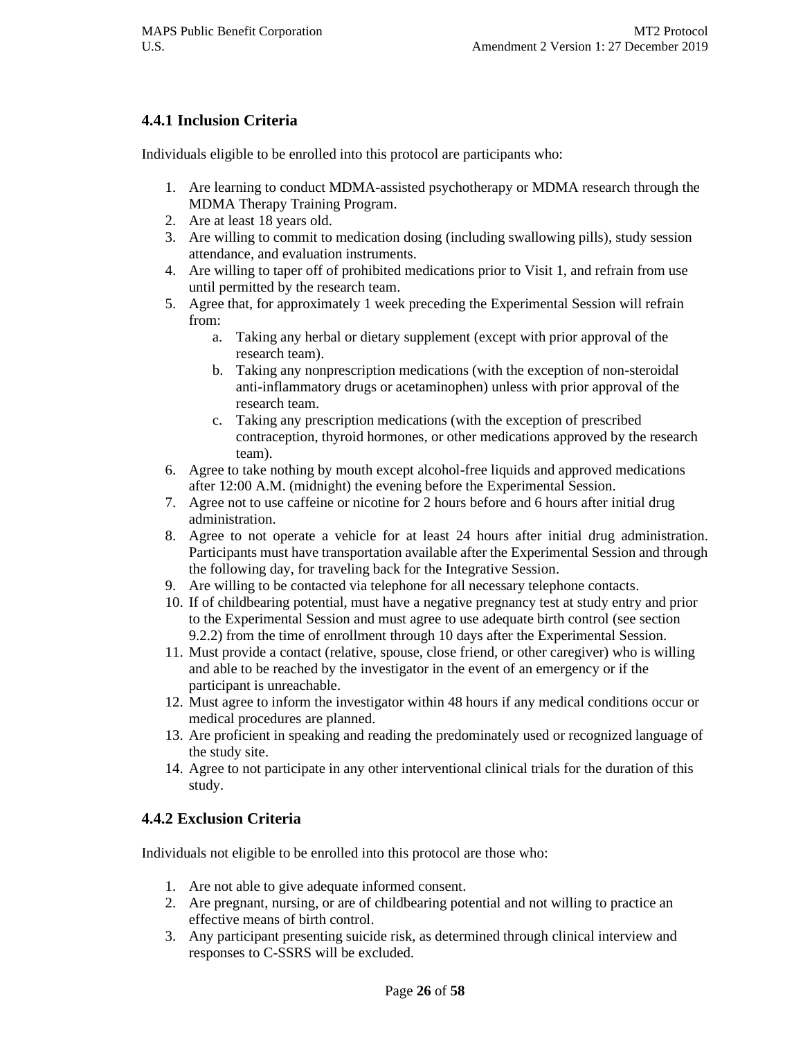## **4.4.1 Inclusion Criteria**

Individuals eligible to be enrolled into this protocol are participants who:

- 1. Are learning to conduct MDMA-assisted psychotherapy or MDMA research through the MDMA Therapy Training Program.
- 2. Are at least 18 years old.
- 3. Are willing to commit to medication dosing (including swallowing pills), study session attendance, and evaluation instruments.
- 4. Are willing to taper off of prohibited medications prior to Visit 1, and refrain from use until permitted by the research team.
- 5. Agree that, for approximately 1 week preceding the Experimental Session will refrain from:
	- a. Taking any herbal or dietary supplement (except with prior approval of the research team).
	- b. Taking any nonprescription medications (with the exception of non-steroidal anti-inflammatory drugs or acetaminophen) unless with prior approval of the research team.
	- c. Taking any prescription medications (with the exception of prescribed contraception, thyroid hormones, or other medications approved by the research team).
- 6. Agree to take nothing by mouth except alcohol-free liquids and approved medications after 12:00 A.M. (midnight) the evening before the Experimental Session.
- 7. Agree not to use caffeine or nicotine for 2 hours before and 6 hours after initial drug administration.
- 8. Agree to not operate a vehicle for at least 24 hours after initial drug administration. Participants must have transportation available after the Experimental Session and through the following day, for traveling back for the Integrative Session.
- 9. Are willing to be contacted via telephone for all necessary telephone contacts.
- 10. If of childbearing potential, must have a negative pregnancy test at study entry and prior to the Experimental Session and must agree to use adequate birth control (see section 9.2.2) from the time of enrollment through 10 days after the Experimental Session.
- 11. Must provide a contact (relative, spouse, close friend, or other caregiver) who is willing and able to be reached by the investigator in the event of an emergency or if the participant is unreachable.
- 12. Must agree to inform the investigator within 48 hours if any medical conditions occur or medical procedures are planned.
- 13. Are proficient in speaking and reading the predominately used or recognized language of the study site.
- 14. Agree to not participate in any other interventional clinical trials for the duration of this study.

## **4.4.2 Exclusion Criteria**

Individuals not eligible to be enrolled into this protocol are those who:

- 1. Are not able to give adequate informed consent.
- 2. Are pregnant, nursing, or are of childbearing potential and not willing to practice an effective means of birth control.
- 3. Any participant presenting suicide risk, as determined through clinical interview and responses to C-SSRS will be excluded.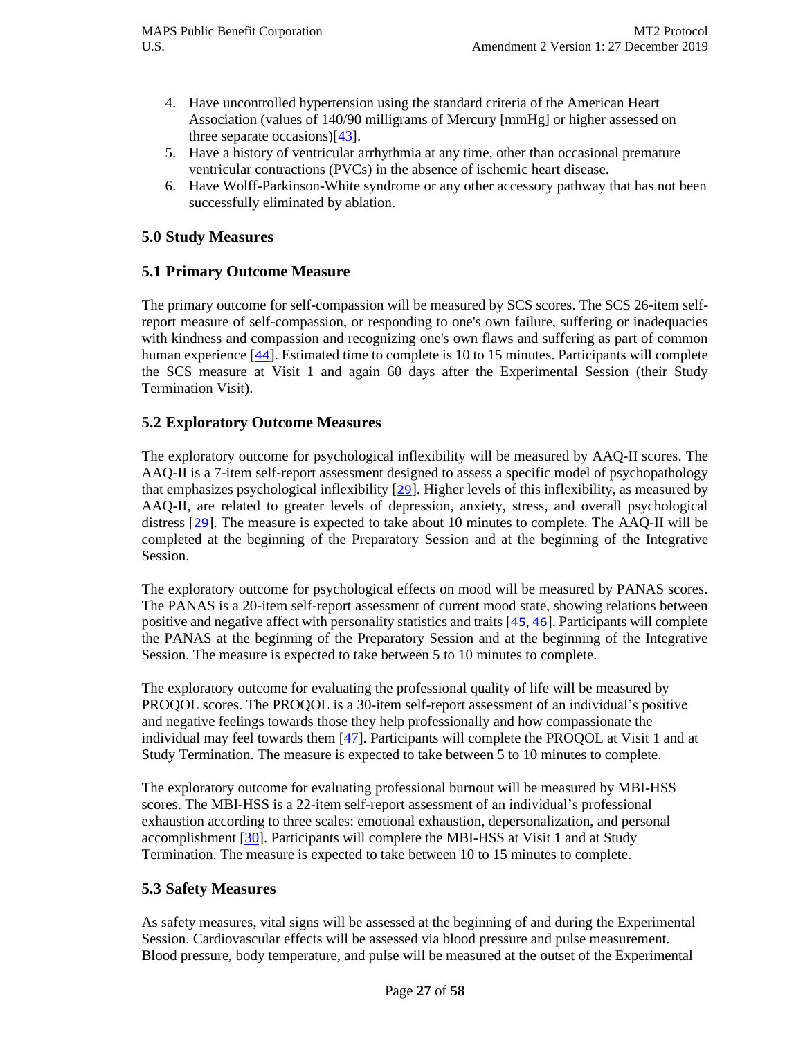- 4. Have uncontrolled hypertension using the standard criteria of the American Heart Association (values of 140/90 milligrams of Mercury [mmHg] or higher assessed on three separate occasions)[\[43\]](#page-56-3).
- 5. Have a history of ventricular arrhythmia at any time, other than occasional premature ventricular contractions (PVCs) in the absence of ischemic heart disease.
- 6. Have Wolff-Parkinson-White syndrome or any other accessory pathway that has not been successfully eliminated by ablation.

#### **5.0 Study Measures**

#### **5.1 Primary Outcome Measure**

The primary outcome for self-compassion will be measured by SCS scores. The SCS 26-item selfreport measure of self-compassion, or responding to one's own failure, suffering or inadequacies with kindness and compassion and recognizing one's own flaws and suffering as part of common human experience [[44](#page-56-4)]. Estimated time to complete is 10 to 15 minutes. Participants will complete the SCS measure at Visit 1 and again 60 days after the Experimental Session (their Study Termination Visit).

#### **5.2 Exploratory Outcome Measures**

The exploratory outcome for psychological inflexibility will be measured by AAQ-II scores. The AAQ-II is a 7-item self-report assessment designed to assess a specific model of psychopathology that emphasizes psychological inflexibility [[29](#page-55-7)]. Higher levels of this inflexibility, as measured by AAQ-II, are related to greater levels of depression, anxiety, stress, and overall psychological distress [[29](#page-55-7)]. The measure is expected to take about 10 minutes to complete. The AAQ-II will be completed at the beginning of the Preparatory Session and at the beginning of the Integrative Session.

The exploratory outcome for psychological effects on mood will be measured by PANAS scores. The PANAS is a 20-item self-report assessment of current mood state, showing relations between positive and negative affect with personality statistics and traits [[45](#page-56-5), [46](#page-56-6)]. Participants will complete the PANAS at the beginning of the Preparatory Session and at the beginning of the Integrative Session. The measure is expected to take between 5 to 10 minutes to complete.

The exploratory outcome for evaluating the professional quality of life will be measured by PROQOL scores. The PROQOL is a 30-item self-report assessment of an individual's positive and negative feelings towards those they help professionally and how compassionate the individual may feel towards them [\[47\]](#page-56-7). Participants will complete the PROQOL at Visit 1 and at Study Termination. The measure is expected to take between 5 to 10 minutes to complete.

The exploratory outcome for evaluating professional burnout will be measured by MBI-HSS scores. The MBI-HSS is a 22-item self-report assessment of an individual's professional exhaustion according to three scales: emotional exhaustion, depersonalization, and personal accomplishment [\[30\]](#page-55-8). Participants will complete the MBI-HSS at Visit 1 and at Study Termination. The measure is expected to take between 10 to 15 minutes to complete.

#### **5.3 Safety Measures**

As safety measures, vital signs will be assessed at the beginning of and during the Experimental Session. Cardiovascular effects will be assessed via blood pressure and pulse measurement. Blood pressure, body temperature, and pulse will be measured at the outset of the Experimental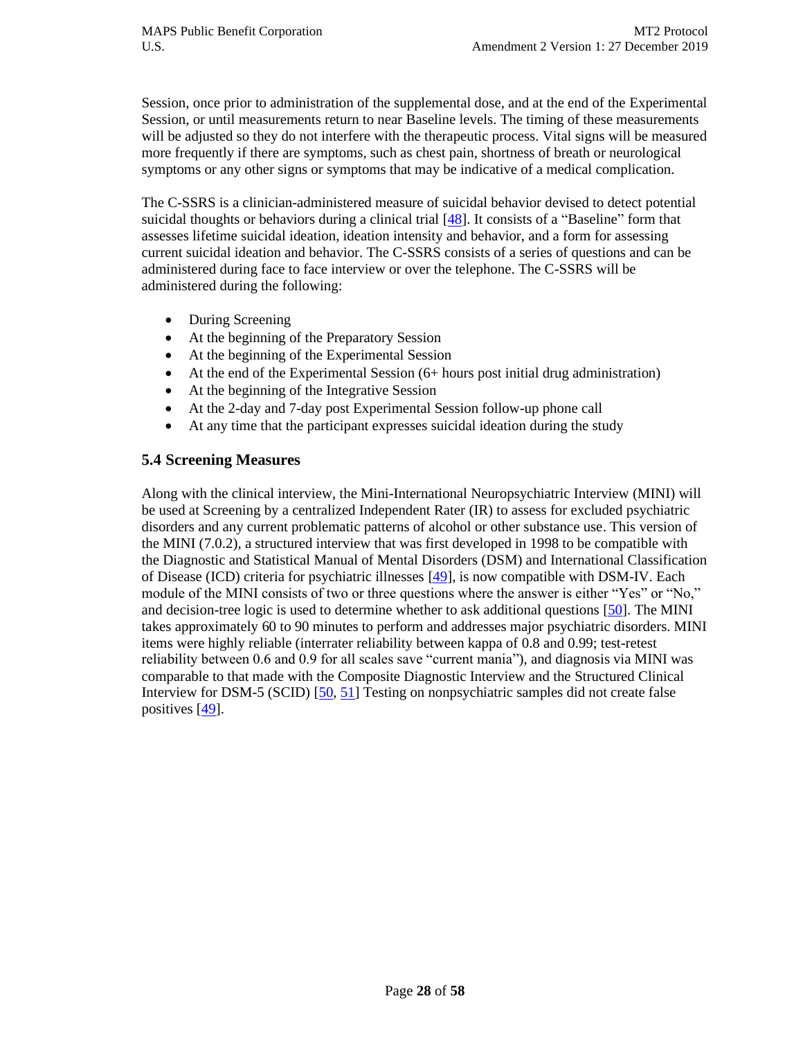Session, once prior to administration of the supplemental dose, and at the end of the Experimental Session, or until measurements return to near Baseline levels. The timing of these measurements will be adjusted so they do not interfere with the therapeutic process. Vital signs will be measured more frequently if there are symptoms, such as chest pain, shortness of breath or neurological symptoms or any other signs or symptoms that may be indicative of a medical complication.

The C-SSRS is a clinician-administered measure of suicidal behavior devised to detect potential suicidal thoughts or behaviors during a clinical trial [\[48\]](#page-56-8). It consists of a "Baseline" form that assesses lifetime suicidal ideation, ideation intensity and behavior, and a form for assessing current suicidal ideation and behavior. The C-SSRS consists of a series of questions and can be administered during face to face interview or over the telephone. The C-SSRS will be administered during the following:

- During Screening
- At the beginning of the Preparatory Session
- At the beginning of the Experimental Session
- At the end of the Experimental Session (6+ hours post initial drug administration)
- At the beginning of the Integrative Session
- At the 2-day and 7-day post Experimental Session follow-up phone call
- At any time that the participant expresses suicidal ideation during the study

#### **5.4 Screening Measures**

Along with the clinical interview, the Mini-International Neuropsychiatric Interview (MINI) will be used at Screening by a centralized Independent Rater (IR) to assess for excluded psychiatric disorders and any current problematic patterns of alcohol or other substance use. This version of the MINI (7.0.2), a structured interview that was first developed in 1998 to be compatible with the Diagnostic and Statistical Manual of Mental Disorders (DSM) and International Classification of Disease (ICD) criteria for psychiatric illnesses [\[49\]](#page-56-9), is now compatible with DSM-IV. Each module of the MINI consists of two or three questions where the answer is either "Yes" or "No," and decision-tree logic is used to determine whether to ask additional questions [\[50\]](#page-56-10). The MINI takes approximately 60 to 90 minutes to perform and addresses major psychiatric disorders. MINI items were highly reliable (interrater reliability between kappa of 0.8 and 0.99; test-retest reliability between 0.6 and 0.9 for all scales save "current mania"), and diagnosis via MINI was comparable to that made with the Composite Diagnostic Interview and the Structured Clinical Interview for DSM-5 (SCID) [\[50,](#page-56-10) [51\]](#page-56-11) Testing on nonpsychiatric samples did not create false positives [\[49\]](#page-56-9).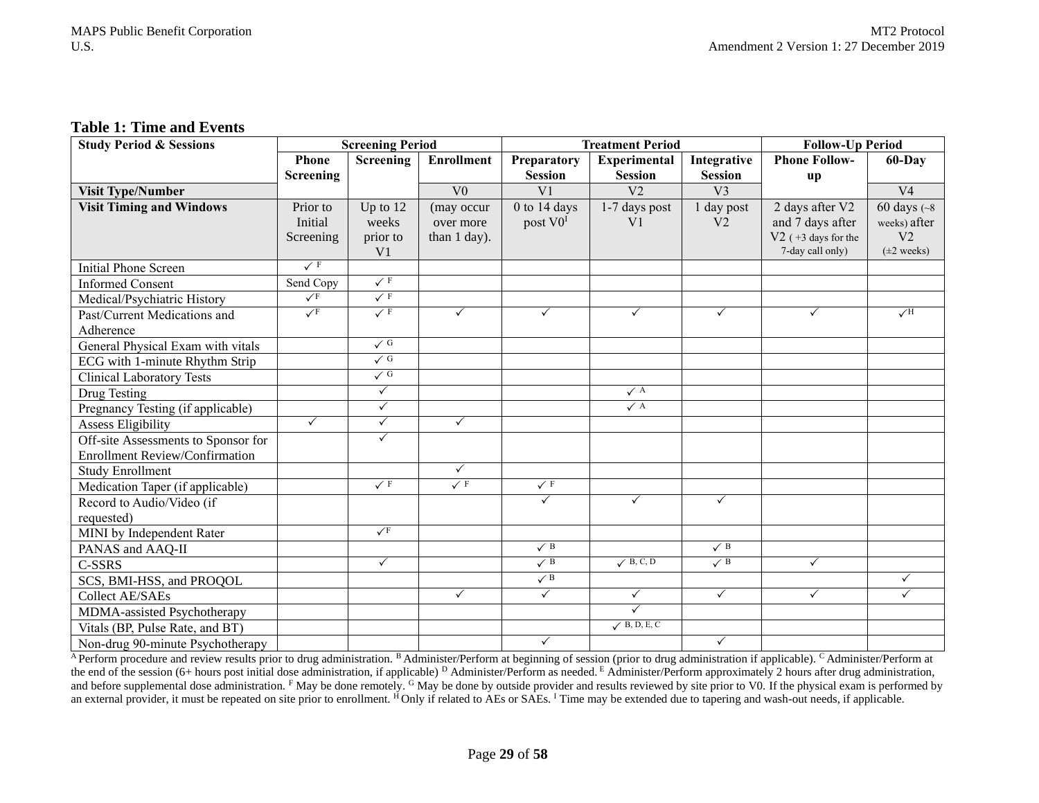#### **Table 1: Time and Events**

| <b>Study Period &amp; Sessions</b>    | <b>Screening Period</b> |                  |                   | <b>Treatment Period</b> |                      |                | <b>Follow-Up Period</b> |                        |
|---------------------------------------|-------------------------|------------------|-------------------|-------------------------|----------------------|----------------|-------------------------|------------------------|
|                                       | <b>Phone</b>            | <b>Screening</b> | <b>Enrollment</b> | Preparatory             | <b>Experimental</b>  | Integrative    | <b>Phone Follow-</b>    | 60-Day                 |
|                                       | Screening               |                  |                   | <b>Session</b>          | <b>Session</b>       | <b>Session</b> | up                      |                        |
| <b>Visit Type/Number</b>              |                         |                  | V <sub>0</sub>    | V <sub>1</sub>          | V <sub>2</sub>       | V <sub>3</sub> |                         | V <sub>4</sub>         |
| <b>Visit Timing and Windows</b>       | Prior to                | Up to $12$       | (may occur        | $0$ to 14 days          | 1-7 days post        | day post       | 2 days after V2         | $60 \text{ days}$ (~8) |
|                                       | Initial                 | weeks            | over more         | post V0 <sup>I</sup>    | V <sub>1</sub>       | V <sub>2</sub> | and 7 days after        | weeks) after           |
|                                       | Screening               | prior to         | than 1 day).      |                         |                      |                | $V2$ (+3 days for the   | V <sub>2</sub>         |
|                                       |                         | V <sub>1</sub>   |                   |                         |                      |                | 7-day call only)        | $(\pm 2$ weeks)        |
| <b>Initial Phone Screen</b>           | $\sqrt{F}$              |                  |                   |                         |                      |                |                         |                        |
| <b>Informed Consent</b>               | Send Copy               | $\checkmark$ F   |                   |                         |                      |                |                         |                        |
| Medical/Psychiatric History           | $\sqrt{F}$              | $\sqrt{F}$       |                   |                         |                      |                |                         |                        |
| Past/Current Medications and          | $\sqrt{F}$              | $\sqrt{F}$       | $\checkmark$      | ✓                       | $\checkmark$         | $\checkmark$   | $\checkmark$            | $\sqrt{H}$             |
| Adherence                             |                         |                  |                   |                         |                      |                |                         |                        |
| General Physical Exam with vitals     |                         | $\checkmark$ G   |                   |                         |                      |                |                         |                        |
| ECG with 1-minute Rhythm Strip        |                         | $\sqrt{G}$       |                   |                         |                      |                |                         |                        |
| <b>Clinical Laboratory Tests</b>      |                         | $\sqrt{G}$       |                   |                         |                      |                |                         |                        |
| Drug Testing                          |                         | $\checkmark$     |                   |                         | $\checkmark$ A       |                |                         |                        |
| Pregnancy Testing (if applicable)     |                         | $\checkmark$     |                   |                         | $\checkmark$ A       |                |                         |                        |
| <b>Assess Eligibility</b>             | $\checkmark$            | $\checkmark$     | $\checkmark$      |                         |                      |                |                         |                        |
| Off-site Assessments to Sponsor for   |                         | ✓                |                   |                         |                      |                |                         |                        |
| <b>Enrollment Review/Confirmation</b> |                         |                  |                   |                         |                      |                |                         |                        |
| <b>Study Enrollment</b>               |                         |                  | $\checkmark$      |                         |                      |                |                         |                        |
| Medication Taper (if applicable)      |                         | $\sqrt{F}$       | $\sqrt{F}$        | $\sqrt{F}$              |                      |                |                         |                        |
| Record to Audio/Video (if             |                         |                  |                   | $\checkmark$            | $\checkmark$         | $\checkmark$   |                         |                        |
| requested)                            |                         |                  |                   |                         |                      |                |                         |                        |
| MINI by Independent Rater             |                         | $\sqrt{F}$       |                   |                         |                      |                |                         |                        |
| PANAS and AAQ-II                      |                         |                  |                   | $\checkmark$ B          |                      | $\checkmark$ B |                         |                        |
| C-SSRS                                |                         | $\checkmark$     |                   | $\checkmark$ B          | $\sqrt{B}$ , C, D    | $\checkmark$ B | $\checkmark$            |                        |
| SCS, BMI-HSS, and PROQOL              |                         |                  |                   | $\sqrt{B}$              |                      |                |                         | $\checkmark$           |
| <b>Collect AE/SAEs</b>                |                         |                  | $\checkmark$      | $\checkmark$            | $\checkmark$         | $\checkmark$   | $\checkmark$            | $\checkmark$           |
| MDMA-assisted Psychotherapy           |                         |                  |                   |                         | $\checkmark$         |                |                         |                        |
| Vitals (BP, Pulse Rate, and BT)       |                         |                  |                   |                         | $\sqrt{B}$ , D, E, C |                |                         |                        |
| Non-drug 90-minute Psychotherapy      |                         |                  |                   | $\checkmark$            |                      | $\checkmark$   |                         |                        |

<sup>A</sup> Perform procedure and review results prior to drug administration. <sup>B</sup> Administer/Perform at beginning of session (prior to drug administration if applicable). <sup>C</sup> Administer/Perform at the end of the session (6+ hours post initial dose administration, if applicable) <sup>D</sup> Administer/Perform as needed. <sup>E</sup> Administer/Perform approximately 2 hours after drug administration, and before supplemental dose administration.  $F$  May be done remotely. <sup>G</sup> May be done by outside provider and results reviewed by site prior to V0. If the physical exam is performed by an external provider, it must be repeated on site prior to enrollment. <sup>H</sup>Only if related to AEs or SAEs. <sup>I</sup> Time may be extended due to tapering and wash-out needs, if applicable.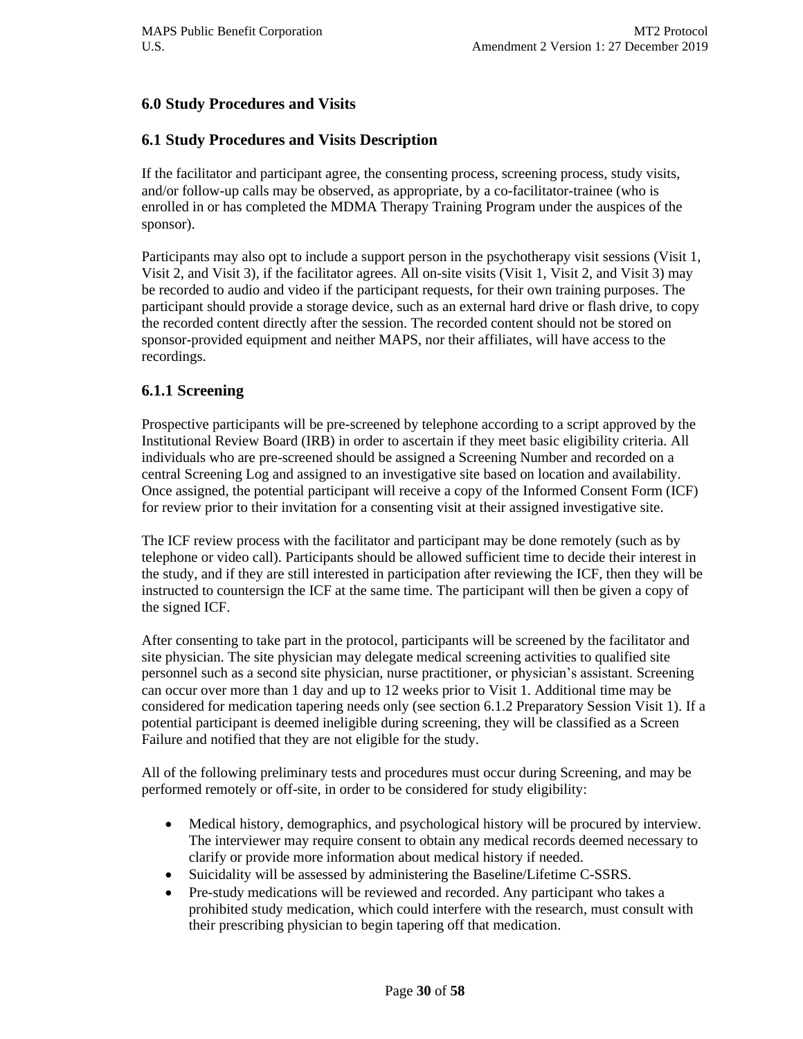## **6.0 Study Procedures and Visits**

## **6.1 Study Procedures and Visits Description**

If the facilitator and participant agree, the consenting process, screening process, study visits, and/or follow-up calls may be observed, as appropriate, by a co-facilitator-trainee (who is enrolled in or has completed the MDMA Therapy Training Program under the auspices of the sponsor).

Participants may also opt to include a support person in the psychotherapy visit sessions (Visit 1, Visit 2, and Visit 3), if the facilitator agrees. All on-site visits (Visit 1, Visit 2, and Visit 3) may be recorded to audio and video if the participant requests, for their own training purposes. The participant should provide a storage device, such as an external hard drive or flash drive, to copy the recorded content directly after the session. The recorded content should not be stored on sponsor-provided equipment and neither MAPS, nor their affiliates, will have access to the recordings.

#### **6.1.1 Screening**

Prospective participants will be pre-screened by telephone according to a script approved by the Institutional Review Board (IRB) in order to ascertain if they meet basic eligibility criteria. All individuals who are pre-screened should be assigned a Screening Number and recorded on a central Screening Log and assigned to an investigative site based on location and availability. Once assigned, the potential participant will receive a copy of the Informed Consent Form (ICF) for review prior to their invitation for a consenting visit at their assigned investigative site.

The ICF review process with the facilitator and participant may be done remotely (such as by telephone or video call). Participants should be allowed sufficient time to decide their interest in the study, and if they are still interested in participation after reviewing the ICF, then they will be instructed to countersign the ICF at the same time. The participant will then be given a copy of the signed ICF.

After consenting to take part in the protocol, participants will be screened by the facilitator and site physician. The site physician may delegate medical screening activities to qualified site personnel such as a second site physician, nurse practitioner, or physician's assistant. Screening can occur over more than 1 day and up to 12 weeks prior to Visit 1. Additional time may be considered for medication tapering needs only (see section 6.1.2 Preparatory Session Visit 1). If a potential participant is deemed ineligible during screening, they will be classified as a Screen Failure and notified that they are not eligible for the study.

All of the following preliminary tests and procedures must occur during Screening, and may be performed remotely or off-site, in order to be considered for study eligibility:

- Medical history, demographics, and psychological history will be procured by interview. The interviewer may require consent to obtain any medical records deemed necessary to clarify or provide more information about medical history if needed.
- Suicidality will be assessed by administering the Baseline/Lifetime C-SSRS.
- Pre-study medications will be reviewed and recorded. Any participant who takes a prohibited study medication, which could interfere with the research, must consult with their prescribing physician to begin tapering off that medication.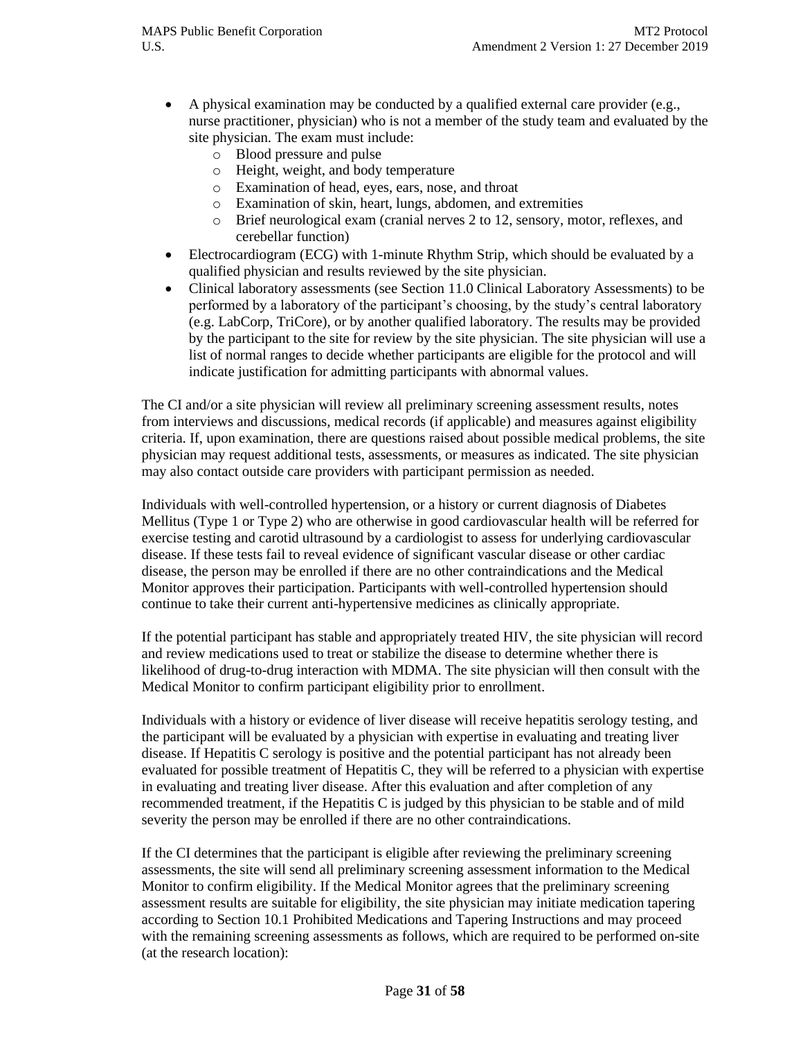- A physical examination may be conducted by a qualified external care provider (e.g., nurse practitioner, physician) who is not a member of the study team and evaluated by the site physician. The exam must include:
	- o Blood pressure and pulse
	- o Height, weight, and body temperature
	- o Examination of head, eyes, ears, nose, and throat
	- o Examination of skin, heart, lungs, abdomen, and extremities
	- o Brief neurological exam (cranial nerves 2 to 12, sensory, motor, reflexes, and cerebellar function)
- Electrocardiogram (ECG) with 1-minute Rhythm Strip, which should be evaluated by a qualified physician and results reviewed by the site physician.
- Clinical laboratory assessments (see Section 11.0 Clinical Laboratory Assessments) to be performed by a laboratory of the participant's choosing, by the study's central laboratory (e.g. LabCorp, TriCore), or by another qualified laboratory. The results may be provided by the participant to the site for review by the site physician. The site physician will use a list of normal ranges to decide whether participants are eligible for the protocol and will indicate justification for admitting participants with abnormal values.

The CI and/or a site physician will review all preliminary screening assessment results, notes from interviews and discussions, medical records (if applicable) and measures against eligibility criteria. If, upon examination, there are questions raised about possible medical problems, the site physician may request additional tests, assessments, or measures as indicated. The site physician may also contact outside care providers with participant permission as needed.

Individuals with well-controlled hypertension, or a history or current diagnosis of Diabetes Mellitus (Type 1 or Type 2) who are otherwise in good cardiovascular health will be referred for exercise testing and carotid ultrasound by a cardiologist to assess for underlying cardiovascular disease. If these tests fail to reveal evidence of significant vascular disease or other cardiac disease, the person may be enrolled if there are no other contraindications and the Medical Monitor approves their participation. Participants with well-controlled hypertension should continue to take their current anti-hypertensive medicines as clinically appropriate.

If the potential participant has stable and appropriately treated HIV, the site physician will record and review medications used to treat or stabilize the disease to determine whether there is likelihood of drug-to-drug interaction with MDMA. The site physician will then consult with the Medical Monitor to confirm participant eligibility prior to enrollment.

Individuals with a history or evidence of liver disease will receive hepatitis serology testing, and the participant will be evaluated by a physician with expertise in evaluating and treating liver disease. If Hepatitis C serology is positive and the potential participant has not already been evaluated for possible treatment of Hepatitis C, they will be referred to a physician with expertise in evaluating and treating liver disease. After this evaluation and after completion of any recommended treatment, if the Hepatitis C is judged by this physician to be stable and of mild severity the person may be enrolled if there are no other contraindications.

If the CI determines that the participant is eligible after reviewing the preliminary screening assessments, the site will send all preliminary screening assessment information to the Medical Monitor to confirm eligibility. If the Medical Monitor agrees that the preliminary screening assessment results are suitable for eligibility, the site physician may initiate medication tapering according to Section 10.1 Prohibited Medications and Tapering Instructions and may proceed with the remaining screening assessments as follows, which are required to be performed on-site (at the research location):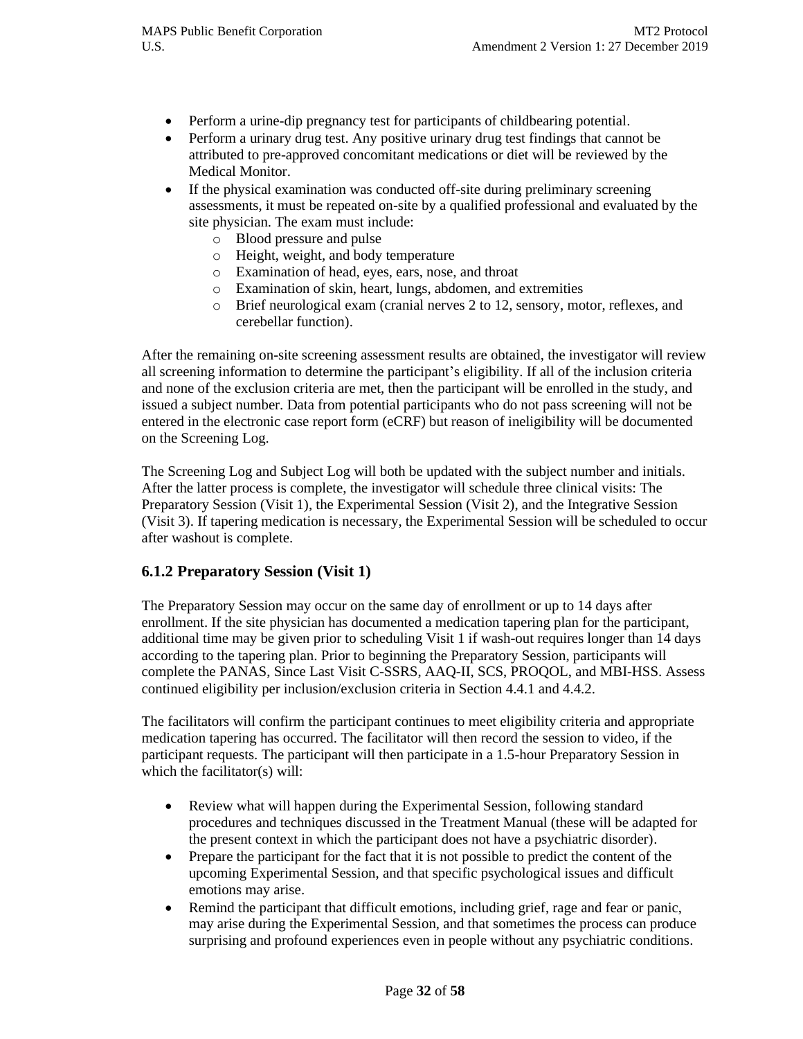- Perform a urine-dip pregnancy test for participants of childbearing potential.
- Perform a urinary drug test. Any positive urinary drug test findings that cannot be attributed to pre-approved concomitant medications or diet will be reviewed by the Medical Monitor.
- If the physical examination was conducted off-site during preliminary screening assessments, it must be repeated on-site by a qualified professional and evaluated by the site physician. The exam must include:
	- o Blood pressure and pulse
	- o Height, weight, and body temperature
	- o Examination of head, eyes, ears, nose, and throat
	- o Examination of skin, heart, lungs, abdomen, and extremities
	- o Brief neurological exam (cranial nerves 2 to 12, sensory, motor, reflexes, and cerebellar function).

After the remaining on-site screening assessment results are obtained, the investigator will review all screening information to determine the participant's eligibility. If all of the inclusion criteria and none of the exclusion criteria are met, then the participant will be enrolled in the study, and issued a subject number. Data from potential participants who do not pass screening will not be entered in the electronic case report form (eCRF) but reason of ineligibility will be documented on the Screening Log.

The Screening Log and Subject Log will both be updated with the subject number and initials. After the latter process is complete, the investigator will schedule three clinical visits: The Preparatory Session (Visit 1), the Experimental Session (Visit 2), and the Integrative Session (Visit 3). If tapering medication is necessary, the Experimental Session will be scheduled to occur after washout is complete.

#### **6.1.2 Preparatory Session (Visit 1)**

The Preparatory Session may occur on the same day of enrollment or up to 14 days after enrollment. If the site physician has documented a medication tapering plan for the participant, additional time may be given prior to scheduling Visit 1 if wash-out requires longer than 14 days according to the tapering plan. Prior to beginning the Preparatory Session, participants will complete the PANAS, Since Last Visit C-SSRS, AAQ-II, SCS, PROQOL, and MBI-HSS. Assess continued eligibility per inclusion/exclusion criteria in Section 4.4.1 and 4.4.2.

The facilitators will confirm the participant continues to meet eligibility criteria and appropriate medication tapering has occurred. The facilitator will then record the session to video, if the participant requests. The participant will then participate in a 1.5-hour Preparatory Session in which the facilitator(s) will:

- Review what will happen during the Experimental Session, following standard procedures and techniques discussed in the Treatment Manual (these will be adapted for the present context in which the participant does not have a psychiatric disorder).
- Prepare the participant for the fact that it is not possible to predict the content of the upcoming Experimental Session, and that specific psychological issues and difficult emotions may arise.
- Remind the participant that difficult emotions, including grief, rage and fear or panic, may arise during the Experimental Session, and that sometimes the process can produce surprising and profound experiences even in people without any psychiatric conditions.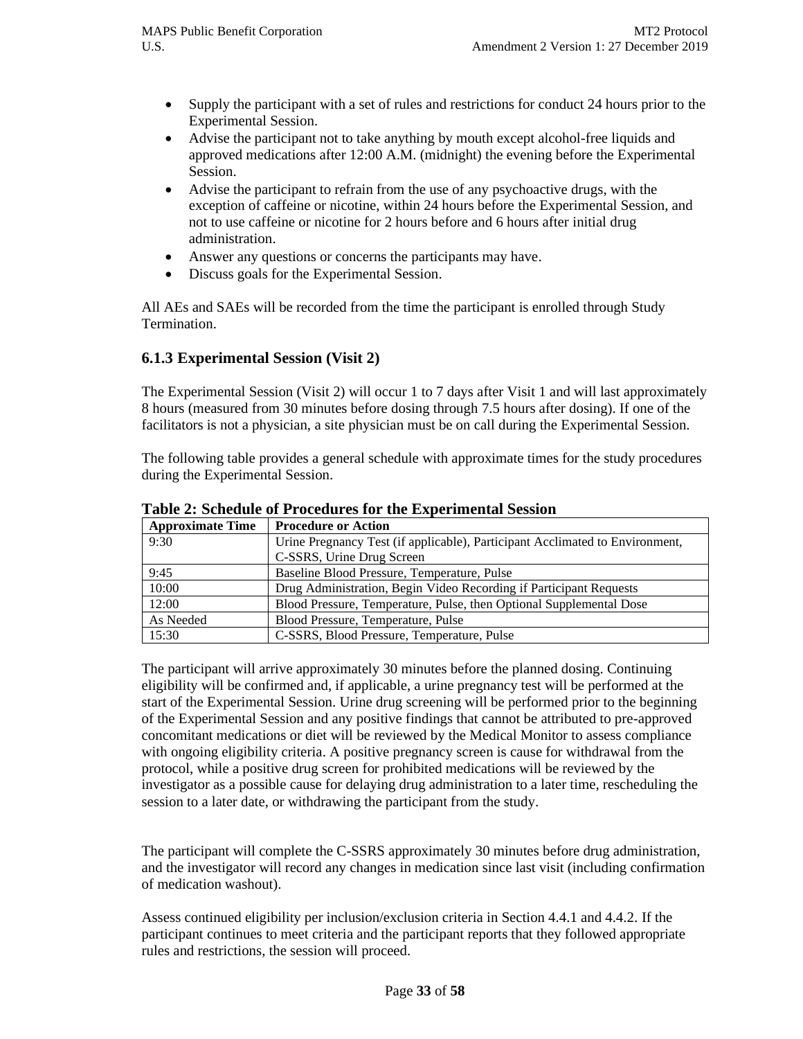- Supply the participant with a set of rules and restrictions for conduct 24 hours prior to the Experimental Session.
- Advise the participant not to take anything by mouth except alcohol-free liquids and approved medications after 12:00 A.M. (midnight) the evening before the Experimental Session.
- Advise the participant to refrain from the use of any psychoactive drugs, with the exception of caffeine or nicotine, within 24 hours before the Experimental Session, and not to use caffeine or nicotine for 2 hours before and 6 hours after initial drug administration.
- Answer any questions or concerns the participants may have.
- Discuss goals for the Experimental Session.

All AEs and SAEs will be recorded from the time the participant is enrolled through Study Termination.

#### **6.1.3 Experimental Session (Visit 2)**

The Experimental Session (Visit 2) will occur 1 to 7 days after Visit 1 and will last approximately 8 hours (measured from 30 minutes before dosing through 7.5 hours after dosing). If one of the facilitators is not a physician, a site physician must be on call during the Experimental Session.

The following table provides a general schedule with approximate times for the study procedures during the Experimental Session.

| <b>Approximate Time</b> | <b>Procedure or Action</b>                                                   |  |  |  |
|-------------------------|------------------------------------------------------------------------------|--|--|--|
| 9:30                    | Urine Pregnancy Test (if applicable), Participant Acclimated to Environment, |  |  |  |
|                         | C-SSRS, Urine Drug Screen                                                    |  |  |  |
| 9:45                    | Baseline Blood Pressure, Temperature, Pulse                                  |  |  |  |
| 10:00                   | Drug Administration, Begin Video Recording if Participant Requests           |  |  |  |
| 12:00                   | Blood Pressure, Temperature, Pulse, then Optional Supplemental Dose          |  |  |  |
| As Needed               | Blood Pressure, Temperature, Pulse                                           |  |  |  |
| 15:30                   | C-SSRS, Blood Pressure, Temperature, Pulse                                   |  |  |  |

**Table 2: Schedule of Procedures for the Experimental Session**

The participant will arrive approximately 30 minutes before the planned dosing. Continuing eligibility will be confirmed and, if applicable, a urine pregnancy test will be performed at the start of the Experimental Session. Urine drug screening will be performed prior to the beginning of the Experimental Session and any positive findings that cannot be attributed to pre-approved concomitant medications or diet will be reviewed by the Medical Monitor to assess compliance with ongoing eligibility criteria. A positive pregnancy screen is cause for withdrawal from the protocol, while a positive drug screen for prohibited medications will be reviewed by the investigator as a possible cause for delaying drug administration to a later time, rescheduling the session to a later date, or withdrawing the participant from the study.

The participant will complete the C-SSRS approximately 30 minutes before drug administration, and the investigator will record any changes in medication since last visit (including confirmation of medication washout).

Assess continued eligibility per inclusion/exclusion criteria in Section 4.4.1 and 4.4.2. If the participant continues to meet criteria and the participant reports that they followed appropriate rules and restrictions, the session will proceed.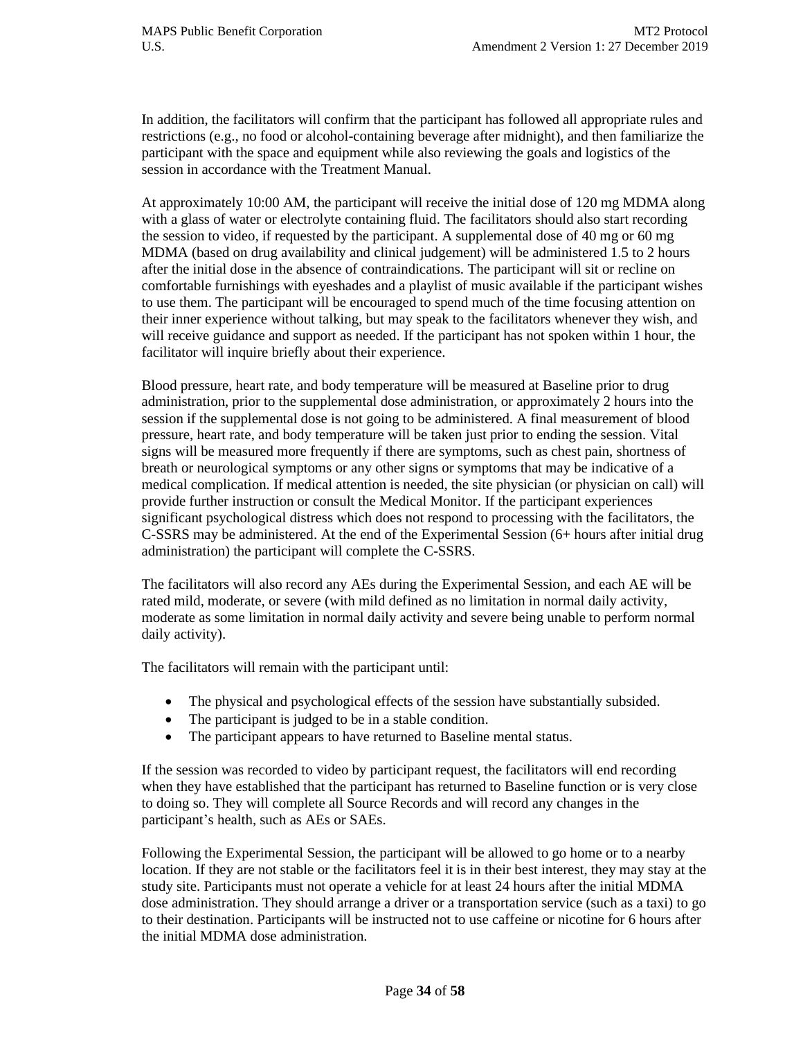In addition, the facilitators will confirm that the participant has followed all appropriate rules and restrictions (e.g., no food or alcohol-containing beverage after midnight), and then familiarize the participant with the space and equipment while also reviewing the goals and logistics of the session in accordance with the Treatment Manual.

At approximately 10:00 AM, the participant will receive the initial dose of 120 mg MDMA along with a glass of water or electrolyte containing fluid. The facilitators should also start recording the session to video, if requested by the participant. A supplemental dose of 40 mg or 60 mg MDMA (based on drug availability and clinical judgement) will be administered 1.5 to 2 hours after the initial dose in the absence of contraindications. The participant will sit or recline on comfortable furnishings with eyeshades and a playlist of music available if the participant wishes to use them. The participant will be encouraged to spend much of the time focusing attention on their inner experience without talking, but may speak to the facilitators whenever they wish, and will receive guidance and support as needed. If the participant has not spoken within 1 hour, the facilitator will inquire briefly about their experience.

Blood pressure, heart rate, and body temperature will be measured at Baseline prior to drug administration, prior to the supplemental dose administration, or approximately 2 hours into the session if the supplemental dose is not going to be administered. A final measurement of blood pressure, heart rate, and body temperature will be taken just prior to ending the session. Vital signs will be measured more frequently if there are symptoms, such as chest pain, shortness of breath or neurological symptoms or any other signs or symptoms that may be indicative of a medical complication. If medical attention is needed, the site physician (or physician on call) will provide further instruction or consult the Medical Monitor. If the participant experiences significant psychological distress which does not respond to processing with the facilitators, the C-SSRS may be administered. At the end of the Experimental Session (6+ hours after initial drug administration) the participant will complete the C-SSRS.

The facilitators will also record any AEs during the Experimental Session, and each AE will be rated mild, moderate, or severe (with mild defined as no limitation in normal daily activity, moderate as some limitation in normal daily activity and severe being unable to perform normal daily activity).

The facilitators will remain with the participant until:

- The physical and psychological effects of the session have substantially subsided.
- The participant is judged to be in a stable condition.
- The participant appears to have returned to Baseline mental status.

If the session was recorded to video by participant request, the facilitators will end recording when they have established that the participant has returned to Baseline function or is very close to doing so. They will complete all Source Records and will record any changes in the participant's health, such as AEs or SAEs.

Following the Experimental Session, the participant will be allowed to go home or to a nearby location. If they are not stable or the facilitators feel it is in their best interest, they may stay at the study site. Participants must not operate a vehicle for at least 24 hours after the initial MDMA dose administration. They should arrange a driver or a transportation service (such as a taxi) to go to their destination. Participants will be instructed not to use caffeine or nicotine for 6 hours after the initial MDMA dose administration.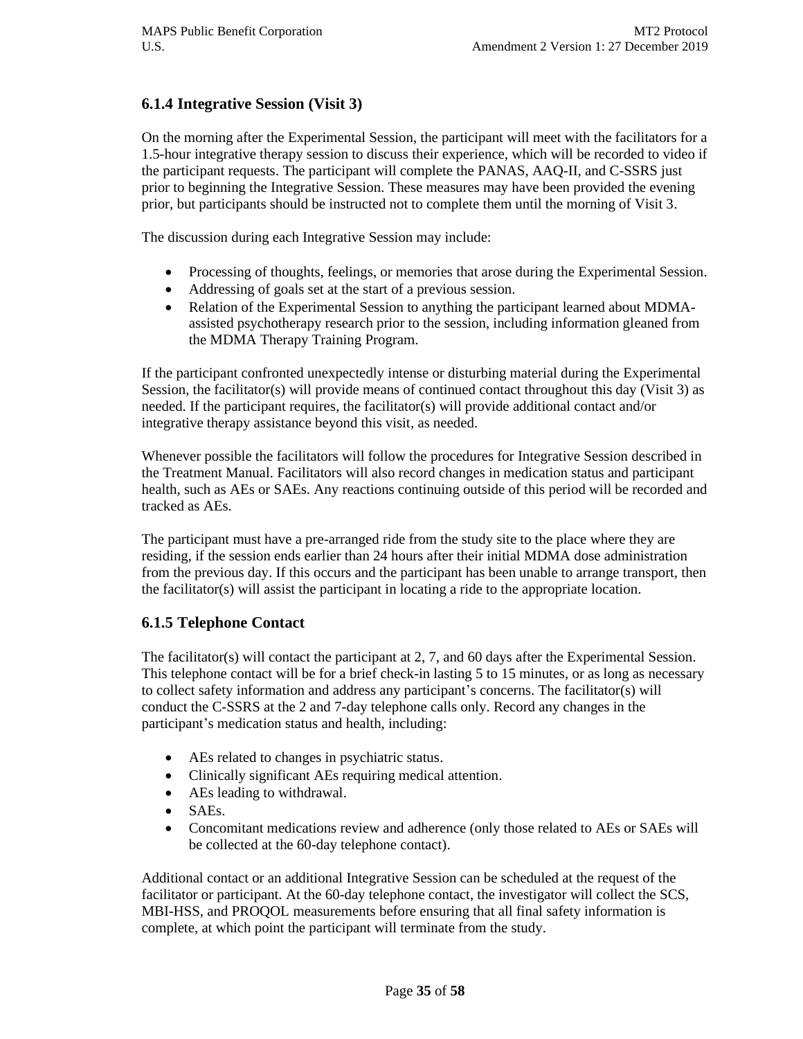## **6.1.4 Integrative Session (Visit 3)**

On the morning after the Experimental Session, the participant will meet with the facilitators for a 1.5-hour integrative therapy session to discuss their experience, which will be recorded to video if the participant requests. The participant will complete the PANAS, AAQ-II, and C-SSRS just prior to beginning the Integrative Session. These measures may have been provided the evening prior, but participants should be instructed not to complete them until the morning of Visit 3.

The discussion during each Integrative Session may include:

- Processing of thoughts, feelings, or memories that arose during the Experimental Session.
- Addressing of goals set at the start of a previous session.
- Relation of the Experimental Session to anything the participant learned about MDMAassisted psychotherapy research prior to the session, including information gleaned from the MDMA Therapy Training Program.

If the participant confronted unexpectedly intense or disturbing material during the Experimental Session, the facilitator(s) will provide means of continued contact throughout this day (Visit 3) as needed. If the participant requires, the facilitator(s) will provide additional contact and/or integrative therapy assistance beyond this visit, as needed.

Whenever possible the facilitators will follow the procedures for Integrative Session described in the Treatment Manual. Facilitators will also record changes in medication status and participant health, such as AEs or SAEs. Any reactions continuing outside of this period will be recorded and tracked as AEs.

The participant must have a pre-arranged ride from the study site to the place where they are residing, if the session ends earlier than 24 hours after their initial MDMA dose administration from the previous day. If this occurs and the participant has been unable to arrange transport, then the facilitator(s) will assist the participant in locating a ride to the appropriate location.

#### **6.1.5 Telephone Contact**

The facilitator(s) will contact the participant at 2, 7, and 60 days after the Experimental Session. This telephone contact will be for a brief check-in lasting 5 to 15 minutes, or as long as necessary to collect safety information and address any participant's concerns. The facilitator(s) will conduct the C-SSRS at the 2 and 7-day telephone calls only. Record any changes in the participant's medication status and health, including:

- AEs related to changes in psychiatric status.
- Clinically significant AEs requiring medical attention.
- AEs leading to withdrawal.
- SAEs.
- Concomitant medications review and adherence (only those related to AEs or SAEs will be collected at the 60-day telephone contact).

Additional contact or an additional Integrative Session can be scheduled at the request of the facilitator or participant. At the 60-day telephone contact, the investigator will collect the SCS, MBI-HSS, and PROQOL measurements before ensuring that all final safety information is complete, at which point the participant will terminate from the study.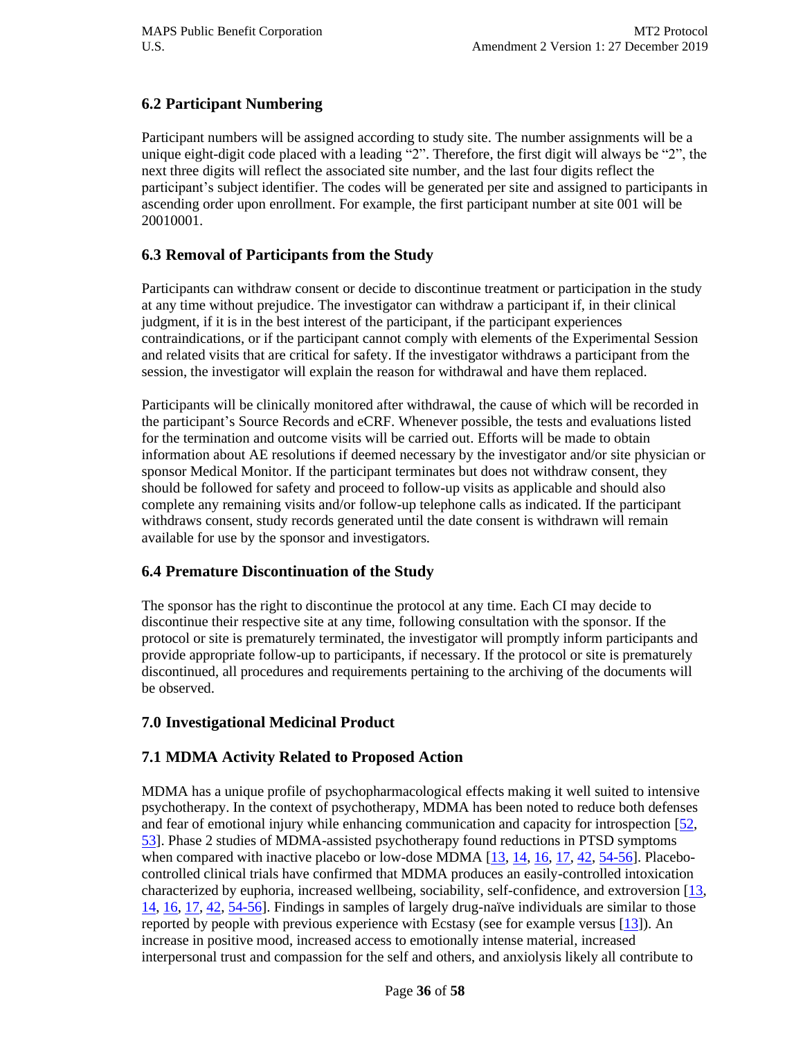## **6.2 Participant Numbering**

Participant numbers will be assigned according to study site. The number assignments will be a unique eight-digit code placed with a leading "2". Therefore, the first digit will always be "2", the next three digits will reflect the associated site number, and the last four digits reflect the participant's subject identifier. The codes will be generated per site and assigned to participants in ascending order upon enrollment. For example, the first participant number at site 001 will be 20010001.

## **6.3 Removal of Participants from the Study**

Participants can withdraw consent or decide to discontinue treatment or participation in the study at any time without prejudice. The investigator can withdraw a participant if, in their clinical judgment, if it is in the best interest of the participant, if the participant experiences contraindications, or if the participant cannot comply with elements of the Experimental Session and related visits that are critical for safety. If the investigator withdraws a participant from the session, the investigator will explain the reason for withdrawal and have them replaced.

Participants will be clinically monitored after withdrawal, the cause of which will be recorded in the participant's Source Records and eCRF. Whenever possible, the tests and evaluations listed for the termination and outcome visits will be carried out. Efforts will be made to obtain information about AE resolutions if deemed necessary by the investigator and/or site physician or sponsor Medical Monitor. If the participant terminates but does not withdraw consent, they should be followed for safety and proceed to follow-up visits as applicable and should also complete any remaining visits and/or follow-up telephone calls as indicated. If the participant withdraws consent, study records generated until the date consent is withdrawn will remain available for use by the sponsor and investigators.

## **6.4 Premature Discontinuation of the Study**

The sponsor has the right to discontinue the protocol at any time. Each CI may decide to discontinue their respective site at any time, following consultation with the sponsor. If the protocol or site is prematurely terminated, the investigator will promptly inform participants and provide appropriate follow-up to participants, if necessary. If the protocol or site is prematurely discontinued, all procedures and requirements pertaining to the archiving of the documents will be observed.

## **7.0 Investigational Medicinal Product**

## **7.1 MDMA Activity Related to Proposed Action**

MDMA has a unique profile of psychopharmacological effects making it well suited to intensive psychotherapy. In the context of psychotherapy, MDMA has been noted to reduce both defenses and fear of emotional injury while enhancing communication and capacity for introspection [\[52,](#page-56-12) [53\]](#page-56-13). Phase 2 studies of MDMA-assisted psychotherapy found reductions in PTSD symptoms when compared with inactive placebo or low-dose MDMA  $[13, 14, 16, 17, 42, 54-56]$  $[13, 14, 16, 17, 42, 54-56]$  $[13, 14, 16, 17, 42, 54-56]$  $[13, 14, 16, 17, 42, 54-56]$  $[13, 14, 16, 17, 42, 54-56]$  $[13, 14, 16, 17, 42, 54-56]$ . Placebocontrolled clinical trials have confirmed that MDMA produces an easily-controlled intoxication characterized by euphoria, increased wellbeing, sociability, self-confidence, and extroversion [\[13,](#page-54-11) [14,](#page-54-12) [16,](#page-55-0) [17,](#page-55-14) [42,](#page-56-14) [54-56\]](#page-56-15). Findings in samples of largely drug-naïve individuals are similar to those reported by people with previous experience with Ecstasy (see for example versus  $[13]$ ). An increase in positive mood, increased access to emotionally intense material, increased interpersonal trust and compassion for the self and others, and anxiolysis likely all contribute to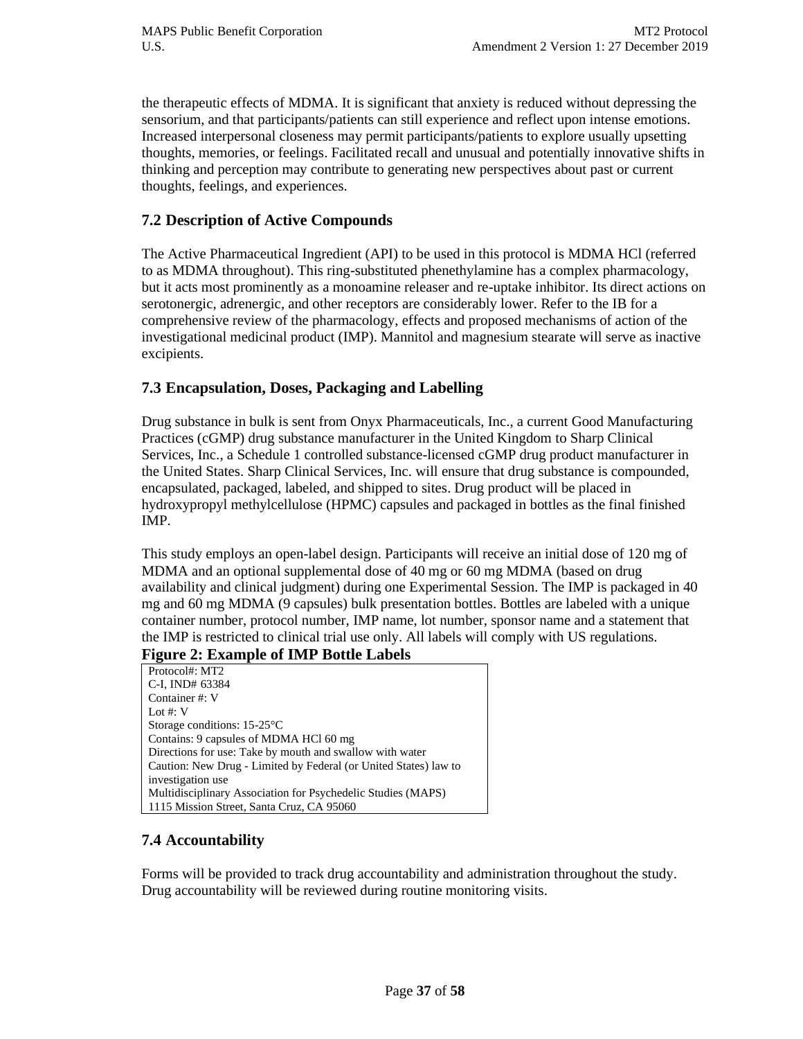the therapeutic effects of MDMA. It is significant that anxiety is reduced without depressing the sensorium, and that participants/patients can still experience and reflect upon intense emotions. Increased interpersonal closeness may permit participants/patients to explore usually upsetting thoughts, memories, or feelings. Facilitated recall and unusual and potentially innovative shifts in thinking and perception may contribute to generating new perspectives about past or current thoughts, feelings, and experiences.

#### **7.2 Description of Active Compounds**

The Active Pharmaceutical Ingredient (API) to be used in this protocol is MDMA HCl (referred to as MDMA throughout). This ring-substituted phenethylamine has a complex pharmacology, but it acts most prominently as a monoamine releaser and re-uptake inhibitor. Its direct actions on serotonergic, adrenergic, and other receptors are considerably lower. Refer to the IB for a comprehensive review of the pharmacology, effects and proposed mechanisms of action of the investigational medicinal product (IMP). Mannitol and magnesium stearate will serve as inactive excipients.

#### **7.3 Encapsulation, Doses, Packaging and Labelling**

Drug substance in bulk is sent from Onyx Pharmaceuticals, Inc., a current Good Manufacturing Practices (cGMP) drug substance manufacturer in the United Kingdom to Sharp Clinical Services, Inc., a Schedule 1 controlled substance-licensed cGMP drug product manufacturer in the United States. Sharp Clinical Services, Inc. will ensure that drug substance is compounded, encapsulated, packaged, labeled, and shipped to sites. Drug product will be placed in hydroxypropyl methylcellulose (HPMC) capsules and packaged in bottles as the final finished IMP.

This study employs an open-label design. Participants will receive an initial dose of 120 mg of MDMA and an optional supplemental dose of 40 mg or 60 mg MDMA (based on drug availability and clinical judgment) during one Experimental Session. The IMP is packaged in 40 mg and 60 mg MDMA (9 capsules) bulk presentation bottles. Bottles are labeled with a unique container number, protocol number, IMP name, lot number, sponsor name and a statement that the IMP is restricted to clinical trial use only. All labels will comply with US regulations.

#### **Figure 2: Example of IMP Bottle Labels**

Protocol#: MT2 C-I, IND# 63384 Container #: V Lot #: V Storage conditions: 15-25°C Contains: 9 capsules of MDMA HCl 60 mg Directions for use: Take by mouth and swallow with water Caution: New Drug - Limited by Federal (or United States) law to investigation use Multidisciplinary Association for Psychedelic Studies (MAPS) 1115 Mission Street, Santa Cruz, CA 95060

## **7.4 Accountability**

Forms will be provided to track drug accountability and administration throughout the study. Drug accountability will be reviewed during routine monitoring visits.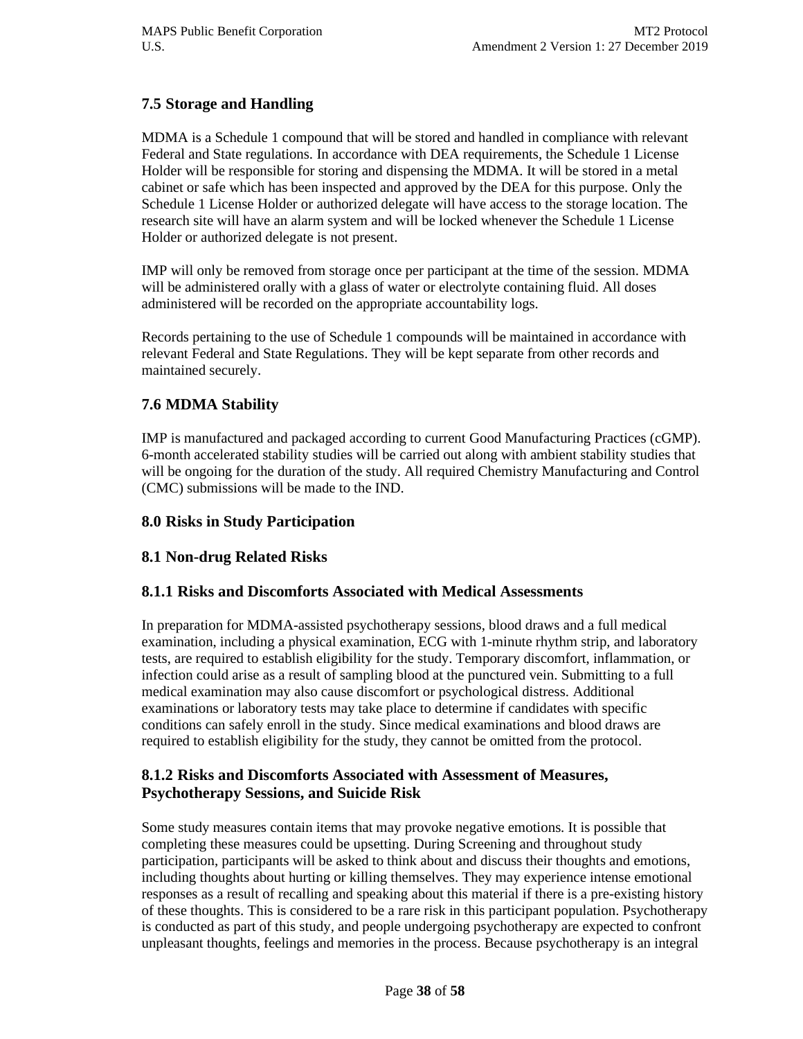## **7.5 Storage and Handling**

MDMA is a Schedule 1 compound that will be stored and handled in compliance with relevant Federal and State regulations. In accordance with DEA requirements, the Schedule 1 License Holder will be responsible for storing and dispensing the MDMA. It will be stored in a metal cabinet or safe which has been inspected and approved by the DEA for this purpose. Only the Schedule 1 License Holder or authorized delegate will have access to the storage location. The research site will have an alarm system and will be locked whenever the Schedule 1 License Holder or authorized delegate is not present.

IMP will only be removed from storage once per participant at the time of the session. MDMA will be administered orally with a glass of water or electrolyte containing fluid. All doses administered will be recorded on the appropriate accountability logs.

Records pertaining to the use of Schedule 1 compounds will be maintained in accordance with relevant Federal and State Regulations. They will be kept separate from other records and maintained securely.

## **7.6 MDMA Stability**

IMP is manufactured and packaged according to current Good Manufacturing Practices (cGMP). 6-month accelerated stability studies will be carried out along with ambient stability studies that will be ongoing for the duration of the study. All required Chemistry Manufacturing and Control (CMC) submissions will be made to the IND.

#### **8.0 Risks in Study Participation**

## **8.1 Non-drug Related Risks**

## **8.1.1 Risks and Discomforts Associated with Medical Assessments**

In preparation for MDMA-assisted psychotherapy sessions, blood draws and a full medical examination, including a physical examination, ECG with 1-minute rhythm strip, and laboratory tests, are required to establish eligibility for the study. Temporary discomfort, inflammation, or infection could arise as a result of sampling blood at the punctured vein. Submitting to a full medical examination may also cause discomfort or psychological distress. Additional examinations or laboratory tests may take place to determine if candidates with specific conditions can safely enroll in the study. Since medical examinations and blood draws are required to establish eligibility for the study, they cannot be omitted from the protocol.

#### **8.1.2 Risks and Discomforts Associated with Assessment of Measures, Psychotherapy Sessions, and Suicide Risk**

Some study measures contain items that may provoke negative emotions. It is possible that completing these measures could be upsetting. During Screening and throughout study participation, participants will be asked to think about and discuss their thoughts and emotions, including thoughts about hurting or killing themselves. They may experience intense emotional responses as a result of recalling and speaking about this material if there is a pre-existing history of these thoughts. This is considered to be a rare risk in this participant population. Psychotherapy is conducted as part of this study, and people undergoing psychotherapy are expected to confront unpleasant thoughts, feelings and memories in the process. Because psychotherapy is an integral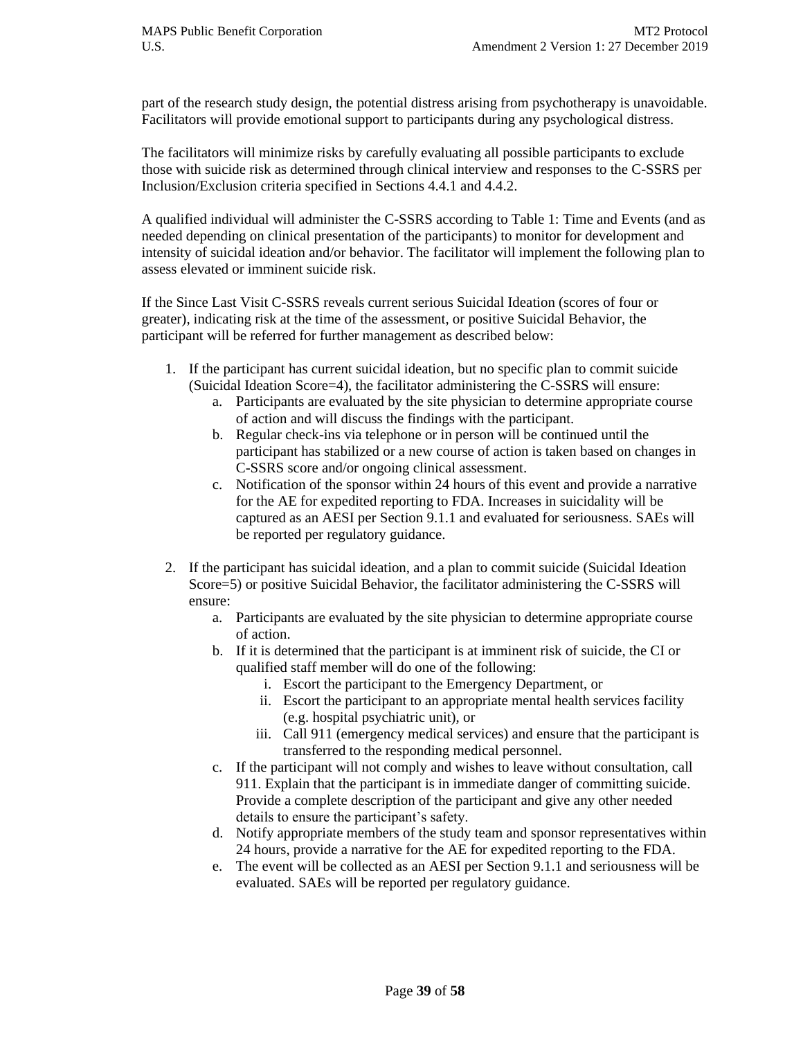part of the research study design, the potential distress arising from psychotherapy is unavoidable. Facilitators will provide emotional support to participants during any psychological distress.

The facilitators will minimize risks by carefully evaluating all possible participants to exclude those with suicide risk as determined through clinical interview and responses to the C-SSRS per Inclusion/Exclusion criteria specified in Sections 4.4.1 and 4.4.2.

A qualified individual will administer the C-SSRS according to Table 1: Time and Events (and as needed depending on clinical presentation of the participants) to monitor for development and intensity of suicidal ideation and/or behavior. The facilitator will implement the following plan to assess elevated or imminent suicide risk.

If the Since Last Visit C-SSRS reveals current serious Suicidal Ideation (scores of four or greater), indicating risk at the time of the assessment, or positive Suicidal Behavior, the participant will be referred for further management as described below:

- 1. If the participant has current suicidal ideation, but no specific plan to commit suicide (Suicidal Ideation Score=4), the facilitator administering the C-SSRS will ensure:
	- a. Participants are evaluated by the site physician to determine appropriate course of action and will discuss the findings with the participant.
	- b. Regular check-ins via telephone or in person will be continued until the participant has stabilized or a new course of action is taken based on changes in C-SSRS score and/or ongoing clinical assessment.
	- c. Notification of the sponsor within 24 hours of this event and provide a narrative for the AE for expedited reporting to FDA. Increases in suicidality will be captured as an AESI per Section 9.1.1 and evaluated for seriousness. SAEs will be reported per regulatory guidance.
- 2. If the participant has suicidal ideation, and a plan to commit suicide (Suicidal Ideation Score=5) or positive Suicidal Behavior, the facilitator administering the C-SSRS will ensure:
	- a. Participants are evaluated by the site physician to determine appropriate course of action.
	- b. If it is determined that the participant is at imminent risk of suicide, the CI or qualified staff member will do one of the following:
		- i. Escort the participant to the Emergency Department, or
		- ii. Escort the participant to an appropriate mental health services facility (e.g. hospital psychiatric unit), or
		- iii. Call 911 (emergency medical services) and ensure that the participant is transferred to the responding medical personnel.
	- c. If the participant will not comply and wishes to leave without consultation, call 911. Explain that the participant is in immediate danger of committing suicide. Provide a complete description of the participant and give any other needed details to ensure the participant's safety.
	- d. Notify appropriate members of the study team and sponsor representatives within 24 hours, provide a narrative for the AE for expedited reporting to the FDA.
	- e. The event will be collected as an AESI per Section 9.1.1 and seriousness will be evaluated. SAEs will be reported per regulatory guidance.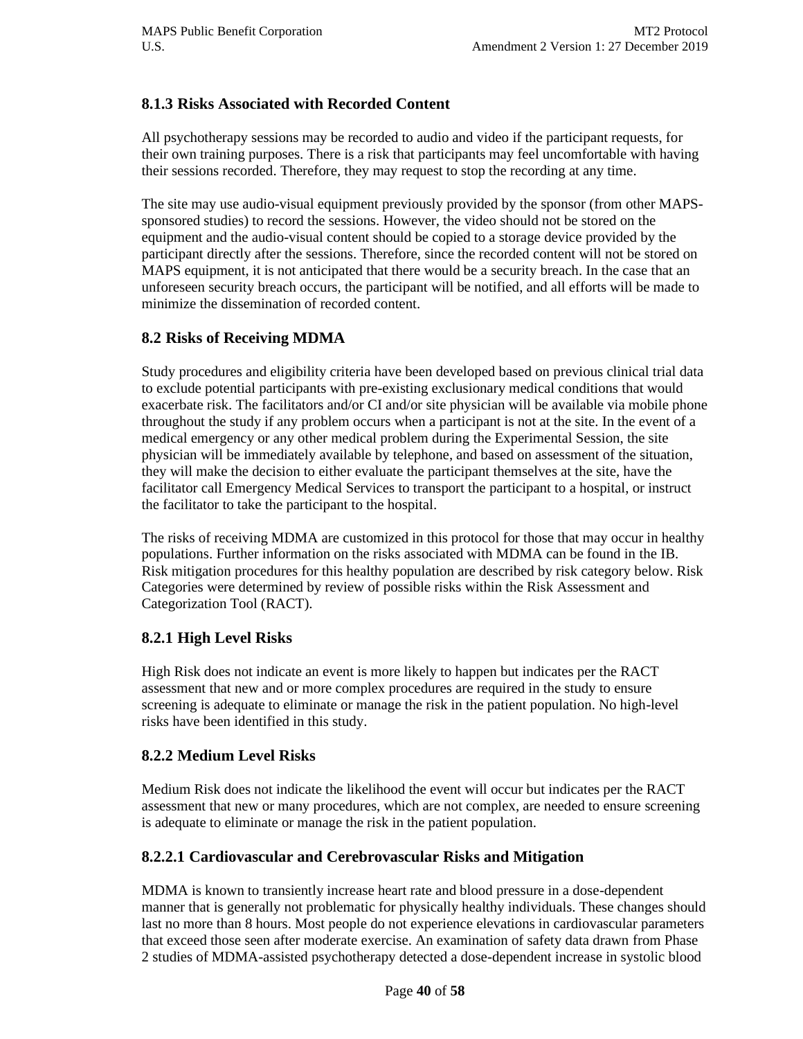## **8.1.3 Risks Associated with Recorded Content**

All psychotherapy sessions may be recorded to audio and video if the participant requests, for their own training purposes. There is a risk that participants may feel uncomfortable with having their sessions recorded. Therefore, they may request to stop the recording at any time.

The site may use audio-visual equipment previously provided by the sponsor (from other MAPSsponsored studies) to record the sessions. However, the video should not be stored on the equipment and the audio-visual content should be copied to a storage device provided by the participant directly after the sessions. Therefore, since the recorded content will not be stored on MAPS equipment, it is not anticipated that there would be a security breach. In the case that an unforeseen security breach occurs, the participant will be notified, and all efforts will be made to minimize the dissemination of recorded content.

## **8.2 Risks of Receiving MDMA**

Study procedures and eligibility criteria have been developed based on previous clinical trial data to exclude potential participants with pre-existing exclusionary medical conditions that would exacerbate risk. The facilitators and/or CI and/or site physician will be available via mobile phone throughout the study if any problem occurs when a participant is not at the site. In the event of a medical emergency or any other medical problem during the Experimental Session, the site physician will be immediately available by telephone, and based on assessment of the situation, they will make the decision to either evaluate the participant themselves at the site, have the facilitator call Emergency Medical Services to transport the participant to a hospital, or instruct the facilitator to take the participant to the hospital.

The risks of receiving MDMA are customized in this protocol for those that may occur in healthy populations. Further information on the risks associated with MDMA can be found in the IB. Risk mitigation procedures for this healthy population are described by risk category below. Risk Categories were determined by review of possible risks within the Risk Assessment and Categorization Tool (RACT).

## **8.2.1 High Level Risks**

High Risk does not indicate an event is more likely to happen but indicates per the RACT assessment that new and or more complex procedures are required in the study to ensure screening is adequate to eliminate or manage the risk in the patient population. No high-level risks have been identified in this study.

## **8.2.2 Medium Level Risks**

Medium Risk does not indicate the likelihood the event will occur but indicates per the RACT assessment that new or many procedures, which are not complex, are needed to ensure screening is adequate to eliminate or manage the risk in the patient population.

## **8.2.2.1 Cardiovascular and Cerebrovascular Risks and Mitigation**

MDMA is known to transiently increase heart rate and blood pressure in a dose-dependent manner that is generally not problematic for physically healthy individuals. These changes should last no more than 8 hours. Most people do not experience elevations in cardiovascular parameters that exceed those seen after moderate exercise. An examination of safety data drawn from Phase 2 studies of MDMA-assisted psychotherapy detected a dose-dependent increase in systolic blood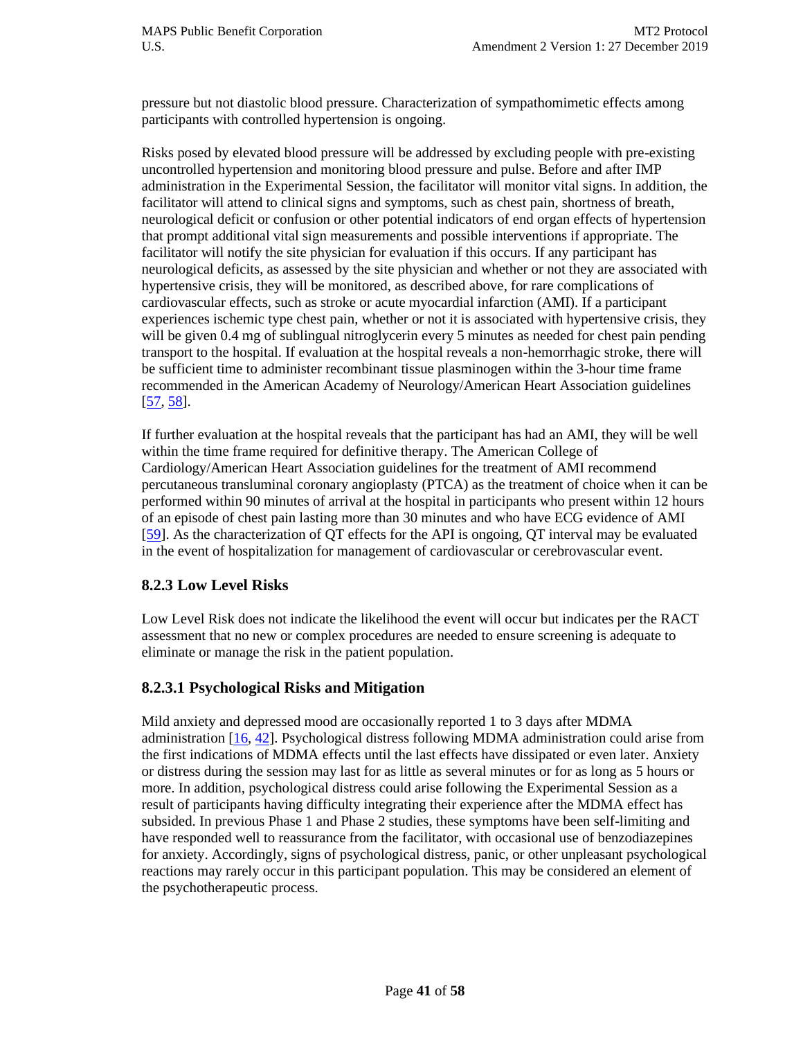pressure but not diastolic blood pressure. Characterization of sympathomimetic effects among participants with controlled hypertension is ongoing.

Risks posed by elevated blood pressure will be addressed by excluding people with pre-existing uncontrolled hypertension and monitoring blood pressure and pulse. Before and after IMP administration in the Experimental Session, the facilitator will monitor vital signs. In addition, the facilitator will attend to clinical signs and symptoms, such as chest pain, shortness of breath, neurological deficit or confusion or other potential indicators of end organ effects of hypertension that prompt additional vital sign measurements and possible interventions if appropriate. The facilitator will notify the site physician for evaluation if this occurs. If any participant has neurological deficits, as assessed by the site physician and whether or not they are associated with hypertensive crisis, they will be monitored, as described above, for rare complications of cardiovascular effects, such as stroke or acute myocardial infarction (AMI). If a participant experiences ischemic type chest pain, whether or not it is associated with hypertensive crisis, they will be given 0.4 mg of sublingual nitroglycerin every 5 minutes as needed for chest pain pending transport to the hospital. If evaluation at the hospital reveals a non-hemorrhagic stroke, there will be sufficient time to administer recombinant tissue plasminogen within the 3-hour time frame recommended in the American Academy of Neurology/American Heart Association guidelines  $[57, 58]$  $[57, 58]$ .

If further evaluation at the hospital reveals that the participant has had an AMI, they will be well within the time frame required for definitive therapy. The American College of Cardiology/American Heart Association guidelines for the treatment of AMI recommend percutaneous transluminal coronary angioplasty (PTCA) as the treatment of choice when it can be performed within 90 minutes of arrival at the hospital in participants who present within 12 hours of an episode of chest pain lasting more than 30 minutes and who have ECG evidence of AMI [\[59\]](#page-57-2). As the characterization of QT effects for the API is ongoing, QT interval may be evaluated in the event of hospitalization for management of cardiovascular or cerebrovascular event.

## **8.2.3 Low Level Risks**

Low Level Risk does not indicate the likelihood the event will occur but indicates per the RACT assessment that no new or complex procedures are needed to ensure screening is adequate to eliminate or manage the risk in the patient population.

## **8.2.3.1 Psychological Risks and Mitigation**

Mild anxiety and depressed mood are occasionally reported 1 to 3 days after MDMA administration  $[16, 42]$  $[16, 42]$ . Psychological distress following MDMA administration could arise from the first indications of MDMA effects until the last effects have dissipated or even later. Anxiety or distress during the session may last for as little as several minutes or for as long as 5 hours or more. In addition, psychological distress could arise following the Experimental Session as a result of participants having difficulty integrating their experience after the MDMA effect has subsided. In previous Phase 1 and Phase 2 studies, these symptoms have been self-limiting and have responded well to reassurance from the facilitator, with occasional use of benzodiazepines for anxiety. Accordingly, signs of psychological distress, panic, or other unpleasant psychological reactions may rarely occur in this participant population. This may be considered an element of the psychotherapeutic process.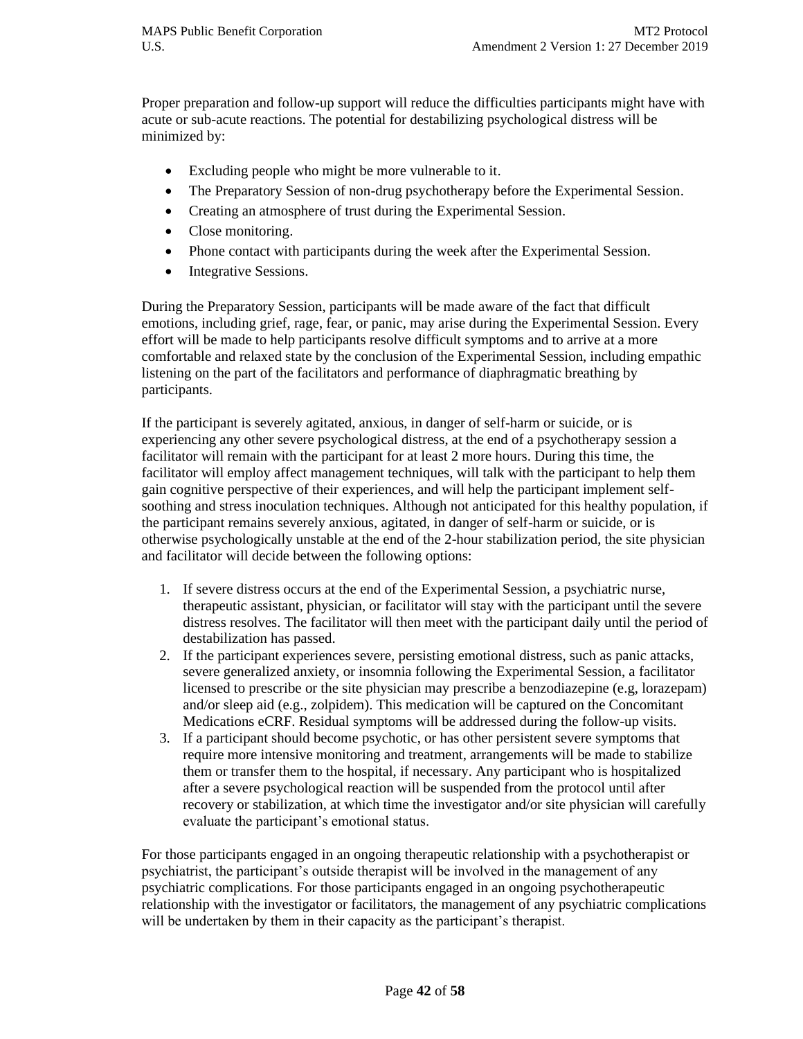Proper preparation and follow-up support will reduce the difficulties participants might have with acute or sub-acute reactions. The potential for destabilizing psychological distress will be minimized by:

- Excluding people who might be more vulnerable to it.
- The Preparatory Session of non-drug psychotherapy before the Experimental Session.
- Creating an atmosphere of trust during the Experimental Session.
- Close monitoring.
- Phone contact with participants during the week after the Experimental Session.
- Integrative Sessions.

During the Preparatory Session, participants will be made aware of the fact that difficult emotions, including grief, rage, fear, or panic, may arise during the Experimental Session. Every effort will be made to help participants resolve difficult symptoms and to arrive at a more comfortable and relaxed state by the conclusion of the Experimental Session, including empathic listening on the part of the facilitators and performance of diaphragmatic breathing by participants.

If the participant is severely agitated, anxious, in danger of self-harm or suicide, or is experiencing any other severe psychological distress, at the end of a psychotherapy session a facilitator will remain with the participant for at least 2 more hours. During this time, the facilitator will employ affect management techniques, will talk with the participant to help them gain cognitive perspective of their experiences, and will help the participant implement selfsoothing and stress inoculation techniques. Although not anticipated for this healthy population, if the participant remains severely anxious, agitated, in danger of self-harm or suicide, or is otherwise psychologically unstable at the end of the 2-hour stabilization period, the site physician and facilitator will decide between the following options:

- 1. If severe distress occurs at the end of the Experimental Session, a psychiatric nurse, therapeutic assistant, physician, or facilitator will stay with the participant until the severe distress resolves. The facilitator will then meet with the participant daily until the period of destabilization has passed.
- 2. If the participant experiences severe, persisting emotional distress, such as panic attacks, severe generalized anxiety, or insomnia following the Experimental Session, a facilitator licensed to prescribe or the site physician may prescribe a benzodiazepine (e.g, lorazepam) and/or sleep aid (e.g., zolpidem). This medication will be captured on the Concomitant Medications eCRF. Residual symptoms will be addressed during the follow-up visits.
- 3. If a participant should become psychotic, or has other persistent severe symptoms that require more intensive monitoring and treatment, arrangements will be made to stabilize them or transfer them to the hospital, if necessary. Any participant who is hospitalized after a severe psychological reaction will be suspended from the protocol until after recovery or stabilization, at which time the investigator and/or site physician will carefully evaluate the participant's emotional status.

For those participants engaged in an ongoing therapeutic relationship with a psychotherapist or psychiatrist, the participant's outside therapist will be involved in the management of any psychiatric complications. For those participants engaged in an ongoing psychotherapeutic relationship with the investigator or facilitators, the management of any psychiatric complications will be undertaken by them in their capacity as the participant's therapist.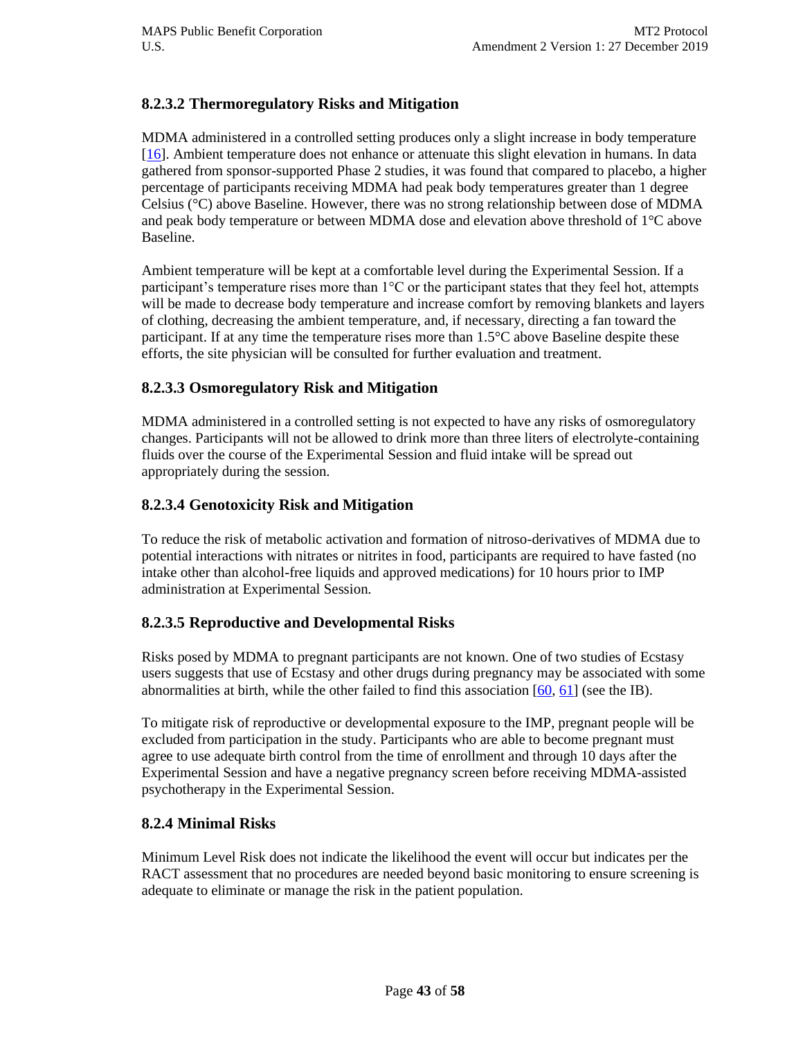## **8.2.3.2 Thermoregulatory Risks and Mitigation**

MDMA administered in a controlled setting produces only a slight increase in body temperature [\[16\]](#page-55-0). Ambient temperature does not enhance or attenuate this slight elevation in humans. In data gathered from sponsor-supported Phase 2 studies, it was found that compared to placebo, a higher percentage of participants receiving MDMA had peak body temperatures greater than 1 degree Celsius (°C) above Baseline. However, there was no strong relationship between dose of MDMA and peak body temperature or between MDMA dose and elevation above threshold of 1°C above Baseline.

Ambient temperature will be kept at a comfortable level during the Experimental Session. If a participant's temperature rises more than 1°C or the participant states that they feel hot, attempts will be made to decrease body temperature and increase comfort by removing blankets and layers of clothing, decreasing the ambient temperature, and, if necessary, directing a fan toward the participant. If at any time the temperature rises more than 1.5°C above Baseline despite these efforts, the site physician will be consulted for further evaluation and treatment.

## **8.2.3.3 Osmoregulatory Risk and Mitigation**

MDMA administered in a controlled setting is not expected to have any risks of osmoregulatory changes. Participants will not be allowed to drink more than three liters of electrolyte-containing fluids over the course of the Experimental Session and fluid intake will be spread out appropriately during the session.

#### **8.2.3.4 Genotoxicity Risk and Mitigation**

To reduce the risk of metabolic activation and formation of nitroso-derivatives of MDMA due to potential interactions with nitrates or nitrites in food, participants are required to have fasted (no intake other than alcohol-free liquids and approved medications) for 10 hours prior to IMP administration at Experimental Session.

## **8.2.3.5 Reproductive and Developmental Risks**

Risks posed by MDMA to pregnant participants are not known. One of two studies of Ecstasy users suggests that use of Ecstasy and other drugs during pregnancy may be associated with some abnormalities at birth, while the other failed to find this association  $[60, 61]$  $[60, 61]$  (see the IB).

To mitigate risk of reproductive or developmental exposure to the IMP, pregnant people will be excluded from participation in the study. Participants who are able to become pregnant must agree to use adequate birth control from the time of enrollment and through 10 days after the Experimental Session and have a negative pregnancy screen before receiving MDMA-assisted psychotherapy in the Experimental Session.

#### **8.2.4 Minimal Risks**

Minimum Level Risk does not indicate the likelihood the event will occur but indicates per the RACT assessment that no procedures are needed beyond basic monitoring to ensure screening is adequate to eliminate or manage the risk in the patient population.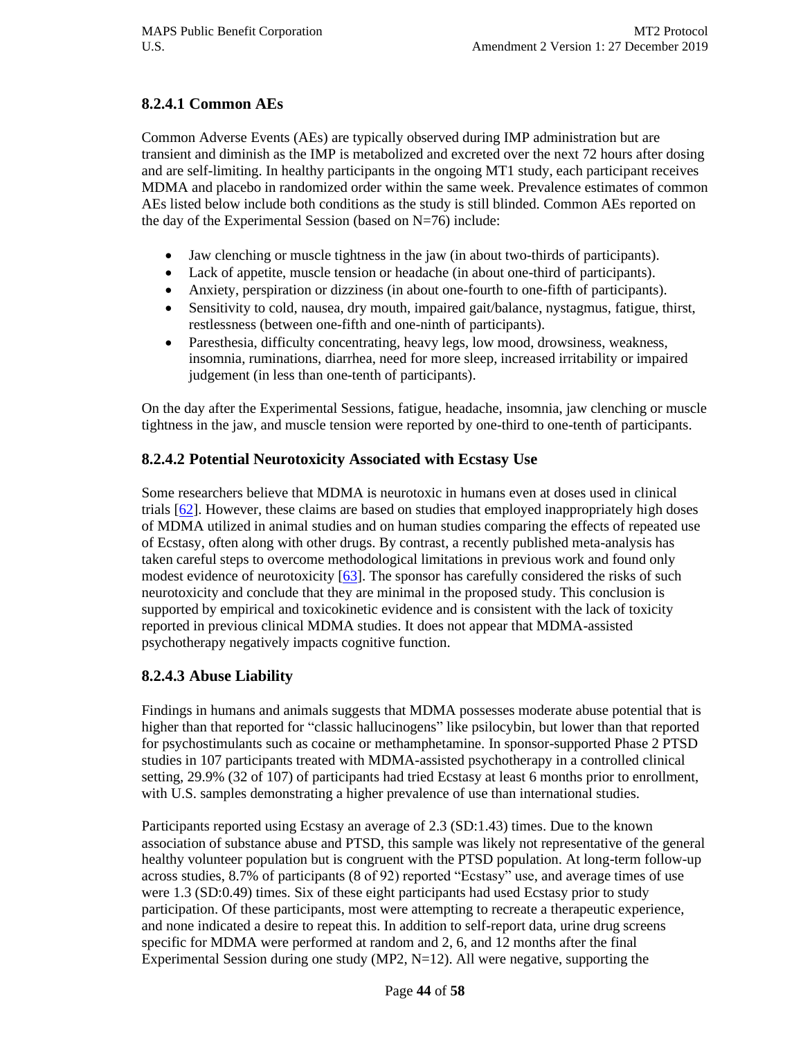## **8.2.4.1 Common AEs**

Common Adverse Events (AEs) are typically observed during IMP administration but are transient and diminish as the IMP is metabolized and excreted over the next 72 hours after dosing and are self-limiting. In healthy participants in the ongoing MT1 study, each participant receives MDMA and placebo in randomized order within the same week. Prevalence estimates of common AEs listed below include both conditions as the study is still blinded. Common AEs reported on the day of the Experimental Session (based on  $N=76$ ) include:

- Jaw clenching or muscle tightness in the jaw (in about two-thirds of participants).
- Lack of appetite, muscle tension or headache (in about one-third of participants).
- Anxiety, perspiration or dizziness (in about one-fourth to one-fifth of participants).
- Sensitivity to cold, nausea, dry mouth, impaired gait/balance, nystagmus, fatigue, thirst, restlessness (between one-fifth and one-ninth of participants).
- Paresthesia, difficulty concentrating, heavy legs, low mood, drowsiness, weakness, insomnia, ruminations, diarrhea, need for more sleep, increased irritability or impaired judgement (in less than one-tenth of participants).

On the day after the Experimental Sessions, fatigue, headache, insomnia, jaw clenching or muscle tightness in the jaw, and muscle tension were reported by one-third to one-tenth of participants.

## **8.2.4.2 Potential Neurotoxicity Associated with Ecstasy Use**

Some researchers believe that MDMA is neurotoxic in humans even at doses used in clinical trials [\[62\]](#page-57-5). However, these claims are based on studies that employed inappropriately high doses of MDMA utilized in animal studies and on human studies comparing the effects of repeated use of Ecstasy, often along with other drugs. By contrast, a recently published meta-analysis has taken careful steps to overcome methodological limitations in previous work and found only modest evidence of neurotoxicity [\[63\]](#page-57-6). The sponsor has carefully considered the risks of such neurotoxicity and conclude that they are minimal in the proposed study. This conclusion is supported by empirical and toxicokinetic evidence and is consistent with the lack of toxicity reported in previous clinical MDMA studies. It does not appear that MDMA-assisted psychotherapy negatively impacts cognitive function.

## **8.2.4.3 Abuse Liability**

Findings in humans and animals suggests that MDMA possesses moderate abuse potential that is higher than that reported for "classic hallucinogens" like psilocybin, but lower than that reported for psychostimulants such as cocaine or methamphetamine. In sponsor-supported Phase 2 PTSD studies in 107 participants treated with MDMA-assisted psychotherapy in a controlled clinical setting, 29.9% (32 of 107) of participants had tried Ecstasy at least 6 months prior to enrollment, with U.S. samples demonstrating a higher prevalence of use than international studies.

Participants reported using Ecstasy an average of 2.3 (SD:1.43) times. Due to the known association of substance abuse and PTSD, this sample was likely not representative of the general healthy volunteer population but is congruent with the PTSD population. At long-term follow-up across studies, 8.7% of participants (8 of 92) reported "Ecstasy" use, and average times of use were 1.3 (SD:0.49) times. Six of these eight participants had used Ecstasy prior to study participation. Of these participants, most were attempting to recreate a therapeutic experience, and none indicated a desire to repeat this. In addition to self-report data, urine drug screens specific for MDMA were performed at random and 2, 6, and 12 months after the final Experimental Session during one study  $(MP2, N=12)$ . All were negative, supporting the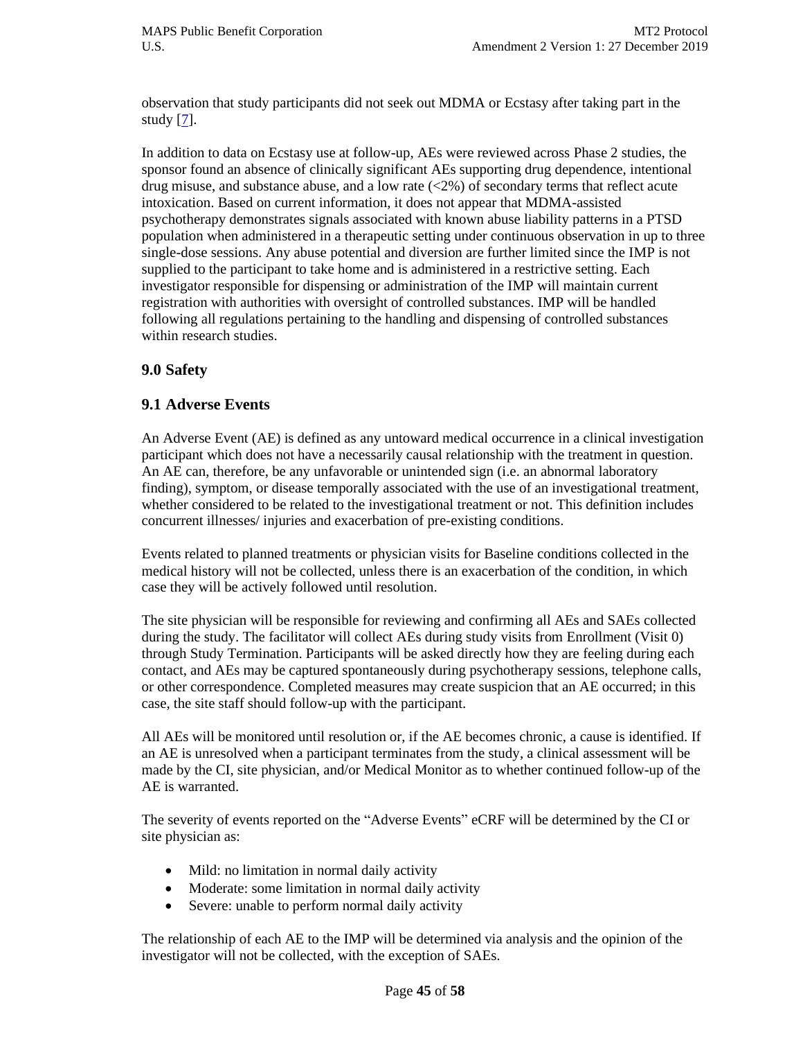observation that study participants did not seek out MDMA or Ecstasy after taking part in the study [\[7\]](#page-54-5).

In addition to data on Ecstasy use at follow-up, AEs were reviewed across Phase 2 studies, the sponsor found an absence of clinically significant AEs supporting drug dependence, intentional drug misuse, and substance abuse, and a low rate  $\langle 2\% \rangle$  of secondary terms that reflect acute intoxication. Based on current information, it does not appear that MDMA-assisted psychotherapy demonstrates signals associated with known abuse liability patterns in a PTSD population when administered in a therapeutic setting under continuous observation in up to three single-dose sessions. Any abuse potential and diversion are further limited since the IMP is not supplied to the participant to take home and is administered in a restrictive setting. Each investigator responsible for dispensing or administration of the IMP will maintain current registration with authorities with oversight of controlled substances. IMP will be handled following all regulations pertaining to the handling and dispensing of controlled substances within research studies.

## **9.0 Safety**

#### **9.1 Adverse Events**

An Adverse Event (AE) is defined as any untoward medical occurrence in a clinical investigation participant which does not have a necessarily causal relationship with the treatment in question. An AE can, therefore, be any unfavorable or unintended sign (i.e. an abnormal laboratory finding), symptom, or disease temporally associated with the use of an investigational treatment, whether considered to be related to the investigational treatment or not. This definition includes concurrent illnesses/ injuries and exacerbation of pre-existing conditions.

Events related to planned treatments or physician visits for Baseline conditions collected in the medical history will not be collected, unless there is an exacerbation of the condition, in which case they will be actively followed until resolution.

The site physician will be responsible for reviewing and confirming all AEs and SAEs collected during the study. The facilitator will collect AEs during study visits from Enrollment (Visit 0) through Study Termination. Participants will be asked directly how they are feeling during each contact, and AEs may be captured spontaneously during psychotherapy sessions, telephone calls, or other correspondence. Completed measures may create suspicion that an AE occurred; in this case, the site staff should follow-up with the participant.

All AEs will be monitored until resolution or, if the AE becomes chronic, a cause is identified. If an AE is unresolved when a participant terminates from the study, a clinical assessment will be made by the CI, site physician, and/or Medical Monitor as to whether continued follow-up of the AE is warranted.

The severity of events reported on the "Adverse Events" eCRF will be determined by the CI or site physician as:

- Mild: no limitation in normal daily activity
- Moderate: some limitation in normal daily activity
- Severe: unable to perform normal daily activity

The relationship of each AE to the IMP will be determined via analysis and the opinion of the investigator will not be collected, with the exception of SAEs.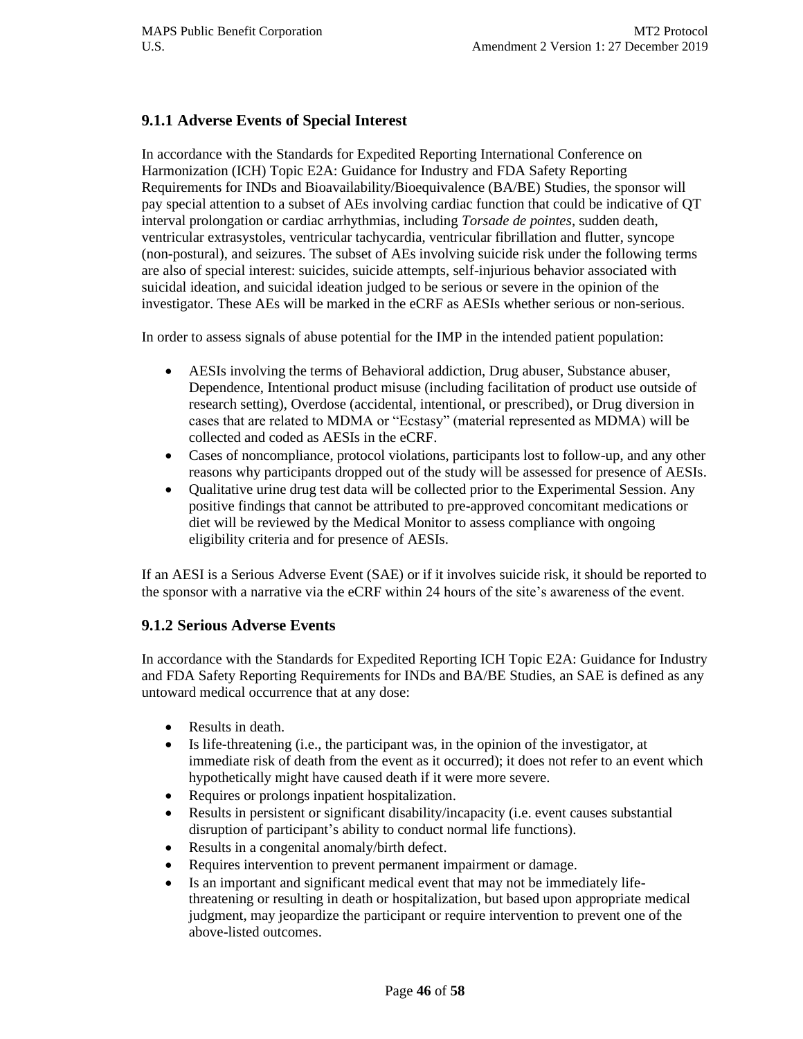## **9.1.1 Adverse Events of Special Interest**

In accordance with the Standards for Expedited Reporting International Conference on Harmonization (ICH) Topic E2A: Guidance for Industry and FDA Safety Reporting Requirements for INDs and Bioavailability/Bioequivalence (BA/BE) Studies, the sponsor will pay special attention to a subset of AEs involving cardiac function that could be indicative of QT interval prolongation or cardiac arrhythmias, including *Torsade de pointes*, sudden death, ventricular extrasystoles, ventricular tachycardia, ventricular fibrillation and flutter, syncope (non-postural), and seizures. The subset of AEs involving suicide risk under the following terms are also of special interest: suicides, suicide attempts, self-injurious behavior associated with suicidal ideation, and suicidal ideation judged to be serious or severe in the opinion of the investigator. These AEs will be marked in the eCRF as AESIs whether serious or non-serious.

In order to assess signals of abuse potential for the IMP in the intended patient population:

- AESIs involving the terms of Behavioral addiction, Drug abuser, Substance abuser, Dependence, Intentional product misuse (including facilitation of product use outside of research setting), Overdose (accidental, intentional, or prescribed), or Drug diversion in cases that are related to MDMA or "Ecstasy" (material represented as MDMA) will be collected and coded as AESIs in the eCRF.
- Cases of noncompliance, protocol violations, participants lost to follow-up, and any other reasons why participants dropped out of the study will be assessed for presence of AESIs.
- Qualitative urine drug test data will be collected prior to the Experimental Session. Any positive findings that cannot be attributed to pre-approved concomitant medications or diet will be reviewed by the Medical Monitor to assess compliance with ongoing eligibility criteria and for presence of AESIs.

If an AESI is a Serious Adverse Event (SAE) or if it involves suicide risk, it should be reported to the sponsor with a narrative via the eCRF within 24 hours of the site's awareness of the event.

#### **9.1.2 Serious Adverse Events**

In accordance with the Standards for Expedited Reporting ICH Topic E2A: Guidance for Industry and FDA Safety Reporting Requirements for INDs and BA/BE Studies, an SAE is defined as any untoward medical occurrence that at any dose:

- Results in death.
- Is life-threatening (i.e., the participant was, in the opinion of the investigator, at immediate risk of death from the event as it occurred); it does not refer to an event which hypothetically might have caused death if it were more severe.
- Requires or prolongs inpatient hospitalization.
- Results in persistent or significant disability/incapacity (i.e. event causes substantial disruption of participant's ability to conduct normal life functions).
- Results in a congenital anomaly/birth defect.
- Requires intervention to prevent permanent impairment or damage.
- Is an important and significant medical event that may not be immediately lifethreatening or resulting in death or hospitalization, but based upon appropriate medical judgment, may jeopardize the participant or require intervention to prevent one of the above-listed outcomes.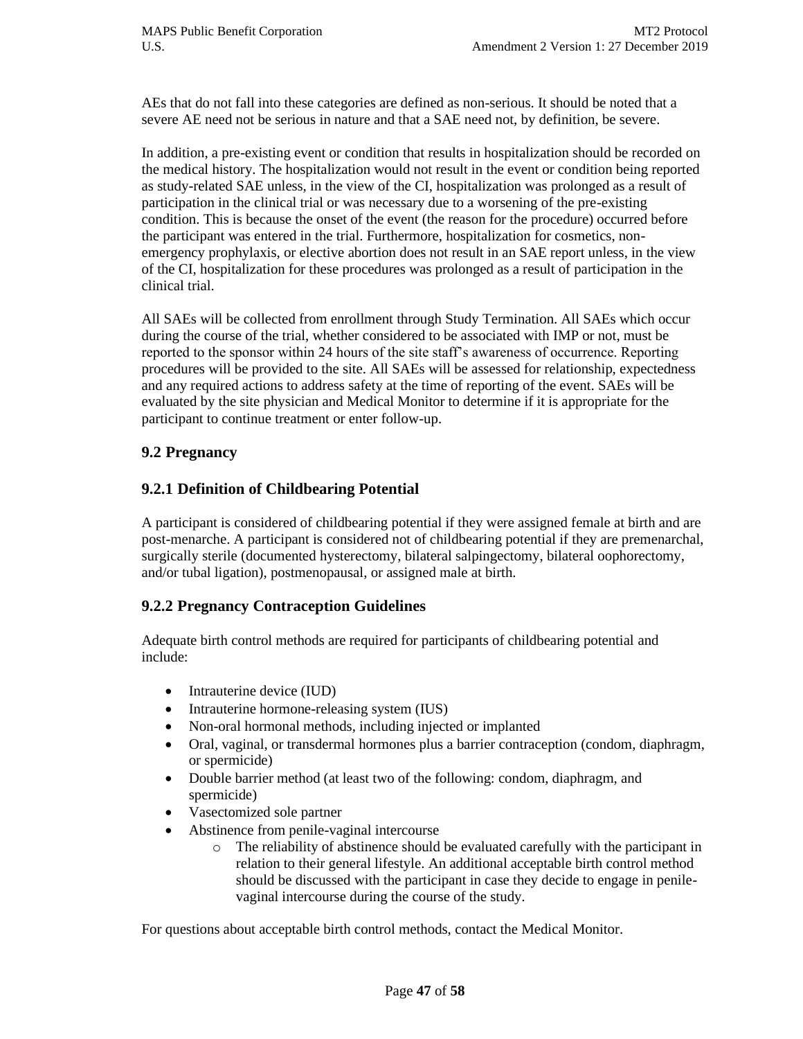AEs that do not fall into these categories are defined as non-serious. It should be noted that a severe AE need not be serious in nature and that a SAE need not, by definition, be severe.

In addition, a pre-existing event or condition that results in hospitalization should be recorded on the medical history. The hospitalization would not result in the event or condition being reported as study-related SAE unless, in the view of the CI, hospitalization was prolonged as a result of participation in the clinical trial or was necessary due to a worsening of the pre-existing condition. This is because the onset of the event (the reason for the procedure) occurred before the participant was entered in the trial. Furthermore, hospitalization for cosmetics, nonemergency prophylaxis, or elective abortion does not result in an SAE report unless, in the view of the CI, hospitalization for these procedures was prolonged as a result of participation in the clinical trial.

All SAEs will be collected from enrollment through Study Termination. All SAEs which occur during the course of the trial, whether considered to be associated with IMP or not, must be reported to the sponsor within 24 hours of the site staff's awareness of occurrence. Reporting procedures will be provided to the site. All SAEs will be assessed for relationship, expectedness and any required actions to address safety at the time of reporting of the event. SAEs will be evaluated by the site physician and Medical Monitor to determine if it is appropriate for the participant to continue treatment or enter follow-up.

## **9.2 Pregnancy**

#### **9.2.1 Definition of Childbearing Potential**

A participant is considered of childbearing potential if they were assigned female at birth and are post-menarche. A participant is considered not of childbearing potential if they are premenarchal, surgically sterile (documented hysterectomy, bilateral salpingectomy, bilateral oophorectomy, and/or tubal ligation), postmenopausal, or assigned male at birth.

## **9.2.2 Pregnancy Contraception Guidelines**

Adequate birth control methods are required for participants of childbearing potential and include:

- Intrauterine device (IUD)
- Intrauterine hormone-releasing system (IUS)
- Non-oral hormonal methods, including injected or implanted
- Oral, vaginal, or transdermal hormones plus a barrier contraception (condom, diaphragm, or spermicide)
- Double barrier method (at least two of the following: condom, diaphragm, and spermicide)
- Vasectomized sole partner
- Abstinence from penile-vaginal intercourse
	- $\circ$  The reliability of abstinence should be evaluated carefully with the participant in relation to their general lifestyle. An additional acceptable birth control method should be discussed with the participant in case they decide to engage in penilevaginal intercourse during the course of the study.

For questions about acceptable birth control methods, contact the Medical Monitor.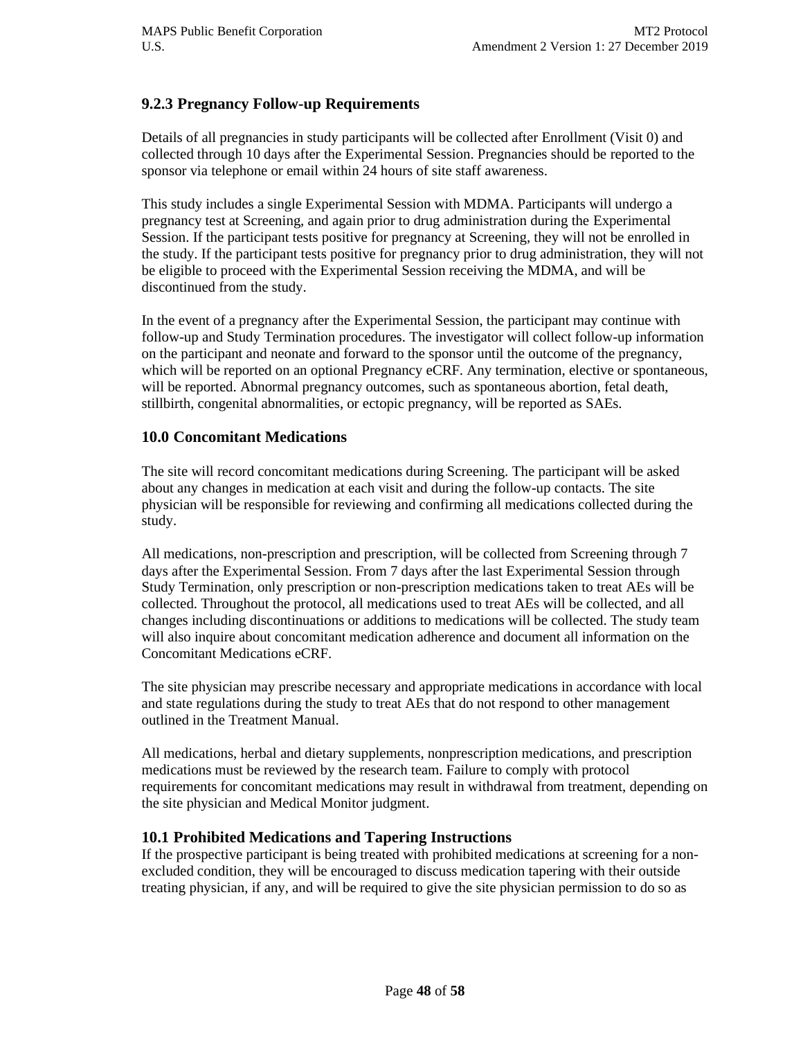## **9.2.3 Pregnancy Follow-up Requirements**

Details of all pregnancies in study participants will be collected after Enrollment (Visit 0) and collected through 10 days after the Experimental Session. Pregnancies should be reported to the sponsor via telephone or email within 24 hours of site staff awareness.

This study includes a single Experimental Session with MDMA. Participants will undergo a pregnancy test at Screening, and again prior to drug administration during the Experimental Session. If the participant tests positive for pregnancy at Screening, they will not be enrolled in the study. If the participant tests positive for pregnancy prior to drug administration, they will not be eligible to proceed with the Experimental Session receiving the MDMA, and will be discontinued from the study.

In the event of a pregnancy after the Experimental Session, the participant may continue with follow-up and Study Termination procedures. The investigator will collect follow-up information on the participant and neonate and forward to the sponsor until the outcome of the pregnancy, which will be reported on an optional Pregnancy eCRF. Any termination, elective or spontaneous, will be reported. Abnormal pregnancy outcomes, such as spontaneous abortion, fetal death, stillbirth, congenital abnormalities, or ectopic pregnancy, will be reported as SAEs.

#### **10.0 Concomitant Medications**

The site will record concomitant medications during Screening. The participant will be asked about any changes in medication at each visit and during the follow-up contacts. The site physician will be responsible for reviewing and confirming all medications collected during the study.

All medications, non-prescription and prescription, will be collected from Screening through 7 days after the Experimental Session. From 7 days after the last Experimental Session through Study Termination, only prescription or non-prescription medications taken to treat AEs will be collected. Throughout the protocol, all medications used to treat AEs will be collected, and all changes including discontinuations or additions to medications will be collected. The study team will also inquire about concomitant medication adherence and document all information on the Concomitant Medications eCRF.

The site physician may prescribe necessary and appropriate medications in accordance with local and state regulations during the study to treat AEs that do not respond to other management outlined in the Treatment Manual.

All medications, herbal and dietary supplements, nonprescription medications, and prescription medications must be reviewed by the research team. Failure to comply with protocol requirements for concomitant medications may result in withdrawal from treatment, depending on the site physician and Medical Monitor judgment.

## **10.1 Prohibited Medications and Tapering Instructions**

If the prospective participant is being treated with prohibited medications at screening for a nonexcluded condition, they will be encouraged to discuss medication tapering with their outside treating physician, if any, and will be required to give the site physician permission to do so as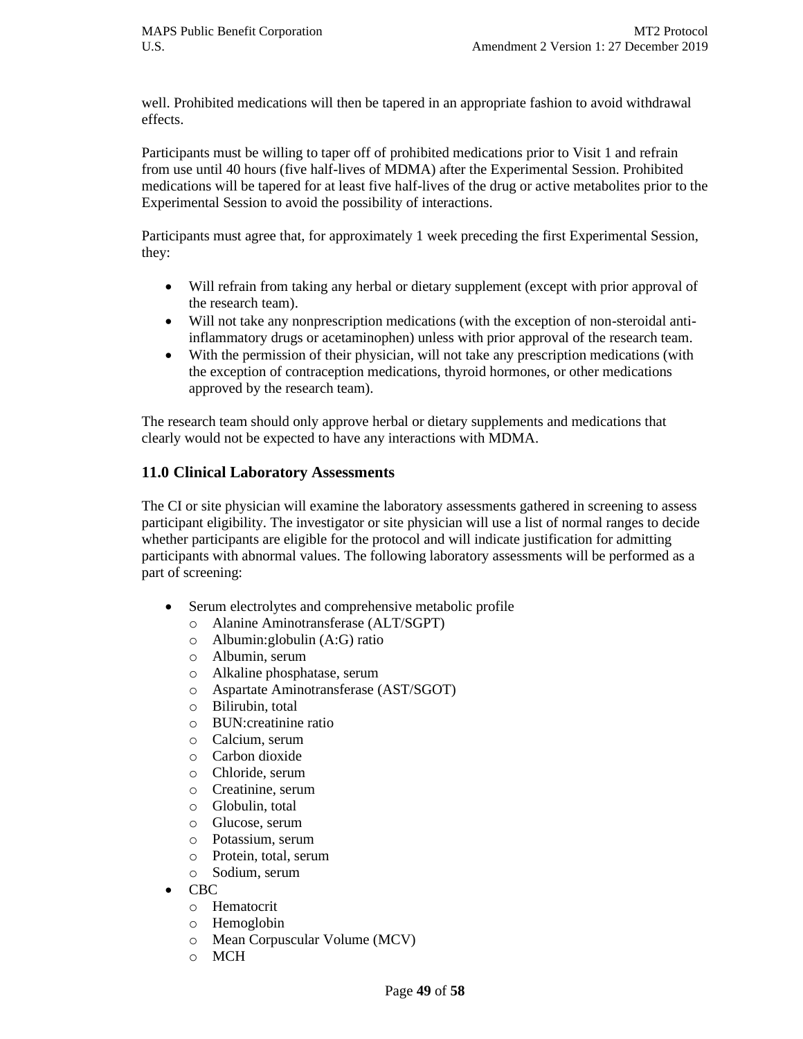well. Prohibited medications will then be tapered in an appropriate fashion to avoid withdrawal effects.

Participants must be willing to taper off of prohibited medications prior to Visit 1 and refrain from use until 40 hours (five half-lives of MDMA) after the Experimental Session. Prohibited medications will be tapered for at least five half-lives of the drug or active metabolites prior to the Experimental Session to avoid the possibility of interactions.

Participants must agree that, for approximately 1 week preceding the first Experimental Session, they:

- Will refrain from taking any herbal or dietary supplement (except with prior approval of the research team).
- Will not take any nonprescription medications (with the exception of non-steroidal antiinflammatory drugs or acetaminophen) unless with prior approval of the research team.
- With the permission of their physician, will not take any prescription medications (with the exception of contraception medications, thyroid hormones, or other medications approved by the research team).

The research team should only approve herbal or dietary supplements and medications that clearly would not be expected to have any interactions with MDMA.

## **11.0 Clinical Laboratory Assessments**

The CI or site physician will examine the laboratory assessments gathered in screening to assess participant eligibility. The investigator or site physician will use a list of normal ranges to decide whether participants are eligible for the protocol and will indicate justification for admitting participants with abnormal values. The following laboratory assessments will be performed as a part of screening:

- Serum electrolytes and comprehensive metabolic profile
	- o Alanine Aminotransferase (ALT/SGPT)
	- o Albumin:globulin (A:G) ratio
	- o Albumin, serum
	- o Alkaline phosphatase, serum
	- o Aspartate Aminotransferase (AST/SGOT)
	- o Bilirubin, total
	- o BUN:creatinine ratio
	- o Calcium, serum
	- o Carbon dioxide
	- o Chloride, serum
	- o Creatinine, serum
	- o Globulin, total
	- o Glucose, serum
	- o Potassium, serum
	- o Protein, total, serum
	- o Sodium, serum
- CBC
	- o Hematocrit
	- o Hemoglobin
	- o Mean Corpuscular Volume (MCV)
	- o MCH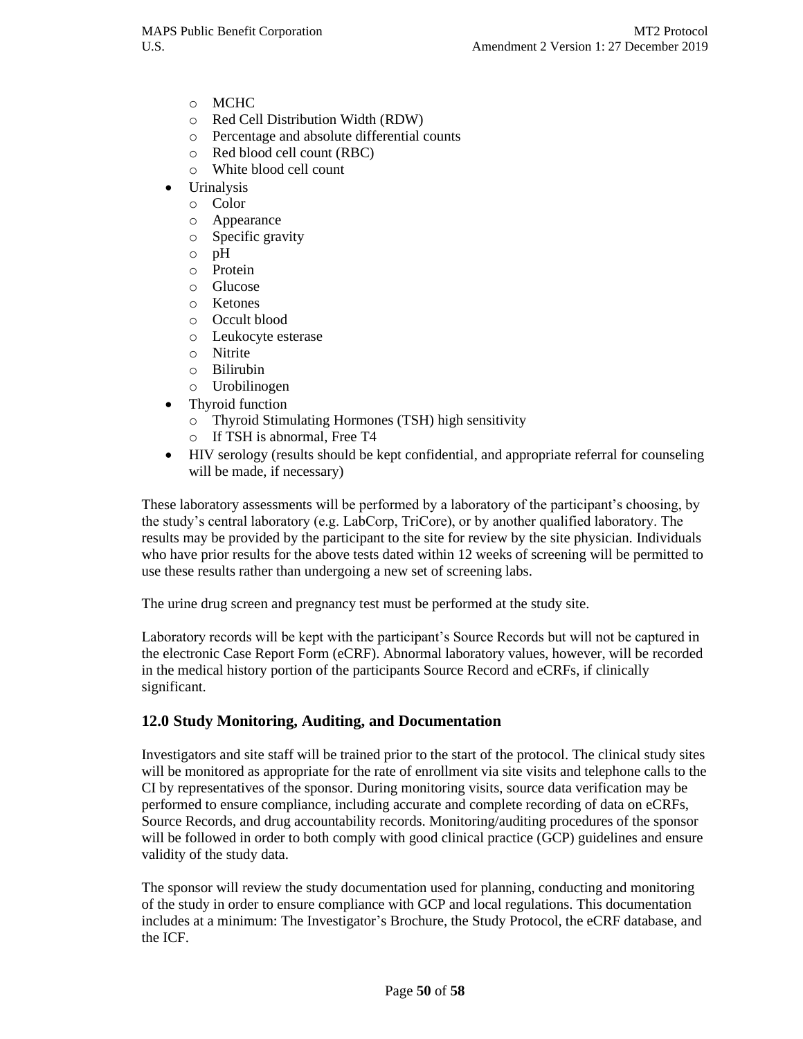- o MCHC
- o Red Cell Distribution Width (RDW)
- o Percentage and absolute differential counts
- o Red blood cell count (RBC)
- o White blood cell count
- Urinalysis
	- o Color
	- o Appearance
	- o Specific gravity
	- o pH
	- o Protein
	- o Glucose
	- o Ketones
	- o Occult blood
	- o Leukocyte esterase
	- o Nitrite
	- o Bilirubin
	- o Urobilinogen
- Thyroid function
	- o Thyroid Stimulating Hormones (TSH) high sensitivity
	- o If TSH is abnormal, Free T4
- HIV serology (results should be kept confidential, and appropriate referral for counseling will be made, if necessary)

These laboratory assessments will be performed by a laboratory of the participant's choosing, by the study's central laboratory (e.g. LabCorp, TriCore), or by another qualified laboratory. The results may be provided by the participant to the site for review by the site physician. Individuals who have prior results for the above tests dated within 12 weeks of screening will be permitted to use these results rather than undergoing a new set of screening labs.

The urine drug screen and pregnancy test must be performed at the study site.

Laboratory records will be kept with the participant's Source Records but will not be captured in the electronic Case Report Form (eCRF). Abnormal laboratory values, however, will be recorded in the medical history portion of the participants Source Record and eCRFs, if clinically significant.

#### **12.0 Study Monitoring, Auditing, and Documentation**

Investigators and site staff will be trained prior to the start of the protocol. The clinical study sites will be monitored as appropriate for the rate of enrollment via site visits and telephone calls to the CI by representatives of the sponsor. During monitoring visits, source data verification may be performed to ensure compliance, including accurate and complete recording of data on eCRFs, Source Records, and drug accountability records. Monitoring/auditing procedures of the sponsor will be followed in order to both comply with good clinical practice (GCP) guidelines and ensure validity of the study data.

The sponsor will review the study documentation used for planning, conducting and monitoring of the study in order to ensure compliance with GCP and local regulations. This documentation includes at a minimum: The Investigator's Brochure, the Study Protocol, the eCRF database, and the ICF.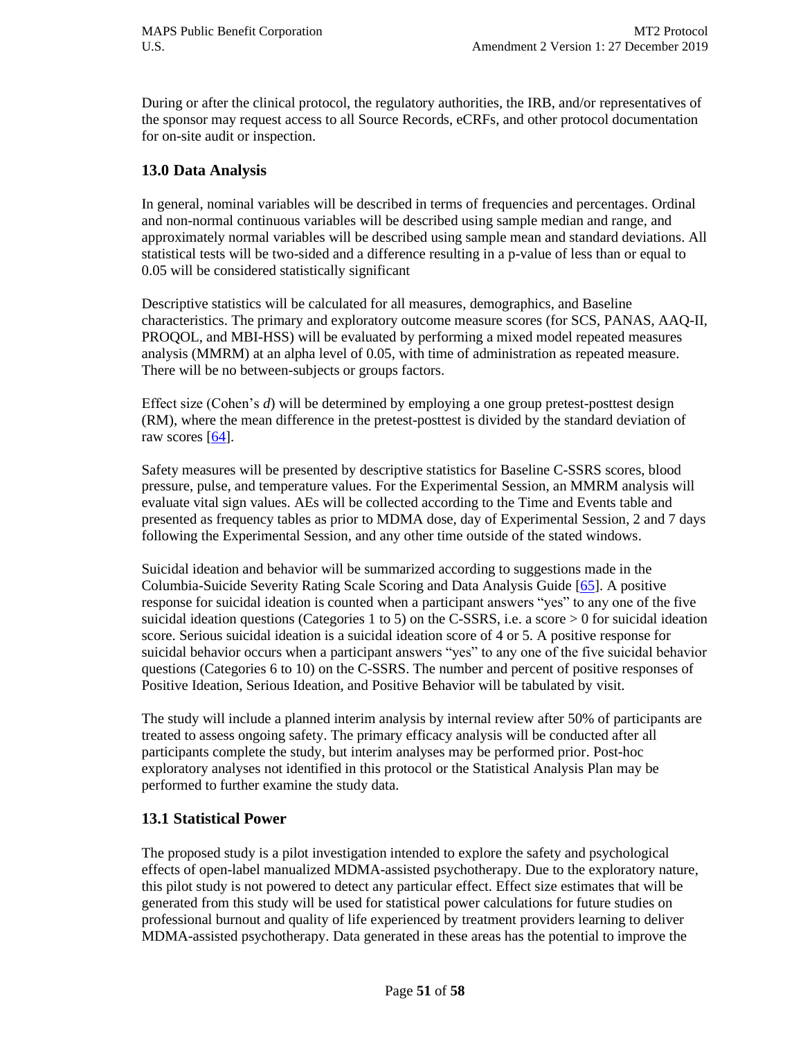During or after the clinical protocol, the regulatory authorities, the IRB, and/or representatives of the sponsor may request access to all Source Records, eCRFs, and other protocol documentation for on-site audit or inspection.

#### **13.0 Data Analysis**

In general, nominal variables will be described in terms of frequencies and percentages. Ordinal and non-normal continuous variables will be described using sample median and range, and approximately normal variables will be described using sample mean and standard deviations. All statistical tests will be two-sided and a difference resulting in a p-value of less than or equal to 0.05 will be considered statistically significant

Descriptive statistics will be calculated for all measures, demographics, and Baseline characteristics. The primary and exploratory outcome measure scores (for SCS, PANAS, AAQ-II, PROQOL, and MBI-HSS) will be evaluated by performing a mixed model repeated measures analysis (MMRM) at an alpha level of 0.05, with time of administration as repeated measure. There will be no between-subjects or groups factors.

Effect size (Cohen's *d*) will be determined by employing a one group pretest-posttest design (RM), where the mean difference in the pretest-posttest is divided by the standard deviation of raw scores  $[64]$ .

Safety measures will be presented by descriptive statistics for Baseline C-SSRS scores, blood pressure, pulse, and temperature values. For the Experimental Session, an MMRM analysis will evaluate vital sign values. AEs will be collected according to the Time and Events table and presented as frequency tables as prior to MDMA dose, day of Experimental Session, 2 and 7 days following the Experimental Session, and any other time outside of the stated windows.

Suicidal ideation and behavior will be summarized according to suggestions made in the Columbia-Suicide Severity Rating Scale Scoring and Data Analysis Guide [\[65\]](#page-57-8). A positive response for suicidal ideation is counted when a participant answers "yes" to any one of the five suicidal ideation questions (Categories 1 to 5) on the C-SSRS, i.e. a score > 0 for suicidal ideation score. Serious suicidal ideation is a suicidal ideation score of 4 or 5. A positive response for suicidal behavior occurs when a participant answers "yes" to any one of the five suicidal behavior questions (Categories 6 to 10) on the C-SSRS. The number and percent of positive responses of Positive Ideation, Serious Ideation, and Positive Behavior will be tabulated by visit.

The study will include a planned interim analysis by internal review after 50% of participants are treated to assess ongoing safety. The primary efficacy analysis will be conducted after all participants complete the study, but interim analyses may be performed prior. Post-hoc exploratory analyses not identified in this protocol or the Statistical Analysis Plan may be performed to further examine the study data.

## **13.1 Statistical Power**

The proposed study is a pilot investigation intended to explore the safety and psychological effects of open-label manualized MDMA-assisted psychotherapy. Due to the exploratory nature, this pilot study is not powered to detect any particular effect. Effect size estimates that will be generated from this study will be used for statistical power calculations for future studies on professional burnout and quality of life experienced by treatment providers learning to deliver MDMA-assisted psychotherapy. Data generated in these areas has the potential to improve the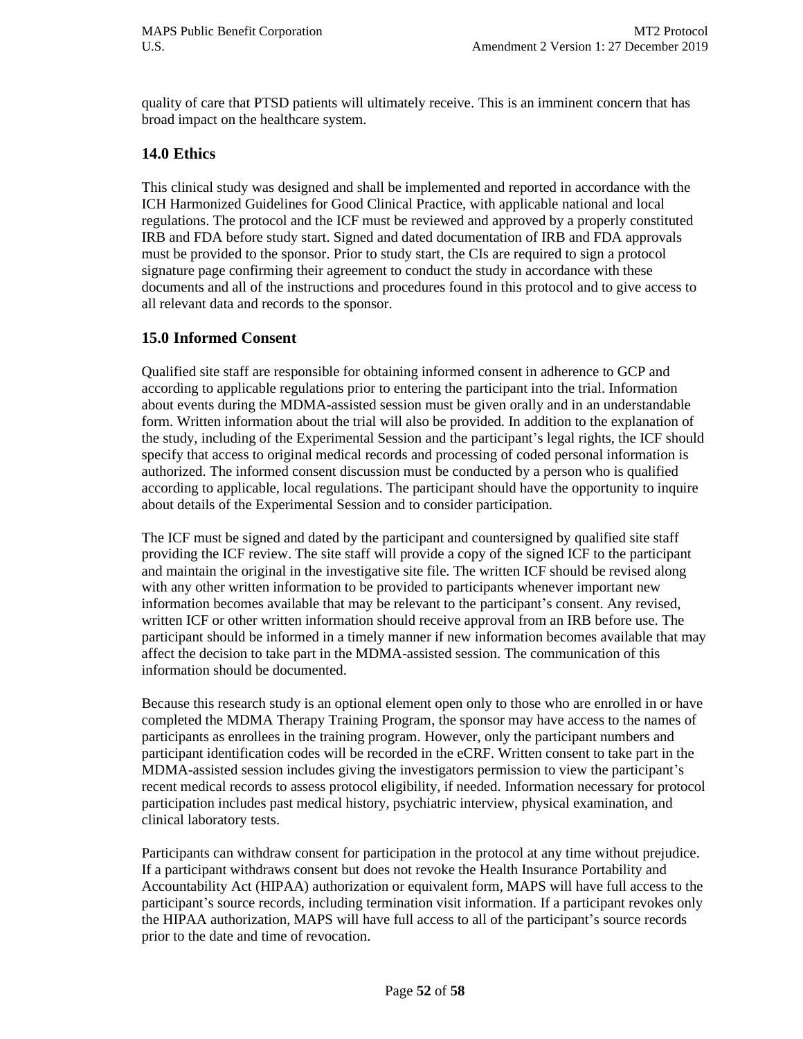quality of care that PTSD patients will ultimately receive. This is an imminent concern that has broad impact on the healthcare system.

#### **14.0 Ethics**

This clinical study was designed and shall be implemented and reported in accordance with the ICH Harmonized Guidelines for Good Clinical Practice, with applicable national and local regulations. The protocol and the ICF must be reviewed and approved by a properly constituted IRB and FDA before study start. Signed and dated documentation of IRB and FDA approvals must be provided to the sponsor. Prior to study start, the CIs are required to sign a protocol signature page confirming their agreement to conduct the study in accordance with these documents and all of the instructions and procedures found in this protocol and to give access to all relevant data and records to the sponsor.

#### **15.0 Informed Consent**

Qualified site staff are responsible for obtaining informed consent in adherence to GCP and according to applicable regulations prior to entering the participant into the trial. Information about events during the MDMA-assisted session must be given orally and in an understandable form. Written information about the trial will also be provided. In addition to the explanation of the study, including of the Experimental Session and the participant's legal rights, the ICF should specify that access to original medical records and processing of coded personal information is authorized. The informed consent discussion must be conducted by a person who is qualified according to applicable, local regulations. The participant should have the opportunity to inquire about details of the Experimental Session and to consider participation.

The ICF must be signed and dated by the participant and countersigned by qualified site staff providing the ICF review. The site staff will provide a copy of the signed ICF to the participant and maintain the original in the investigative site file. The written ICF should be revised along with any other written information to be provided to participants whenever important new information becomes available that may be relevant to the participant's consent. Any revised, written ICF or other written information should receive approval from an IRB before use. The participant should be informed in a timely manner if new information becomes available that may affect the decision to take part in the MDMA-assisted session. The communication of this information should be documented.

Because this research study is an optional element open only to those who are enrolled in or have completed the MDMA Therapy Training Program, the sponsor may have access to the names of participants as enrollees in the training program. However, only the participant numbers and participant identification codes will be recorded in the eCRF. Written consent to take part in the MDMA-assisted session includes giving the investigators permission to view the participant's recent medical records to assess protocol eligibility, if needed. Information necessary for protocol participation includes past medical history, psychiatric interview, physical examination, and clinical laboratory tests.

Participants can withdraw consent for participation in the protocol at any time without prejudice. If a participant withdraws consent but does not revoke the Health Insurance Portability and Accountability Act (HIPAA) authorization or equivalent form, MAPS will have full access to the participant's source records, including termination visit information. If a participant revokes only the HIPAA authorization, MAPS will have full access to all of the participant's source records prior to the date and time of revocation.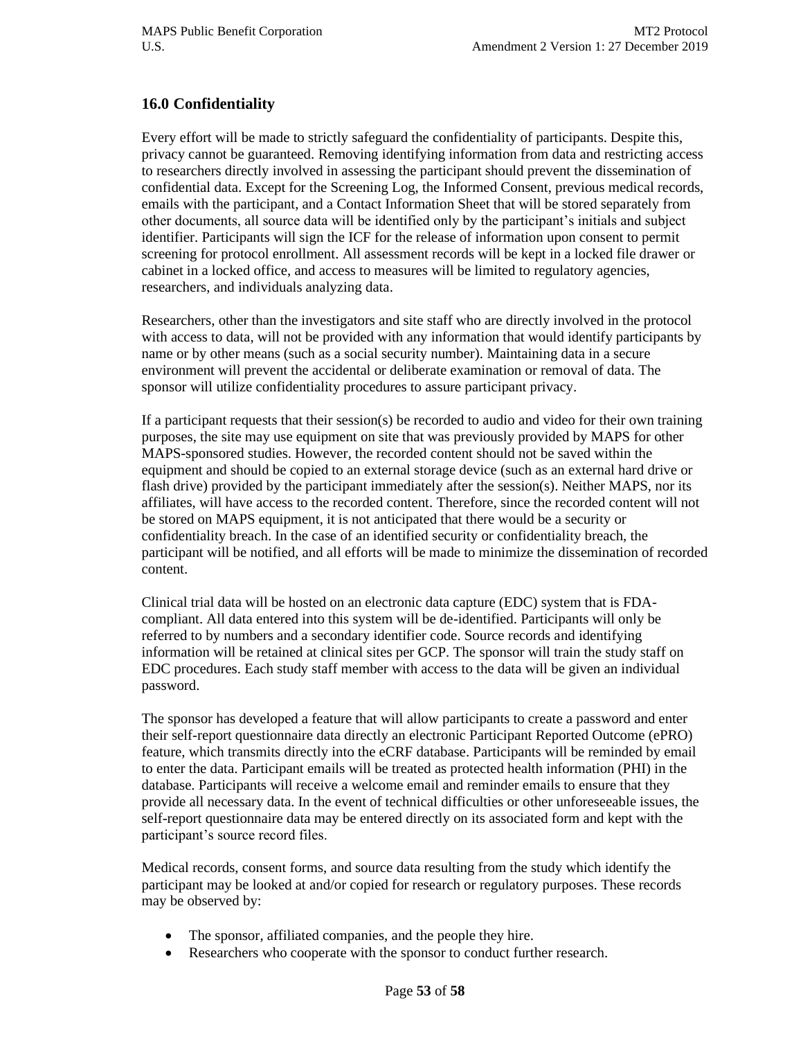## **16.0 Confidentiality**

Every effort will be made to strictly safeguard the confidentiality of participants. Despite this, privacy cannot be guaranteed. Removing identifying information from data and restricting access to researchers directly involved in assessing the participant should prevent the dissemination of confidential data. Except for the Screening Log, the Informed Consent, previous medical records, emails with the participant, and a Contact Information Sheet that will be stored separately from other documents, all source data will be identified only by the participant's initials and subject identifier. Participants will sign the ICF for the release of information upon consent to permit screening for protocol enrollment. All assessment records will be kept in a locked file drawer or cabinet in a locked office, and access to measures will be limited to regulatory agencies, researchers, and individuals analyzing data.

Researchers, other than the investigators and site staff who are directly involved in the protocol with access to data, will not be provided with any information that would identify participants by name or by other means (such as a social security number). Maintaining data in a secure environment will prevent the accidental or deliberate examination or removal of data. The sponsor will utilize confidentiality procedures to assure participant privacy.

If a participant requests that their session(s) be recorded to audio and video for their own training purposes, the site may use equipment on site that was previously provided by MAPS for other MAPS-sponsored studies. However, the recorded content should not be saved within the equipment and should be copied to an external storage device (such as an external hard drive or flash drive) provided by the participant immediately after the session(s). Neither MAPS, nor its affiliates, will have access to the recorded content. Therefore, since the recorded content will not be stored on MAPS equipment, it is not anticipated that there would be a security or confidentiality breach. In the case of an identified security or confidentiality breach, the participant will be notified, and all efforts will be made to minimize the dissemination of recorded content.

Clinical trial data will be hosted on an electronic data capture (EDC) system that is FDAcompliant. All data entered into this system will be de-identified. Participants will only be referred to by numbers and a secondary identifier code. Source records and identifying information will be retained at clinical sites per GCP. The sponsor will train the study staff on EDC procedures. Each study staff member with access to the data will be given an individual password.

The sponsor has developed a feature that will allow participants to create a password and enter their self-report questionnaire data directly an electronic Participant Reported Outcome (ePRO) feature, which transmits directly into the eCRF database. Participants will be reminded by email to enter the data. Participant emails will be treated as protected health information (PHI) in the database. Participants will receive a welcome email and reminder emails to ensure that they provide all necessary data. In the event of technical difficulties or other unforeseeable issues, the self-report questionnaire data may be entered directly on its associated form and kept with the participant's source record files.

Medical records, consent forms, and source data resulting from the study which identify the participant may be looked at and/or copied for research or regulatory purposes. These records may be observed by:

- The sponsor, affiliated companies, and the people they hire.
- Researchers who cooperate with the sponsor to conduct further research.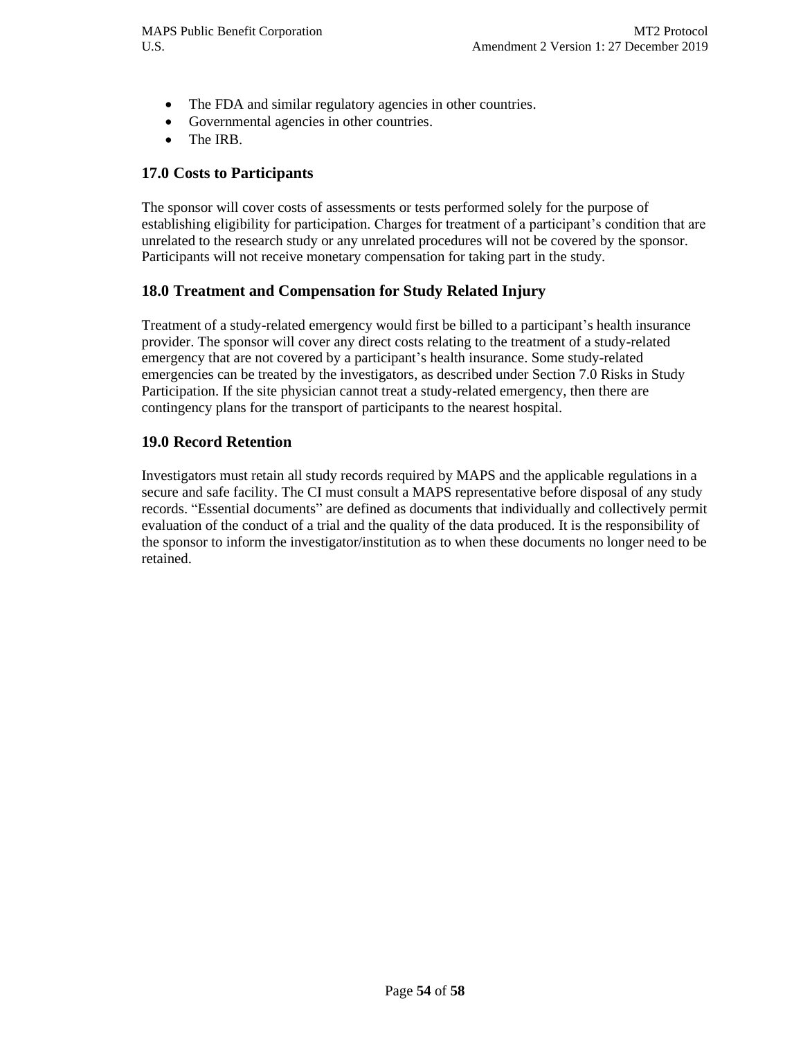- The FDA and similar regulatory agencies in other countries.
- Governmental agencies in other countries.
- The IRB.

#### **17.0 Costs to Participants**

The sponsor will cover costs of assessments or tests performed solely for the purpose of establishing eligibility for participation. Charges for treatment of a participant's condition that are unrelated to the research study or any unrelated procedures will not be covered by the sponsor. Participants will not receive monetary compensation for taking part in the study.

#### **18.0 Treatment and Compensation for Study Related Injury**

Treatment of a study-related emergency would first be billed to a participant's health insurance provider. The sponsor will cover any direct costs relating to the treatment of a study-related emergency that are not covered by a participant's health insurance. Some study-related emergencies can be treated by the investigators, as described under Section 7.0 Risks in Study Participation. If the site physician cannot treat a study-related emergency, then there are contingency plans for the transport of participants to the nearest hospital.

#### **19.0 Record Retention**

Investigators must retain all study records required by MAPS and the applicable regulations in a secure and safe facility. The CI must consult a MAPS representative before disposal of any study records. "Essential documents" are defined as documents that individually and collectively permit evaluation of the conduct of a trial and the quality of the data produced. It is the responsibility of the sponsor to inform the investigator/institution as to when these documents no longer need to be retained.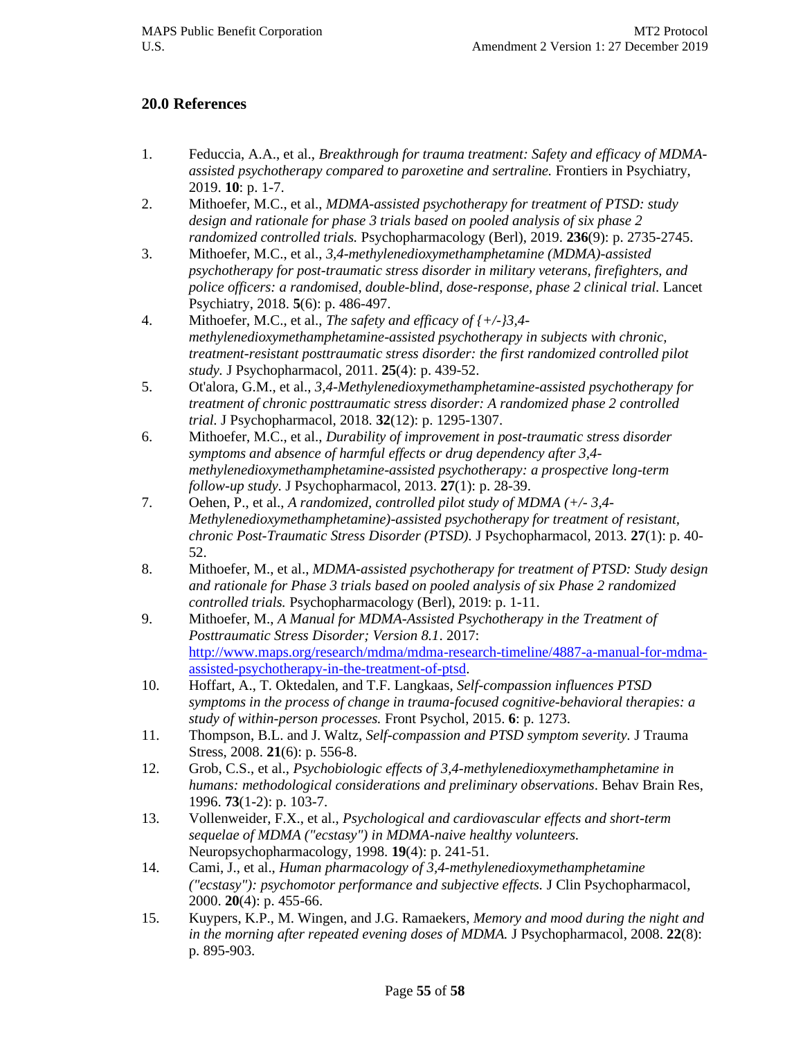#### **20.0 References**

- <span id="page-54-0"></span>1. Feduccia, A.A., et al., *Breakthrough for trauma treatment: Safety and efficacy of MDMAassisted psychotherapy compared to paroxetine and sertraline.* Frontiers in Psychiatry, 2019. **10**: p. 1-7.
- <span id="page-54-1"></span>2. Mithoefer, M.C., et al., *MDMA-assisted psychotherapy for treatment of PTSD: study design and rationale for phase 3 trials based on pooled analysis of six phase 2 randomized controlled trials.* Psychopharmacology (Berl), 2019. **236**(9): p. 2735-2745.
- <span id="page-54-2"></span>3. Mithoefer, M.C., et al., *3,4-methylenedioxymethamphetamine (MDMA)-assisted psychotherapy for post-traumatic stress disorder in military veterans, firefighters, and police officers: a randomised, double-blind, dose-response, phase 2 clinical trial.* Lancet Psychiatry, 2018. **5**(6): p. 486-497.
- 4. Mithoefer, M.C., et al., *The safety and efficacy of {+/-}3,4 methylenedioxymethamphetamine-assisted psychotherapy in subjects with chronic, treatment-resistant posttraumatic stress disorder: the first randomized controlled pilot study.* J Psychopharmacol, 2011. **25**(4): p. 439-52.
- <span id="page-54-4"></span>5. Ot'alora, G.M., et al., *3,4-Methylenedioxymethamphetamine-assisted psychotherapy for treatment of chronic posttraumatic stress disorder: A randomized phase 2 controlled trial.* J Psychopharmacol, 2018. **32**(12): p. 1295-1307.
- <span id="page-54-3"></span>6. Mithoefer, M.C., et al., *Durability of improvement in post-traumatic stress disorder symptoms and absence of harmful effects or drug dependency after 3,4 methylenedioxymethamphetamine-assisted psychotherapy: a prospective long-term follow-up study.* J Psychopharmacol, 2013. **27**(1): p. 28-39.
- <span id="page-54-5"></span>7. Oehen, P., et al., *A randomized, controlled pilot study of MDMA (+/- 3,4- Methylenedioxymethamphetamine)-assisted psychotherapy for treatment of resistant, chronic Post-Traumatic Stress Disorder (PTSD).* J Psychopharmacol, 2013. **27**(1): p. 40- 52.
- <span id="page-54-6"></span>8. Mithoefer, M., et al., *MDMA-assisted psychotherapy for treatment of PTSD: Study design and rationale for Phase 3 trials based on pooled analysis of six Phase 2 randomized controlled trials.* Psychopharmacology (Berl), 2019: p. 1-11.
- <span id="page-54-7"></span>9. Mithoefer, M., *A Manual for MDMA-Assisted Psychotherapy in the Treatment of Posttraumatic Stress Disorder; Version 8.1*. 2017: [http://www.maps.org/research/mdma/mdma-research-timeline/4887-a-manual-for-mdma](http://www.maps.org/research/mdma/mdma-research-timeline/4887-a-manual-for-mdma-assisted-psychotherapy-in-the-treatment-of-ptsd)[assisted-psychotherapy-in-the-treatment-of-ptsd.](http://www.maps.org/research/mdma/mdma-research-timeline/4887-a-manual-for-mdma-assisted-psychotherapy-in-the-treatment-of-ptsd)
- <span id="page-54-8"></span>10. Hoffart, A., T. Oktedalen, and T.F. Langkaas, *Self-compassion influences PTSD symptoms in the process of change in trauma-focused cognitive-behavioral therapies: a study of within-person processes.* Front Psychol, 2015. **6**: p. 1273.
- <span id="page-54-9"></span>11. Thompson, B.L. and J. Waltz, *Self-compassion and PTSD symptom severity.* J Trauma Stress, 2008. **21**(6): p. 556-8.
- <span id="page-54-10"></span>12. Grob, C.S., et al., *Psychobiologic effects of 3,4-methylenedioxymethamphetamine in humans: methodological considerations and preliminary observations.* Behav Brain Res, 1996. **73**(1-2): p. 103-7.
- <span id="page-54-11"></span>13. Vollenweider, F.X., et al., *Psychological and cardiovascular effects and short-term sequelae of MDMA ("ecstasy") in MDMA-naive healthy volunteers.* Neuropsychopharmacology, 1998. **19**(4): p. 241-51.
- <span id="page-54-12"></span>14. Cami, J., et al., *Human pharmacology of 3,4-methylenedioxymethamphetamine ("ecstasy"): psychomotor performance and subjective effects.* J Clin Psychopharmacol, 2000. **20**(4): p. 455-66.
- <span id="page-54-13"></span>15. Kuypers, K.P., M. Wingen, and J.G. Ramaekers, *Memory and mood during the night and in the morning after repeated evening doses of MDMA.* J Psychopharmacol, 2008. **22**(8): p. 895-903.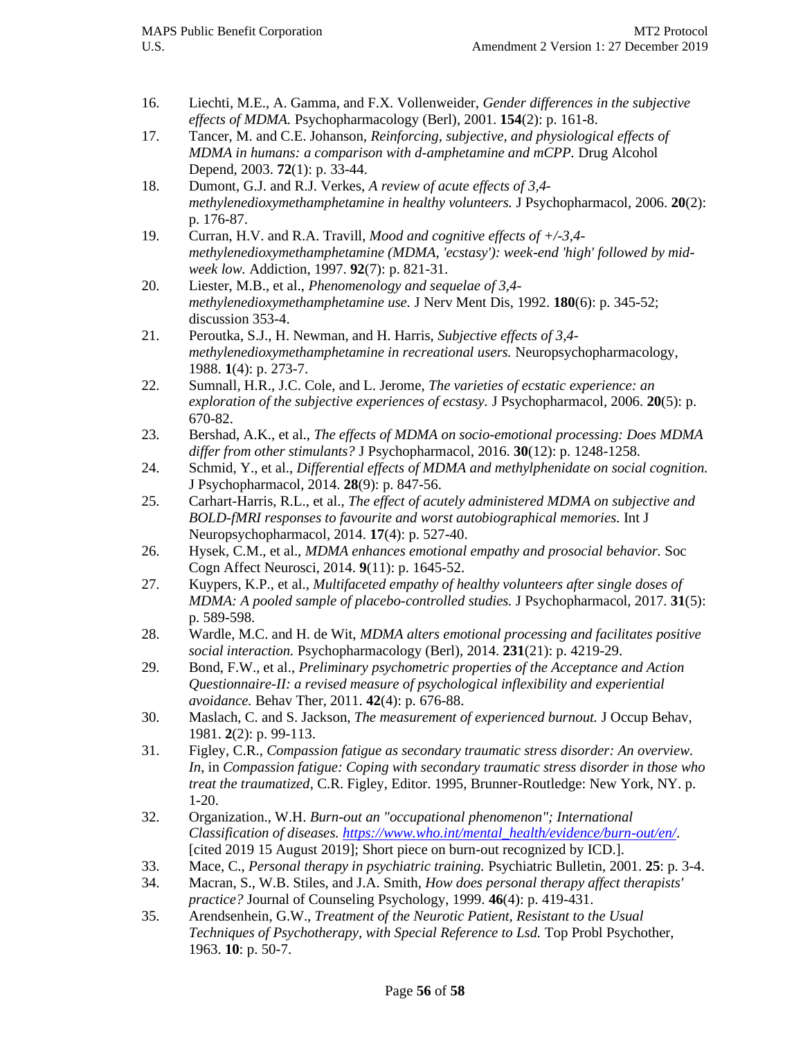- <span id="page-55-0"></span>16. Liechti, M.E., A. Gamma, and F.X. Vollenweider, *Gender differences in the subjective effects of MDMA.* Psychopharmacology (Berl), 2001. **154**(2): p. 161-8.
- <span id="page-55-14"></span>17. Tancer, M. and C.E. Johanson, *Reinforcing, subjective, and physiological effects of MDMA in humans: a comparison with d-amphetamine and mCPP.* Drug Alcohol Depend, 2003. **72**(1): p. 33-44.
- <span id="page-55-1"></span>18. Dumont, G.J. and R.J. Verkes, *A review of acute effects of 3,4 methylenedioxymethamphetamine in healthy volunteers.* J Psychopharmacol, 2006. **20**(2): p. 176-87.
- <span id="page-55-2"></span>19. Curran, H.V. and R.A. Travill, *Mood and cognitive effects of +/-3,4 methylenedioxymethamphetamine (MDMA, 'ecstasy'): week-end 'high' followed by midweek low.* Addiction, 1997. **92**(7): p. 821-31.
- <span id="page-55-3"></span>20. Liester, M.B., et al., *Phenomenology and sequelae of 3,4 methylenedioxymethamphetamine use.* J Nerv Ment Dis, 1992. **180**(6): p. 345-52; discussion 353-4.
- 21. Peroutka, S.J., H. Newman, and H. Harris, *Subjective effects of 3,4 methylenedioxymethamphetamine in recreational users.* Neuropsychopharmacology, 1988. **1**(4): p. 273-7.
- 22. Sumnall, H.R., J.C. Cole, and L. Jerome, *The varieties of ecstatic experience: an exploration of the subjective experiences of ecstasy.* J Psychopharmacol, 2006. **20**(5): p. 670-82.
- <span id="page-55-4"></span>23. Bershad, A.K., et al., *The effects of MDMA on socio-emotional processing: Does MDMA differ from other stimulants?* J Psychopharmacol, 2016. **30**(12): p. 1248-1258.
- <span id="page-55-5"></span>24. Schmid, Y., et al., *Differential effects of MDMA and methylphenidate on social cognition.* J Psychopharmacol, 2014. **28**(9): p. 847-56.
- <span id="page-55-6"></span>25. Carhart-Harris, R.L., et al., *The effect of acutely administered MDMA on subjective and BOLD-fMRI responses to favourite and worst autobiographical memories.* Int J Neuropsychopharmacol, 2014. **17**(4): p. 527-40.
- 26. Hysek, C.M., et al., *MDMA enhances emotional empathy and prosocial behavior.* Soc Cogn Affect Neurosci, 2014. **9**(11): p. 1645-52.
- 27. Kuypers, K.P., et al., *Multifaceted empathy of healthy volunteers after single doses of MDMA: A pooled sample of placebo-controlled studies.* J Psychopharmacol, 2017. **31**(5): p. 589-598.
- 28. Wardle, M.C. and H. de Wit, *MDMA alters emotional processing and facilitates positive social interaction.* Psychopharmacology (Berl), 2014. **231**(21): p. 4219-29.
- <span id="page-55-7"></span>29. Bond, F.W., et al., *Preliminary psychometric properties of the Acceptance and Action Questionnaire-II: a revised measure of psychological inflexibility and experiential avoidance.* Behav Ther, 2011. **42**(4): p. 676-88.
- <span id="page-55-8"></span>30. Maslach, C. and S. Jackson, *The measurement of experienced burnout.* J Occup Behav, 1981. **2**(2): p. 99-113.
- <span id="page-55-9"></span>31. Figley, C.R., *Compassion fatigue as secondary traumatic stress disorder: An overview. In*, in *Compassion fatigue: Coping with secondary traumatic stress disorder in those who treat the traumatized*, C.R. Figley, Editor. 1995, Brunner-Routledge: New York, NY. p. 1-20.
- <span id="page-55-10"></span>32. Organization., W.H. *Burn-out an "occupational phenomenon"; International Classification of diseases. [https://www.who.int/mental\\_health/evidence/burn-out/en/](https://www.who.int/mental_health/evidence/burn-out/en/)*. [cited 2019 15 August 2019]; Short piece on burn-out recognized by ICD.].
- <span id="page-55-11"></span>33. Mace, C., *Personal therapy in psychiatric training.* Psychiatric Bulletin, 2001. **25**: p. 3-4.
- <span id="page-55-12"></span>34. Macran, S., W.B. Stiles, and J.A. Smith, *How does personal therapy affect therapists' practice?* Journal of Counseling Psychology, 1999. **46**(4): p. 419-431.
- <span id="page-55-13"></span>35. Arendsenhein, G.W., *Treatment of the Neurotic Patient, Resistant to the Usual Techniques of Psychotherapy, with Special Reference to Lsd.* Top Probl Psychother, 1963. **10**: p. 50-7.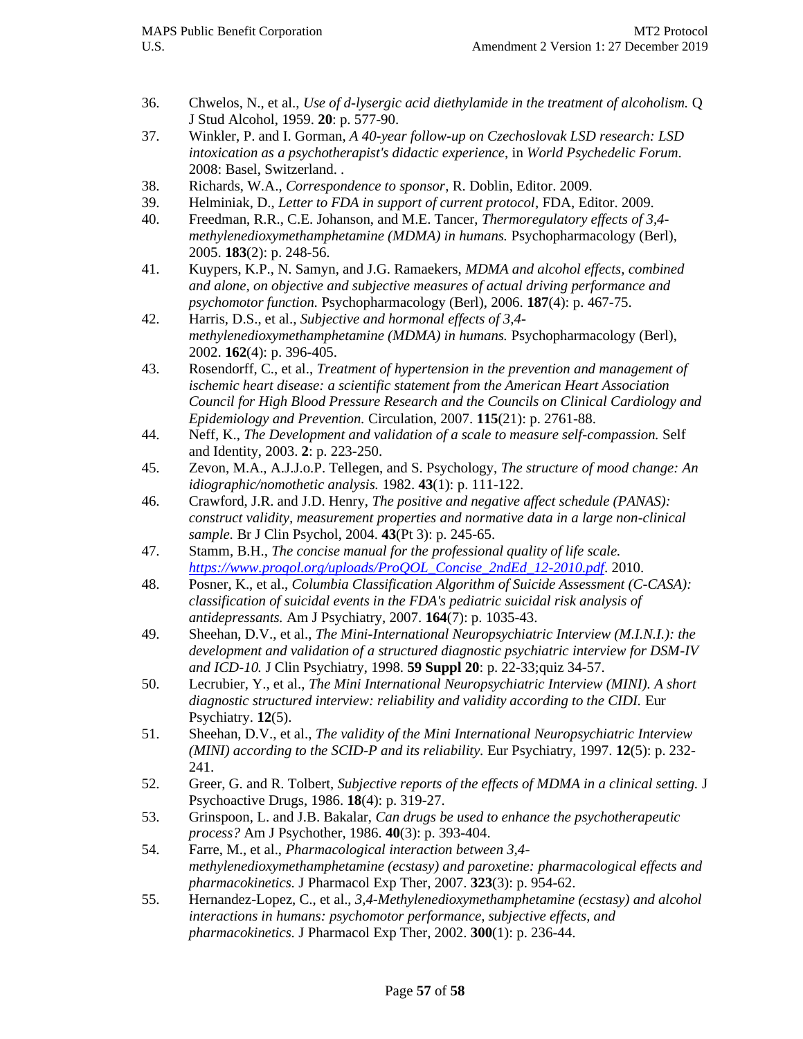- 36. Chwelos, N., et al., *Use of d-lysergic acid diethylamide in the treatment of alcoholism.* Q J Stud Alcohol, 1959. **20**: p. 577-90.
- 37. Winkler, P. and I. Gorman, *A 40-year follow-up on Czechoslovak LSD research: LSD intoxication as a psychotherapist's didactic experience*, in *World Psychedelic Forum*. 2008: Basel, Switzerland. .
- <span id="page-56-0"></span>38. Richards, W.A., *Correspondence to sponsor*, R. Doblin, Editor. 2009.
- <span id="page-56-1"></span>39. Helminiak, D., *Letter to FDA in support of current protocol*, FDA, Editor. 2009.
- <span id="page-56-2"></span>40. Freedman, R.R., C.E. Johanson, and M.E. Tancer, *Thermoregulatory effects of 3,4 methylenedioxymethamphetamine (MDMA) in humans.* Psychopharmacology (Berl), 2005. **183**(2): p. 248-56.
- 41. Kuypers, K.P., N. Samyn, and J.G. Ramaekers, *MDMA and alcohol effects, combined and alone, on objective and subjective measures of actual driving performance and psychomotor function.* Psychopharmacology (Berl), 2006. **187**(4): p. 467-75.
- <span id="page-56-14"></span>42. Harris, D.S., et al., *Subjective and hormonal effects of 3,4 methylenedioxymethamphetamine (MDMA) in humans.* Psychopharmacology (Berl), 2002. **162**(4): p. 396-405.
- <span id="page-56-3"></span>43. Rosendorff, C., et al., *Treatment of hypertension in the prevention and management of ischemic heart disease: a scientific statement from the American Heart Association Council for High Blood Pressure Research and the Councils on Clinical Cardiology and Epidemiology and Prevention.* Circulation, 2007. **115**(21): p. 2761-88.
- <span id="page-56-4"></span>44. Neff, K., *The Development and validation of a scale to measure self-compassion.* Self and Identity, 2003. **2**: p. 223-250.
- <span id="page-56-5"></span>45. Zevon, M.A., A.J.J.o.P. Tellegen, and S. Psychology, *The structure of mood change: An idiographic/nomothetic analysis.* 1982. **43**(1): p. 111-122.
- <span id="page-56-6"></span>46. Crawford, J.R. and J.D. Henry, *The positive and negative affect schedule (PANAS): construct validity, measurement properties and normative data in a large non-clinical sample.* Br J Clin Psychol, 2004. **43**(Pt 3): p. 245-65.
- <span id="page-56-7"></span>47. Stamm, B.H., *The concise manual for the professional quality of life scale. [https://www.proqol.org/uploads/ProQOL\\_Concise\\_2ndEd\\_12-2010.pdf](https://www.proqol.org/uploads/ProQOL_Concise_2ndEd_12-2010.pdf)*. 2010.
- <span id="page-56-8"></span>48. Posner, K., et al., *Columbia Classification Algorithm of Suicide Assessment (C-CASA): classification of suicidal events in the FDA's pediatric suicidal risk analysis of antidepressants.* Am J Psychiatry, 2007. **164**(7): p. 1035-43.
- <span id="page-56-9"></span>49. Sheehan, D.V., et al., *The Mini-International Neuropsychiatric Interview (M.I.N.I.): the development and validation of a structured diagnostic psychiatric interview for DSM-IV and ICD-10.* J Clin Psychiatry, 1998. **59 Suppl 20**: p. 22-33;quiz 34-57.
- <span id="page-56-10"></span>50. Lecrubier, Y., et al., *The Mini International Neuropsychiatric Interview (MINI). A short diagnostic structured interview: reliability and validity according to the CIDI.* Eur Psychiatry. **12**(5).
- <span id="page-56-11"></span>51. Sheehan, D.V., et al., *The validity of the Mini International Neuropsychiatric Interview (MINI) according to the SCID-P and its reliability.* Eur Psychiatry, 1997. **12**(5): p. 232- 241.
- <span id="page-56-12"></span>52. Greer, G. and R. Tolbert, *Subjective reports of the effects of MDMA in a clinical setting.* J Psychoactive Drugs, 1986. **18**(4): p. 319-27.
- <span id="page-56-13"></span>53. Grinspoon, L. and J.B. Bakalar, *Can drugs be used to enhance the psychotherapeutic process?* Am J Psychother, 1986. **40**(3): p. 393-404.
- <span id="page-56-15"></span>54. Farre, M., et al., *Pharmacological interaction between 3,4 methylenedioxymethamphetamine (ecstasy) and paroxetine: pharmacological effects and pharmacokinetics.* J Pharmacol Exp Ther, 2007. **323**(3): p. 954-62.
- 55. Hernandez-Lopez, C., et al., *3,4-Methylenedioxymethamphetamine (ecstasy) and alcohol interactions in humans: psychomotor performance, subjective effects, and pharmacokinetics.* J Pharmacol Exp Ther, 2002. **300**(1): p. 236-44.